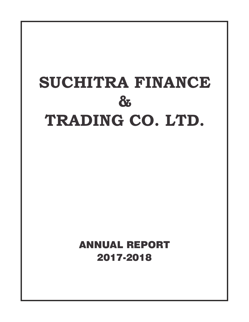# **SUCHITRA FINANCE & TRADING CO. LTD.**

ANNUAL REPORT 2017-2018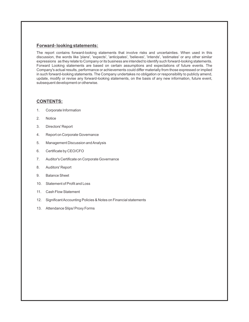#### **Forward- looking statements:**

The report contains forward-looking statements that involve risks and uncertainties. When used in this discussion, the words like 'plans', 'expects', 'anticipates', 'believes', 'intends', 'estimates' or any other similar expressions as they relate to Company or its business are intended to identify such forward-looking statements. Forward Looking statements are based on certain assumptions and expectations of future events. The Company's actual results, performance or achievements could differ materially from those expressed or implied in such forward-looking statements. The Company undertakes no obligation or responsibility to publicly amend, update, modify or revise any forward-looking statements, on the basis of any new information, future event, subsequent development or otherwise.

#### **CONTENTS:**

- 1. Corporate Information
- 2. Notice
- 3. Directors' Report
- 4. Report on Corporate Governance
- 5. Management Discussion and Analysis
- 6. Certificate by CEO/CFO
- 7. Auditor's Certificate on Corporate Governance
- 8. Auditors' Report
- 9. Balance Sheet
- 10. Statement of Profit and Loss
- 11. Cash Flow Statement
- 12. Significant Accounting Policies & Notes on Financial statements
- 13. Attendance Slips/ Proxy Forms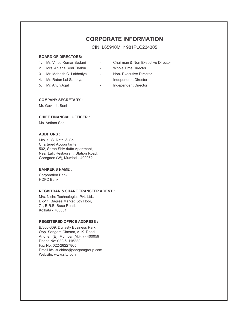# **CORPORATE INFORMATION**

CIN: L65910MH1981PLC234305

## **BOARD OF DIRECTORS:**

- 
- 2. Mrs. Anjana Soni Thakur Whole Time Director
- 3. Mr. Mahesh C. Lakhotiya Non- Executive Director
- 
- 
- 1. Mr. Vinod Kumar Sodani Chairman & Non Executive Director
	-
	-
- 4. Mr. Ratan Lal Samriya  **Andependent Director**
- 5. Mr. Arjun Agal **-** Independent Director

#### **COMPANY SECRETARY :**

Mr. Govinda Soni

#### **CHIEF FINANCIAL OFFICER :**

Ms. Antima Soni

#### **AUDITORS :**

M/s. S. S. Rathi & Co., Chartered Accountants 502, Shree Shiv dutta Apartment, Near Lalit Restaurant, Station Road, Goregaon (W), Mumbai - 400062

#### **BANKER'S NAME :**

Corporation Bank HDFC Bank

#### **REGISTRAR & SHARE TRANSFER AGENT :**

M/s. Niche Technologies Pvt. Ltd., D-511, Bagree Market, 5th Floor, 71, B.R.B. Basu Road, Kolkata - 700001

## **REGISTERED OFFICE ADDRESS :**

B/306-309, Dynasty Business Park, Opp. Sangam Cinema, A. K. Road, Andheri (E), Mumbai (M.H.) - 400059 Phone No: 022-61115222 Fax No: 022-28227865 Email Id:- suchitra@sangamgroup.com Website: www.sftc.co.in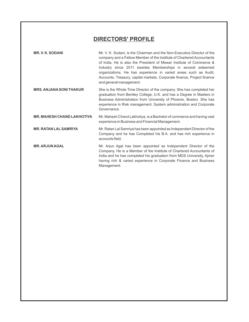# **DIRECTORS' PROFILE**

| <b>MR. V. K. SODANI</b>           | Mr. V. K. Sodani, is the Chairman and the Non-Executive Director of the<br>company and a Fellow Member of the Institute of Chartered Accountants<br>of India. He is also the President of Mewar Institute of Commerce &<br>Industry since 2011 besides Memberships in several esteemed<br>organizations. He has experience in varied areas such as Audit,<br>Accounts, Treasury, capital markets, Corporate finance, Project finance<br>and general management. |
|-----------------------------------|-----------------------------------------------------------------------------------------------------------------------------------------------------------------------------------------------------------------------------------------------------------------------------------------------------------------------------------------------------------------------------------------------------------------------------------------------------------------|
| <b>MRS. ANJANA SONI THAKUR</b>    | She is the Whole Time Director of the company. She has completed her<br>graduation from Bentley College, U.K. and has a Degree in Masters in<br>Business Administration from University of Phoenix, Boston. She has<br>experience in Risk management, System administration and Corporate<br>Governance.                                                                                                                                                        |
| <b>MR. MAHESH CHAND LAKHOTIYA</b> | Mr. Mahesh Chand Lakhotiya, is a Bachelor of commerce and having vast<br>experience in Business and Financial Management.                                                                                                                                                                                                                                                                                                                                       |
| <b>MR. RATAN LAL SAMRIYA</b>      | Mr. Ratan Lal Samriya has been appointed as Independent Director of the<br>Company and he has Completed his B.A. and has rich experience in<br>accounts field.                                                                                                                                                                                                                                                                                                  |
| <b>MR. ARJUN AGAL</b>             | Mr. Arjun Agal has been appointed as Independent Director of the<br>Company. He is a Member of the Institute of Chartered Accountants of<br>India and he has completed his graduation from MDS University, Ajmer<br>having rich & varied experience in Corporate Finance and Business<br>Management.                                                                                                                                                            |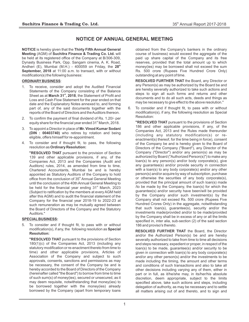# **NOTICE OF ANNUAL GENERAL MEETING**

**NOTICE** is hereby given that the **Thirty Fifth Annual General Meeting** (AGM) of **Suchitra Finance & Trading Co. Ltd.** will be held at its registered office of the Company at B/306-309, Dynasty Business Park, Opp. Sangam cinema, A. K. Road, **th** Andheri (E), Mumbai (M.H.) - 400059 on Friday, the **28 September, 2018** at 11:00 a.m. to transact, with or without modification(s) the following business:

#### **ORDINARY BUSINESS**:

- To receive, consider and adopt the Audited Financial Statements of the Company consisting of the Balance **st** Sheet as at **March 31 , 2018**, the Statement of Profit and Loss and Cash Flow Statement for the year ended on that date and the Explanatory Notes annexed to, and forming part of, any of the said documents together with the reports of the Board of Directors and the Auditors thereon.
- 2. To confirm the payment of final dividend of Rs. 1.20/- per equity share for the financial year ended 31<sup>st</sup> March, 2018.
- 3. To appoint a Director in place of **Mr. Vinod Kumar Sodani (DIN : 00403740)** who retires by rotation and being eligible, offers himself for re-appointment.
- 4. To consider and if thought fit, to pass, the following resolution as **Ordinary Resolution:**

**"RESOLVED THAT** pursuant to the provision of Section 139 and other applicable provisions, if any, of the Companies Act, 2013 and the Companies (Audit and Auditors) rules, 2014, as amended from time to time, Chartered Accountants, Mumbai be and is hereby appointed as Statutory Auditors of the Company to hold office from the conclusion of 35<sup>th</sup> Annual General Meeting until the conclusion of the 40th Annual General Meeting to be held for the financial year ending  $31<sup>st</sup>$  March, 2023 (Subject to ratification by the members at every AGM held after this AGM) and to audit the financial statement of the Company for the financial year 2018-19 to 2022-23 at such remuneration as may be mutually agreed between the Board of Directors of the Company and the Statutory Auditors."

#### **SPECIAL BUSINESS:**

5. To consider and if thought fit, to pass with or without modification(s), if any, the following resolution as **Special Resolution:**

**"RESOLVED THAT** pursuant to the provisions of Section 180(1)(c) of the Companies Act, 2013 (including any statutory modification or re-enactment thereto from time to time) and other applicable provisions, Articles of Association of the Company and subject to such approvals, consents, sanctions and permissions as may be necessary, the consent of the Company be and is hereby accorded to the Board of Directors of the Company (hereinafter called "the Board") to borrow from time to time of such sum(s) of money(ies), secured or unsecured, as it may deem requisite, notwithstanding that money(ies) to be borrowed together with the money(ies) already borrowed by the Company (apart from temporary loans

obtained from the Company's bankers in the ordinary course of business) would exceed the aggregate of the paid up share capital of the Company and its free reserves, provided that the total amount up to which money(ies) may be borrowed shall not exceed the sum Rs. 500 crore (Rupees Five Hundred Crore Only) outstanding at any point of time.

**RESOLVED FURTHER THAT** the Board, any Director or any Person(s) as may be authorized by the Board be and are hereby severally authorized to take such actions and steps to sign all such forms and returns and other documents and to do all such acts, deeds and things as may be necessary to give effect to the above resolution."

6. To consider and if thought fit, to pass with or without modification(s), if any, the following resolution as Special Resolution:

**"RESOLVED THAT** pursuant to the provisions of Section 186 and other applicable provisions, if any, of the Companies Act, 2013 and the Rules made thereunder (including any statutory modification(s) or reenactment(s) thereof, for the time being in force), consent of the Company be and is hereby given to the Board of Directors of the Company ("Board"), any Director of the Company ("Director") and/or any person(s) as may be authorized by Board ("Authorized Person(s)") to make any loan(s) to any person(s) and/or body corporate(s), give any guarantee(s) and/or provide security in connection with a loan(s) to any body corporate(s) and/or any other person(s) and/or acquire by way of subscription, purchase or otherwise the securities of any body corporate(s), provided that the principal amount of such loan(s) made /to be made by the Company, the loan(s) for which the guarantee(s) and/or security have been/will be provided by the Company and/or such investment(s) by the Company shall not exceed Rs. 500 crore (Rupees Five Hundred Crores Only) in the aggregate, notwithstanding that such loan(s), guarantee(s), security and/or the investments made/provided and/or to be made/provided by the Company shall be in excess of any or all the limits specified in, inter alia, sub-section (2) of the said section 186 and proviso's thereto.

**RESOLVED FURTHER THAT** the Board, the Director and/or the Authorized Person(s) be and are hereby severally authorized to take from time to time all decisions and steps necessary, expedient or proper, in respect of the loan(s) to be made, guarantee(s) and/or security to be given in connection with loan(s) to any body corporate(s) and/or any other person(s) and/or the investments to be made including the timing, the amount and other terms and conditions of such transactions and also to take all other decisions including varying any of them, either in part or in full, as it/he/she may, in its/her/his absolute discretion, deem appropriate, subject to the limits specified above, take such actions and steps, including delegation of authority, as may be necessary and to settle all matters arising out of and thereto, and to sign and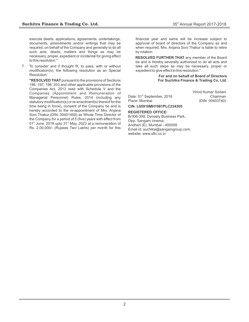execute deeds, applications, agreements, undertakings, documents, amendments and/or writings that may be required, on behalf of the Company and generally to do all such acts, deeds, matters and things as may be necessary, proper, expedient or incidental for giving effect to this resolution."

7. To consider and if thought fit, to pass, with or without modification(s), the following resolution as an Special Resolution:

**"RESOLVED THAT** pursuant to the provisions of Sections 196, 197, 198, 203 and other applicable provisions of the Companies Act, 2013 read with Schedule V and the Companies (Appointment and Remuneration of Managerial Personnel) Rules, 2014 (including any statutory modification(s) or re-enactment(s) thereof for the time being in force), consent of the Company be and is hereby accorded to the re-appointment of Mrs. Anjana Soni Thakur (DIN: 00401469) as Whole Time Director of the Company for a period of 5 (five) years with effect from  $01<sup>st</sup>$  June, 2018 upto 31 $<sup>st</sup>$  May, 2023 at a remuneration of</sup> Rs. 2,00,000/- (Rupees Two Lakhs) per month for this

financial year and same will be increase subject to approval of board of directors of the Company as and when required, Mrs. Anjana Soni Thakur is liable to retire by rotation.

**RESOLVED FURTHER THAT** any member of the Board be and is hereby severally authorized to do all acts and take all such steps as may be necessary, proper or expedient to give effect to this resolution."

#### **For and on behalf of Board of Directors For Suchitra Finance & Trading Co. Ltd.**

Date: 01<sup>st</sup> September, 2018 Chairman<br>Place: Mumbai (DIN: 00403740)

Vinod Kumar Sodani (DIN: 00403740)

**CIN: L65910MH1981PLC234305**

#### **REGISTERED OFFICE:**

B/306-309, Dynasty Business Park, Opp. Sangam cinema, Andheri (E), Mumbai - 400059 Email id: suchitra@sangamgroup.com, website: www.sftc.co.in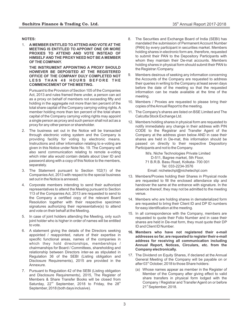#### **NOTES:**

1. **A MEMBER ENTITLED TO ATTEND AND VOTE AT THE MEETING IS ENTITLED TO APPOINT ONE OR MORE PROXIES TO ATTEND AND VOTE INSTEAD OF HIMSELF AND THE PROXY NEED NOT BE A MEMBER OF THE COMPANY.**

**THE INSTRUMENT APPOINTING A PROXY SHOULD HOWEVER BE DEPOSITED AT THE REGISTERED OFFICE OF THE COMPANY DULY COMPLETED NOT L E S S T H A N 4 8 H O U R S B E F O R E T H E COMMENCEMENT OF THE MEETING.**

Pursuant to the Provision of Section 105 of the Companies Act, 2013 and rules framed there under, a person can act as a proxy on behalf of members not exceeding fifty and holding in the aggregate not more than ten percent of the total share capital of the Company carrying voting rights. A member holding more than ten percent of the total share capital of the Company carrying voting rights may appoint a single person as proxy and such person shall not act as a proxy for any other person or shareholder.

- 2. The business set out in the Notice will be transacted through electronic voting system and the Company is providing facility for voting by electronic means. Instructions and other information relating to e-voting are given in this Notice under Note No. 19. The Company will also send communication relating to remote e-voting which inter alia would contain details about User ID and password along with a copy of this Notice to the members, separately.
- 3. The Statement pursuant to Section 102(1) of the Companies Act, 2013 with respect to the special business set out in the Notice is annexed.
- 4. Corporate members intending to send their authorized representatives to attend the Meeting pursuant to Section 113 of the Companies Act, 2013 are requested to send to the Company a certified copy of the relevant Board Resolution together with their respective specimen signatures authorizing their representative(s) to attend and vote on their behalf at the Meeting.
- 5. In case of joint holders attending the Meeting, only such joint holder who is higher in order of names will be entitled to vote.
- 6. A statement giving the details of the Directors seeking appointed / reappointed, nature of their expertise in specific functional areas, names of the companies in which they hold directorships, memberships / chairmanships for Board / Committees, shareholding and relationship between Directors inter-se as stipulated in Regulation 36 of the SEBI (Listing obligation and Disclosure Requirements), 2015 are provided in the Annexure.
- 7. Pursuant to Regulation 42 of the SEBI (Listing obligation and Disclosure Requirements), 2015, The Register of Members & Share Transfer Books will be closed from Saturday,  $22<sup>nd</sup>$  September, 2018 to Friday, the  $28<sup>th</sup>$ September, 2018 (both days inclusive).
- 8. The Securities and Exchange Board of India (SEBI) has mandated the submission of Permanent Account Number (PAN) by every participant in securities market. Members holding shares in electronic form are, therefore, requested to submit their PAN to the Depository Participants with whom they maintain their De-mat accounts. Members holding shares in physical form should submit their PAN to the Registrar /Company.
- 9. Members desirous of seeking any information concerning the Accounts of the Company are requested to address their queries in writing to the Company at least seven days before the date of the meeting so that the requested information can be made available at the time of the meeting.
- 10. Members / Proxies are requested to please bring their copies of the Annual Report to the meeting.
- 11. The Company's shares are listed on BSE Limited and The Calcutta Stock Exchange Ltd.
- 12. Members holding shares in physical form are requested to notify immediately any change in their address with PIN CODE to the Registrar and Transfer Agent of the Company at the address given below AND in case their shares are held in De-mat, this information should be passed on directly to their respective Depository Participants and not to the Company.

M/s. Niche Technologies Private Limited D-511, Bagree market, 5th Floor, 71 B.R.B. Basu Road, Kolkata- 700 001 Tel: 033-2234-3576 Email: nichetechpl@nichetechpl.com

- 13. Members/Proxies holding their Shares in Physical mode are requested to fill the enclosed attendance slip and handover the same at the entrance with signature. In the absence thereof, they may not be admitted to the meeting venue.
- 14. Members who are holding shares in dematerialized form are requested to bring their Client ID and DP ID numbers for easy identification at the meeting.
- 15. In all correspondence with the Company, members are requested to quote their Folio Number and in case their shares are held in De-mat form, they must quote their DP ID and Client ID Number.
- **16. Members who have not registered their e-mail addresses so far, are requested to register their e-mail address for receiving all communication including Annual Report, Notices, Circulars, etc. from the Company electronically.**
- 17. The Dividend on Equity Shares, if declared at the Annual General Meeting of the Company will be payable on or after 03<sup>rd</sup> October, 2018 to those Share holders:
	- (a) Whose names appear as member in the Register of Member of the Company after giving effect to valid share transfers in physical form lodged with the Company / Registrar and Transfer Agent on or before 21<sup>st</sup> September, 2018.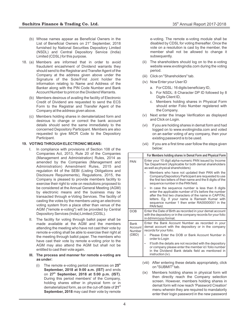- (b) Whose names appear as Beneficial Owners in the List of Beneficial Owners on 21<sup>st</sup> September, 2018 furnished by National Securities Depository Limited (NSDL) and Central Depository Service (India) Limited (CDSL) for this purpose.
- 18. (a) Members are informed that in order to avoid fraudulent encashment of Dividend warrants they should send to the Registrar and Transfer Agent of the Company at the address given above under the Signature of the Sole/First Joint holder the information relating to Name and Address of the Banker along with the PIN Code Number and Bank Account Number to print on the Dividend Warrants.
	- (b) Members desirous of availing the facility of Electronic Credit of Dividend are requested to send the ECS Form to the Registrar and Transfer Agent of the Company at the address given above.
	- (c) Members holding shares in dematerialized form and desirous to change or correct the bank account details should send the same immediately to the concerned Depository Participant. Members are also requested to give MICR Code to the Depository Participant.

#### **19. VOTING THROUGH ELECTRONIC MEANS:**

- I. In compliance with provisions of Section 108 of the Companies Act, 2013, Rule 20 of the Companies (Management and Administration) Rules, 2014 as amended by the Companies (Management and Administration) Amendment Rules, 2015 and regulation 44 of the SEBI (Listing Obligations and Disclosure Requirements), Regulations, 2015, the Company is pleased to provide members facility to exercise their right to vote on resolutions proposed to be considered at the Annual General Meeting (AGM) by electronic means and the business may be transacted through e-Voting Services. The facility of casting the votes by the members using an electronic voting system from a place other than venue of the AGM ("remote e-voting") will be provided by Central Depository Services (India) Limited (CDSL).
- II. The facility for voting through ballot paper shall be made available at the AGM and the members attending the meeting who have not cast their vote by remote e-voting shall be able to exercise their right at the meeting through ballot paper. The members who have cast their vote by remote e-voting prior to the AGM may also attend the AGM but shall not be entitled to cast their vote again.

#### **III. The process and manner for remote e-voting are as under:**

**th** (i) The remote e-voting period commences on **25 September, 2018 at 9:00 a.m. (IST)** and ends **th** on **27 September, 2018 at 5:00 p.m. (IST)**. During this period members' of the Company, holding shares either in physical form or in **st** dematerialized form, as on the cut-off date of **21 September, 2018** may cast their vote by remote

e-voting. The remote e-voting module shall be disabled by CDSL for voting thereafter. Once the vote on a resolution is cast by the member, the member shall not be allowed to change it subsequently.

- (ii) The shareholders should log on to the e-voting website www.evotingindia.com during the voting period.
- (iii) Click on "Shareholders" tab.
- (iv) Now Enter your User ID
	- a. For CDSL: 16 digits beneficiary ID,
	- b. For NSDL: 8 Character DP ID followed by 8 Digits Client ID,
	- c. Members holding shares in Physical Form should enter Folio Number registered with the Company.
- (v) Next enter the Image Verification as displayed and Click on Login.
- (vi) If you are holding shares in demat form and had logged on to www.evotingindia.com and voted on an earlier voting of any company, then your existing password is to be used.
- (vii) If you are a first time user follow the steps given below:

|                                  | For Members holding shares in Demat Form and Physical Form                                                                                                                                                                                                                           |
|----------------------------------|--------------------------------------------------------------------------------------------------------------------------------------------------------------------------------------------------------------------------------------------------------------------------------------|
| <b>PAN</b>                       | Enter your 10 digit alpha-numeric PAN issued by Income<br>Tax Department (Applicable for both demat shareholders<br>as well as physical shareholders)                                                                                                                                |
|                                  | Members who have not updated their PAN with the<br>Company/Depository Participant are requested to use<br>the first two letters of their name and the 8 digits of the<br>sequence number in the PAN field.                                                                           |
|                                  | In case the sequence number is less than 8 digits<br>enter the applicable number of 0's before the number<br>after the first two characters of the name in CAPITAL<br>letters. Eg. If your name is Ramesh Kumar with<br>sequence number 1 then enter RA00000001 in the<br>PAN field. |
| <b>DOB</b>                       | Enter the Date of Birth as recorded in your demat account<br>with the depository or in the company records for your folio<br>in dd/mm/yyyy format.                                                                                                                                   |
| <b>Bank</b><br>Account<br>Number | Enter the Bank Account Number as recorded in your<br>demat account with the depository or in the company<br>records for your folio.                                                                                                                                                  |
| (DBD)                            | Please Enter the DOB or Bank Account Number in<br>order to Login                                                                                                                                                                                                                     |
|                                  | If both the details are not recorded with the depository<br>or company please enter the member id / folio number<br>in the Dividend Bank details field as mentioned in<br>instruction (iv).                                                                                          |

- (viii) After entering these details appropriately, click on "SUBMIT" tab.
- (ix) Members holding shares in physical form will then directly reach the Company selection screen. However, members holding shares in demat form will now reach 'Password Creation' menu wherein they are required to mandatorily enter their login password in the new password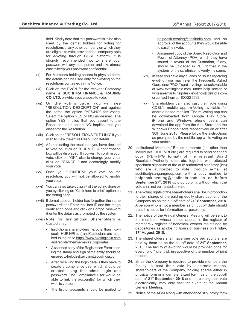field. Kindly note that this password is to be also used by the demat holders for voting for resolutions of any other company on which they are eligible to vote, provided that company opts for e-voting through CDSL platform. It is strongly recommended not to share your password with any other person and take utmost care to keep your password confidential.

- (x) For Members holding shares in physical form, the details can be used only for e-voting on the resolutions contained in this Notice.
- (xi) Click on the EVSN for the relevant Company name i.e. **SUCHITRA FINANCE & TRADING CO. LTD.** on which you choose to vote.
- (xii) On the voting page, you will see "RESOLUTION DESCRIPTION" and against the same the option "YES/NO" for voting. Select the option YES or NO as desired. The option YES implies that you assent to the Resolution and option NO implies that you dissent to the Resolution.
- (xiii) Click on the "RESOLUTIONS FILE LINK" if you wish to view the entire Resolution details.
- (xiv) After selecting the resolution you have decided to vote on, click on "SUBMIT". A confirmation box will be displayed. If you wish to confirm your vote, click on "OK", else to change your vote, click on "CANCEL" and accordingly modify your vote.
- (xv) Once you "CONFIRM" your vote on the resolution, you will not be allowed to modify your vote.
- (xvi) You can also take out print of the voting done by you by clicking on "Click here to print" option on the Voting page.
- (xvii) If demat account holder has forgotten the same password then Enter the User ID and the image verification code and click on Forgot Password & enter the details as prompted by the system.
- (xviii) Note for Institutional Shareholders & Custodians :
	- Institutional shareholders (i.e. other than Individuals, HUF, NRI etc.) and Custodians are required to log on to https://www.evotingindia.com and register themselves as Corporates.
	- Ascanned copy of the Registration Form bearing the stamp and sign of the entity should be emailed to helpdesk.evoting@cdslindia.com.
	- After receiving the login details they have to create a compliance user which should be created using the admin login and password. The Compliance user would be able to link the account(s) for which they wish to vote on.
	- The list of accounts should be mailed to

helpdesk.evoting@cdslindia.com and on approval of the accounts they would be able to cast their vote.

- Ascanned copy of the Board Resolution and Power of Attorney (POA) which they have issued in favour of the Custodian, if any, should be uploaded in PDF format in the system for the scrutinizer to verify the same.
- (xix) In case you have any queries or issues regarding e-voting, you may refer the Frequently Asked Questions ("FAQs") and e-voting manual available at www.evotingindia.com, under help section or write an email to helpdesk.evoting@cdslindia.com or contact them at 1800 22 5533
- (xx) Shareholders can also cast their vote using CDSL's mobile app m-Voting available for android based mobiles. The m-Voting app can be downloaded from Google Play Store. iPhone and Windows phone users can download the app from the App Store and the Windows Phone Store respectively on or after 30th June 2016. Please follow the instructions as prompted by the mobile app while voting on your mobile.
- 20. Institutional Members/ Bodies corporate (i.e. other than individuals, HUF, NRI etc.) are required to send scanned copy (PDF/JPG format) of the relevant Board Resolution/Authority letter etc. together with attested specimen signature of the duly authorized signatory (ies) who are authorized to vote, through e-mail at suchitra@sangamgroup.com with a copy marked to helpdesk.evoting@cdslindia.com on or before **September 27<sup>th</sup>, 2018** upto 05:00 p.m. without which the vote shall not be treated as valid.
- 21. The voting rights of the shareholders shall be in proportion to their shares of the paid up equity share capital of the **st** Company as on the cut-off date of **21 September, 2018.**  A person who is not a member as on cut off date should treat this notice for information purpose only.
- 22. The notice of the Annual General Meeting will be sent to the members, whose names appear in the register of members / register of beneficial owners maintained by depositories as at closing hours of business on **Friday, th 17 August, 2018.**
- 23. The shareholders shall have one vote per equity share held by them as on the cut-off date of 21<sup><sup>st</sup> September,</sup> **2018.** The facility of e-voting would be provided once for every folio / client id, irrespective of the number of joint holders.
- 24. Since the Company is required to provide members the facility to cast their vote by electronic means, shareholders of the Company, holding shares either in physical form or in dematerialized form, as on the cut-off **st** date of **21 September, 2018** and not casting their vote electronically, may only cast their vote at the Annual General Meeting.
- 25. Notice of the AGM along with attendance slip, proxy form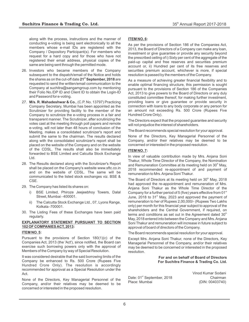along with the process, instructions and the manner of conducting e-voting is being sent electronically to all the members whose e-mail IDs are registered with the Company / Depository Participant(s). For members who request for a hard copy and for those who have not registered their email address, physical copies of the same are being sent through the permitted mode.

- 26. Investors who became members of the Company subsequent to the dispatch/email of the Notice and holds **st** the shares as on the cut-off date **21 September, 2018** are requested to send the written/email communication to the Company at suchitra@sangamgroup.com by mentioning their Folio No./DP ID and Client ID to obtain the Login-ID and Password for e-voting.
- 27. **M/s. R. Mahadeshwar & Co.**, (C.P. No. 13797) Practicing Company Secretary, Mumbai has been appointed as the Scrutinizer for providing facility to the member of the Company to scrutinize the e-voting process in a fair and transparent manner. The Scrutinizer, after scrutinizing the votes cast at the meeting through poll papers and remote e-voting, will not later than 48 hours of conclusion of the Meeting, makes a consolidated scrutinizer's report and submit the same to the chairman. The results declared along with the consolidated scrutinizer's report shall be placed on the website of the Company and on the website of the CDSL. The results shall also be immediately forwarded to BSE Limited and Calcutta Stock Exchange Ltd.
- 28. The Results declared along with the Scrutinizer's Report shall be placed on the Company's website www.sftc.co.in and on the website of CDSL. The same will be communicated to the listed stock exchanges viz. BSE & CSE.
- 29. The Company has listed its shares on:
	- i) BSE Limited, Phiroze Jeejeebhoy Towers, Dalal Street, Mumbai - 400001.
	- ii) The Calcutta Stock Exchange Ltd., 07, Lyons Range, Kolkata -700001.
- 30. The Listing Fees of these Exchanges have been paid regularly.

#### **EXPLANATORY STATEMENT PURSUANT TO SECTION 102 OF COMPANIES ACT, 2013:**

#### **ITEM NO. 5:**

Pursuant to the provisions of Section 180(1)(c) of the Companies Act, 2013 (the 'Act'), since notified, the Board can exercise such borrowing powers only with the approval of Members of the Company by way of Special Resolution.

It was considered desirable that the said borrowing limits of the Company be enhanced to Rs. 500 Crore (Rupees Five Hundred Crore Only). The resolution is accordingly recommended for approval as a Special Resolution under the Act.

None of the Directors, Key Managerial Personnel of the Company, and/or their relatives may be deemed to be concerned or interested in the proposed resolution.

#### **ITEM NO. 6:**

As per the provisions of Section 186 of the Companies Act, 2013, the Board of Directors of a Company can make any loan, investment or give guarantee or provide any security beyond the prescribed ceiling of i) Sixty per cent of the aggregate of the paid-up capital and free reserves and securities premium account or, ii) Hundred per cent of its free reserves and securities premium account, whichever is more, if special resolution is passed by the members of the Company.

As a measure of achieving greater financial flexibility and to enable optimal financing structure, this permission is sought pursuant to the provisions of Section 186 of the Companies Act, 2013 to give powers to the Board of Directors or any duly constituted committee thereof, for making further investment, providing loans or give guarantee or provide security in connection with loans to any body corporate or any person for an amount not exceeding Rs. 500 Crore (Rupees Five Hundred Crore Only).

The Directors expect that the proposed guarantee and security will not prejudice the interest of shareholders.

The Board recommends special resolution for your approval.

None of the Directors, Key Managerial Personnel of the Company, and/or their relatives may be deemed to be concerned or interested in the proposed resolution.

#### **ITEM NO. 7:**

In view of valuable contribution made by Mrs. Anjana Soni Thakur, Whole Time Director of the Company, the Nomination and Remuneration Committee at its meeting held on 30<sup>th</sup> May, 2018 recommended re-appointment of and payment of remuneration to Mrs. Anjana Soni Thakur.

The Board of Directors at its meeting held on  $30<sup>th</sup>$  May, 2018 had approved the re-appointment and remuneration of Mrs. Anjana Soni Thakur as the Whole Time Director of the Company for a further period of 5 (five) years effective from  $01<sup>st</sup>$ June, 2018 to  $31<sup>st</sup>$  May, 2023 and approved the payment of remuneration to her of Rupees 2,00,000/- (Rupees Two Lakhs only) per month for this financial year subject to approval of the shareholders and the Central Government, if required, on terms and conditions as set out in the Agreement dated  $30<sup>th</sup>$ May, 2018 entered into between the Company and Mrs. Anjana Soni Thakur and remuneration will increase in future subject to approval of board of directors of the Company.

The Board recommends special resolution for your approval.

Except Mrs. Anjana Soni Thakur, none of the Directors, Key Managerial Personnel of the Company, and/or their relatives may be deemed to be concerned or interested in the proposed resolution.

> **For and on behalf of Board of Directors For Suchitra Finance & Trading Co. Ltd.**

Date: 01<sup>st</sup> September, 2018 Chairman Place: Mumbai (DIN: 00403740)

Vinod Kumar Sodani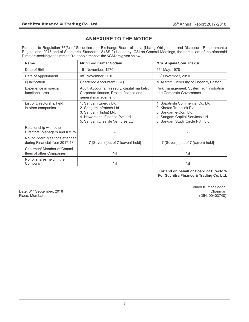# **ANNEXURE TO THE NOTICE**

Pursuant to Regulation 36(3) of Securities and Exchange Board of India (Listing Obligations and Disclosure Requirements) Regulations, 2015 and of Secretarial Standard - 2 (SS-2) issued by ICSI on General Meetings, the particulars of the aforesaid Directors seeking appointment/ re-appointment at the AGM are given below:

| <b>Name</b>                                                     | <b>Mr. Vinod Kumar Sodani</b>                                                                                                                      | Mrs. Anjana Soni Thakur                                                                                                                                           |  |  |
|-----------------------------------------------------------------|----------------------------------------------------------------------------------------------------------------------------------------------------|-------------------------------------------------------------------------------------------------------------------------------------------------------------------|--|--|
| Date of Birth                                                   | 15 <sup>th</sup> November, 1970                                                                                                                    | 16 <sup>th</sup> May, 1978                                                                                                                                        |  |  |
| Date of Appointment                                             | 08th November, 2010                                                                                                                                | 08 <sup>th</sup> November, 2010                                                                                                                                   |  |  |
| Qualification                                                   | Chartered Accountant (CA)                                                                                                                          | MBA from University of Phoenix, Boston                                                                                                                            |  |  |
| Experience in special<br>functional area                        | Audit, Accounts, Treasury, capital markets,<br>Corporate finance, Project finance and<br>general management.                                       | Risk management, System administration<br>and Corporate Governance.                                                                                               |  |  |
| List of Directorship held<br>in other companies                 | 1. Sangam Energy Ltd.<br>2. Sangam Infratech Ltd.<br>3. Sangam (India) Ltd.<br>4. Hawamahal Finance Pvt. Ltd.<br>5. Sangam Lifestyle Ventures Ltd. | 1. Sapatrishi Commercial Co. Ltd.<br>2. Khetan Tradelink Pvt. Ltd.<br>3. Sangam e-Com Ltd.<br>4. Sangam Capital Services Ltd.<br>5. Sangam Study Circle Pvt. Ltd. |  |  |
| Relationship with other<br>Directors, Managers and KMPs         |                                                                                                                                                    |                                                                                                                                                                   |  |  |
| No. of Board Meetings attended<br>during Financial Year 2017-18 | 7 (Seven) [out of 7 (seven) held]                                                                                                                  | 7 (Seven) [out of 7 (seven) held]                                                                                                                                 |  |  |
| Chairman/ Member of Commi-<br>ttees of other Companies          | Nil                                                                                                                                                | Nil                                                                                                                                                               |  |  |
| No. of shares held in the<br>Company                            | Nil                                                                                                                                                | Nil                                                                                                                                                               |  |  |

#### **For and on behalf of Board of Directors For Suchitra Finance & Trading Co. Ltd.**

Date: 01<sup>st</sup> September, 2018<br>Place: Mumbai

Vinod Kumar Sodani (DIN: 00403740)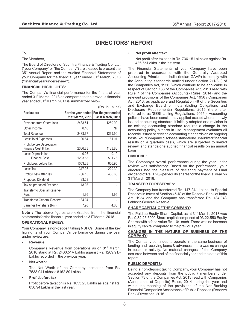# **DIRECTORS' REPORT**

To,

The Members,

The Board of Directors of Suchitra Finance & Trading Co. Ltd. ("your Company" or "the Company") are pleased to present the 35<sup>th</sup> Annual Report and the Audited Financial Statements of your Company for the financial year ended 31<sup>st</sup> March, 2018 ("financial year under review").

#### **FINANCIAL HIGHLIGHTS:**

The Company's financial performance for the financial year ended 31<sup>st</sup> March, 2018 as compared to the previous financial year ended 31<sup>st</sup> March, 2017 is summarized below:

|                                                   |                  | (Rs. in Lakhs)                                            |
|---------------------------------------------------|------------------|-----------------------------------------------------------|
| <b>Particulars</b>                                | 31st March, 2018 | For the year ended For the year ended<br>31st March, 2017 |
| Revenue from Operations                           | 2433.51          | 1269.90                                                   |
| Other Income                                      | 0.16             | Nil                                                       |
| <b>Total Revenue</b>                              | 2433.67          | 1269.90                                                   |
| Less: Total Expenses                              | 96.84            | 81.07                                                     |
| Profit before Depreciation,<br>Finance Cost & Tax | 2336.83          | 1188.83                                                   |
| Less: Depreciation<br><b>Finance Cost</b>         | 0.05<br>1283.55  | 0.12<br>531.76                                            |
| Profit/Loss before Tax                            | 1053.23          | 656.95                                                    |
| Less: Tax                                         | 317.08           | 220.30                                                    |
| Profit/(Loss) after Tax                           | 736.15           | 436.65                                                    |
| Proposed Dividend                                 | 93.23            |                                                           |
| Tax on proposed Dividend                          | 18.98            |                                                           |
| Transfer to Special Reserve<br>Fund               | 1.95             | 1.95                                                      |
| <b>Transfer to General Reserve</b>                | 184.04           |                                                           |
| Earnings Per share (Rs.)                          | 7.90             | 4.68                                                      |

**Note :** The above figures are extracted from the financial statements for the financial year ended on 31<sup>st</sup> March, 2018

#### **OPERATIONAL REVIEW:**

Your Company is non-deposit taking NBFCs. Some of the key highlights of your Company's performance during the year under review are:

• **Revenue:**

Company's Revenue from operations as on 31<sup>st</sup> March, 2018 stand at Rs. 2433.51/- Lakhs against Rs. 1269.91/- Lakhs recorded in the previous year.

• **Net worth:** 

The Net Worth of the Company increased from Rs. 7538.94 Lakhs to 8162.89 Lakhs.

• **Profit before tax:**

Profit before taxation is Rs. 1053.23 Lakhs as against Rs. 656.94 Lakhs in the last year.

#### • **Net profit after tax:**

Net profit after taxation is Rs. 736.15 Lakhs as against Rs. 436.65 Lakhs in the last year.

The Financial Statements of your Company have been prepared in accordance with the Generally Accepted Accounting Principles in India (Indian GAAP) to comply with the Accounting Standards notified under Section 211(3C) of the Companies Act, 1956 (which continue to be applicable in respect of Section 133 of the Companies Act, 2013 read with Rule 7 of the Companies (Accounts) Rules, 2014) and the relevant provisions of the Companies Act, 1956 / Companies Act, 2013, as applicable and Regulation 48 of the Securities and Exchange Board of India (Listing Obligations and Disclosure Requirements) Regulations, 2015 (hereinafter referred to as 'SEBI Listing Regulations, 2015'). Accounting policies have been consistently applied except where a newly issued accounting standard, if initially adopted or a revision to an existing accounting standard requires a change in the accounting policy hitherto in use. Management evaluates all recently issued or revised accounting standards on an ongoing basis. Your Company discloses standalone unaudited financial results on a quarterly basis, which are subjected to limited review, and standalone audited financial results on an annual basis.

#### **DIVIDEND:**

The Company's overall performance during the year under review was satisfactory. Based on the performance, your directors had the pleasure of declaring payment of Final dividend of Rs. 1.20/- per equity shares for the financial year on 31<sup>st</sup> March, 2018.

#### **TRANSFER TO RESERVES:**

The Company has transferred Rs. 147.24/- Lakhs to Special Reserve in terms of Section 45-IC of the Reserve Bank of India Act, 1934 and the Company has transferred Rs. 184.04/- Lakhs to General Reserve.

#### **SHARE CAPITALOF THE COMPANY:**

The Paid up Equity Share Capital, as at 31<sup>st</sup> March, 2018 was Rs. 9,32,25,500/- Share capital comprised of 93,22,550 Equity Shares with a face value Rs. 10/- each. There was no increase in equity capital compared to the previous year.

#### **CHANGES IN THE NATURE OF BUSINESS OF THE COMPANY:**

The Company continues to operate in the same business of lending and receiving loans & advances, there was no change in business activity. No material changes of the Company occurred between end of the financial year and the date of this report.

#### **PUBLIC DEPOSITS:**

Being a non-deposit taking Company, your Company has not accepted any deposits from the public / members under Section 73 of the Companies Act, 2013 read with Companies (Acceptance of Deposits) Rules, 2014 during the year and within the meaning of the provisions of the Non-Banking Financial Companies Acceptance of Public Deposits (Reserve Bank) Directions, 2016.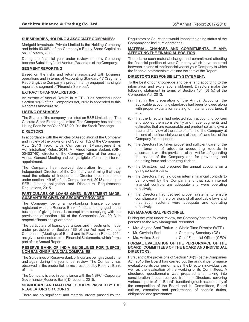#### **SUBSIDIARIES, HOLDING & ASSOCIATE COMPANIES:**

Marigold Investrade Private Limited is the Holding Company and holds 63.08% of the Company's Equity Share Capital as on  $31<sup>st</sup>$  March, 2018.

During the financial year under review, no new Company became Subsidiary/Joint Venture/Associate of the Company.

#### **SEGMENT REPORTING:**

Based on the risks and returns associated with business operations and in terms of Accounting Standard-17 (Segment Reporting), the Company is predominantly engaged in a single reportable segment of 'Financial Services'.

#### **EXTRACT OF ANNUAL RETURN:**

An extract of Annual Return in MGT - 9 as provided under Section 92(3) of the Companies Act, 2013 is appended to this Report as Annexure 'A'.

#### **LISTING OF SHARES:**

The Shares of the company are listed on BSE Limited and The Calcutta Stock Exchange Limited. The Company has paid the Listing Fees for the Year 2018-2019 to the Stock Exchange.

#### **DIRECTORS:**

In accordance with the Articles of Association of the Company and in view of the provisions of Section 152 of the Companies Act, 2013 read with Companies (Management & Administration) Rules, 2014, Mr. Vinod Kumar Sodani, (DIN: 00403740), director of the Company retire at the ensuing Annual General Meeting and being eligible offer himself for reappointment.

The Company has received declaration from all the Independent Directors of the Company confirming that they meet the criteria of Independent Director prescribed both under section 149 (6) of the Companies Act, 2013 and as per SEBI (Listing obligation and Disclosure Requirement) Regulations, 2015.

#### **PARTICULARS OF LOANS GIVEN, INVESTMENT MADE, GUARANTEES GIVEN OR SECURITYPROVIDED:**

The Company, being a non-banking finance company registered with the Reserve Bank of India and engaged in the business of giving loans, is exempt from complying with the provisions of section 186 of the Companies Act, 2013 in respect of loans and guarantees.

The particulars of loans, guarantees and investments made under provisions of Section 186 of the Act read with the Companies (Meetings of Board and its Powers) Rules, 2014 are given under notes to the Financial Statements, which forms part of this Annual Report.

#### **RESERVE BANK OF INDIA GUIDELINES FOR (NBFCS) NON BANKING FINANCIAL COMPANIES:**

The Guidelines of Reserve Bank of India are being revised time and again during the year under review. The Company has observed all the prudential norms prescribed by Reserve Bank of India.

The Company is also in compliance with the NBFC - Corporate Governance (Reserve Bank) Directions, 2015.

#### **SIGNIFICANT AND MATERIAL ORDERS PASSED BY THE REGULATORS OR COURTS:**

There are no significant and material orders passed by the

Regulators or Courts that would impact the going status of the Company and its future operations.

#### **MATERIAL CHANGES AND COMMITMENTS, IF ANY, AFFECTING THE FINANCIALPOSITION:**

There is no such material change and commitment affecting the financial position of your Company which have occurred between the end of the financial year of your Company to which the financial statements relate and the date of the Report.

#### **DIRECTOR'S RESPONSIBILITYSTATEMENT:**

To the best of our knowledge and belief and according to the information and explanations obtained, Directors make the following statement in terms of Section 134 (3) (c) of the Companies Act, 2013:

- (a) that in the preparation of the Annual Accounts, the applicable accounting standards had been followed along with proper explanation relating to material departures, if any;
- (b) that the Directors had selected such accounting policies and applied them consistently and made judgments and estimates that are reasonable and prudent so as to give a true and fair view of the state of affairs of the Company at the end of the financial year and of the profit and loss of the Company for that period;
- (c) the Directors had taken proper and sufficient care for the maintenance of adequate accounting records in accordance with the provisions of this Act for safeguarding the assets of the Company and for preventing and detecting fraud and other irregularities;
- (d) the Directors had prepared the annual accounts on a going concern basis;
- (e) the Directors, had laid down internal financial controls to be followed by the Company and that such internal financial controls are adequate and were operating effectively.
- (f) the Directors had devised proper systems to ensure compliance with the provisions of all applicable laws and that such systems were adequate and operating effectively.

#### **KEY MANAGERIALPERSONNEL:**

During the year under review, the Company has the following persons as the Key Managerial Personnel.

- Mrs. Anjana Soni Thakur : Whole Time Director (WTD)
- Mr. Govinda Soni : Company Secretary (CS)
- Ms. Antima Soni : Chief Financial Officer (CFO)

#### **FORMAL EVALUATION OF THE PERFORMACE OF THE BOARD, COMMITTEES OF THE BOARD AND INDIVIDUAL DIRECTORS:**

Pursuant to the provisions of Section 134(3)(p) the Companies Act, 2013 the Board has carried out the annual performance evaluation of its own performance, the Directors individually as well as the evaluation of the working of its Committees. A structured questionnaire was prepared after taking into consideration inputs received from the Directors, covering various aspects of the Board's functioning such as adequacy of the composition of the Board and its Committees, Board culture, execution and performance of specific duties, obligations and governance.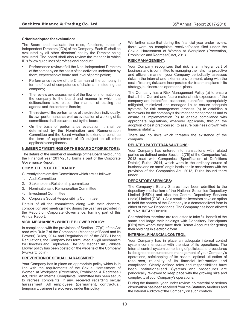#### **Criteria adopted for evaluation:**

The Board shall evaluate the roles, functions, duties of Independent Directors (ID's) of the Company. Each ID shall be evaluated by all other directors' not by the Director being evaluated. The board shall also review the manner in which ID's follow guidelines of professional conduct.

- Performance review of all the Non-Independent Directors of the company on the basis of the activities undertaken by them, expectation of board and level of participation;
- Performance review of the Chairman of the company in terms of level of competence of chairman in steering the company;
- The review and assessment of the flow of information by the company to the board and manner in which the deliberations take place, the manner of placing the agenda and the contents therein;
- The review of the performance of the directors individually, its own performance as well as evaluation of working of its committees shall be carried out by the board;
- On the basis of performance evaluation, it shall be determined by the Nomination and Remuneration Committee and the Board whether to extend or continue the term of appointment of ID subject to all other applicable compliances.

#### **NUMBER OF MEETINGS OF THE BOARD OF DIRECTORS:**

The details of the number of meetings of the Board held during the Financial Year 2017-2018 forms a part of the Corporate Governance Report.

#### **COMMITTEES OF THE BOARD:**

Currently there are five Committees which are as follows:

- 1. Audit Committee
- 2. Stakeholders Relationship committee
- 3. Nomination and Remuneration Committee
- 4. Investment Committee
- 5. Corporate Social Responsibility Committee

Details of all the committees along with their charters, composition and meetings held during the year, are provided in the Report on Corporate Governance, forming part of this Annual Report.

#### **VIGIL MECHANISM / WHISTLE BLOWER POLICY:**

In compliance with the provisions of Section 177(9) of the Act read with Rule 7 of the Companies (Meetings of Board and its Powers) Rules, 2014 and Regulation 22 of the SEBI Listing Regulations, the Company has formulated a vigil mechanism for Directors and Employees. The Vigil Mechanism / Whistle Blower policy has been posted on the website of the Company (www.sftc.co.in).

#### **PREVENTION OF SEXUAL HARASSMENT:**

Your Company has in place an appropriate policy which is in line with the requirements of the Sexual Harassment of Women at Workplace (Prevention, Prohibition & Redressal) Act, 2013. An Internal Complaints Committee has been set up to redress complaints, if any, received regarding sexual harassment. All employees (permanent, contractual, temporary, trainees) are covered under this policy.

We further state that during the financial year under review, there were no complaints received/cases filed under the Sexual Harassment of Women at Workplace (Prevention, Prohibition and Redressal) Act, 2013.

#### **RISK MANAGEMENT:**

Your Company recognizes that risk is an integral part of business and is committed to managing the risks in a proactive and efficient manner; your Company periodically assesses risks in the internal and external environment, along with the cost of treating risks and incorporates risk treatment plans in its strategy, business and operational plans.

The Company has a Risk Management Policy (a) to ensure that all the Current and future material risk exposures of the company are indentified, assessed, quantified, appropriately mitigated, minimized and managed i.e. to ensure adequate systems for risk management process (b) to establish a framework for the company's risk management process and to ensure its implementation (c) to enable compliance with appropriate regulations, wherever applicable, through the adoption of best practices (d) to assure business growth with financial stability.

There are no risks which threaten the existence of the company.

#### **RELATED PARTYTRANSACTIONS:**

Your Company has entered into transactions with related parties as defined under Section 2(76) of the Companies Act, 2013 read with Companies (Specification of Definitions Details) Rules, 2014, which were in the ordinary course of business and on arms' length basis and in accordance with the provision of the Companies Act, 2013, Rules issued there under.

#### **DEPOSITORYSERVICES:**

The Company's Equity Shares have been admitted to the depository mechanism of the National Securities Depository Limited (NSDL) and also the Central Depository Services (India) Limited (CDSL). As a result the investors have an option to hold the shares of the Company in a dematerialized form in either of the two Depositories. The Company has been allotted ISIN No. INE475D01010.

Shareholders therefore are requested to take full benefit of the same and lodge their holdings with Depository Participants [DPs] with whom they have their Demat Accounts for getting their holdings in electronic form.

#### **INTERNALFINANCIAL CONTROL:**

Your Company has in place an adequate internal control system commensurate with the size of its operations. The Internal control system comprising of policies and procedures is designed to ensure sound management of your Company's operations, safekeeping of its assets, optimal utilisation of resources, reliability of its financial information and compliance. Clearly defined roles and responsibilities have been institutionalised. Systems and procedures are periodically reviewed to keep pace with the growing size and complexity of your Company's operations.

During the financial year under review, no material or serious observation has been received from the Statutory Auditors and the Internal Auditors of the Company on such controls.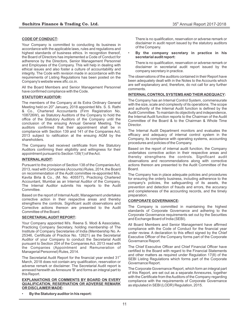#### **CODE OF CONDUCT:**

Your Company is committed to conducting its business in accordance with the applicable laws, rules and regulations and highest standards of business ethics. In recognition thereof, the Board of Directors has implemented a Code of Conduct for adherence by the Directors, Senior Management Personnel and Employees of the Company. This will help in dealing with ethical issues and also foster a culture of accountability and integrity. The Code with revision made in accordance with the requirements of Listing Regulations has been posted on the Company's website www.sftc.co.in.

All the Board Members and Senior Management Personnel have confirmed compliance with the Code.

#### **STATUTORYAUDITOR:**

The members of the Company at its Extra Ordinary General Meeting held on 20<sup>th</sup> January, 2018 appointed M/s. S. S. Rathi & Co., Chartered Accountants (Firm Registration No. 108726W), as Statutory Auditors of the Company to hold the office of the Statutory Auditors of the Company until the conclusion of the ensuing Annual General Meeting. The auditors confirmed that their appointment shall be in compliance with Section 139 and 141 of the Companies Act, 2013 subject to ratification at the ensuing AGM by the shareholders.

The Company had received certificate from the Statutory Auditors confirming their eligibility and willingness for their appointment pursuant to Section 139(1) of the Act.

#### **INTERNALAUDIT:**

Pursuant to the provision of Section 138 of the Companies Act, 2013, read with Companies (Accounts) Rules, 2014, the Board on recommendation of the Audit committee re-appointed M/s. Kavita Birla & Co., (M. No. 405577), Practicing Chartered Accountant, Mumbai as an Internal Auditor of the Company. The Internal Auditor submits his reports to the Audit Committee.

Based on the report of Internal Audit, Management undertakes corrective action in their respective areas and thereby strengthens the controls. Significant audit observations and Corrective actions thereon are presented to the Audit Committee of the Board.

#### **SECRETARIALAUDIT REPORT:**

Your Company appointed M/s. Reena S. Modi & Associates, Practicing Company Secretary, holding membership of The Institute of Company Secretaries of India (Membership No. A-25346, Certificate of Practice No. 12621) as the Secretarial Auditor of your Company to conduct the Secretarial Audit pursuant to Section 204 of the Companies Act, 2013 read with the Companies (Appointment and Remuneration of Managerial Personnel) Rules, 2014.

The Secretarial Audit Report for the financial year ended 31<sup>st</sup> March, 2018 does not contain any qualification, reservation or adverse remark or disclaimer. The Secretarial Audit report is annexed herewith as Annexure 'B' and forms an integral part to this Report.

#### **EXPLANATIONS OR COMMENTS BY BOARD ON EVERY QUALIFICATION, RESERVATION OR ADVERSE REMARK OR DISCLAIMER MADE:**

• **By the Statutory auditor in his report:**

There is no qualification, reservation or adverse remark or disclaimer in audit report issued by the statutory auditors of the Company.

• **By the company secretary in practice in his secretarial audit report:**

There is no qualification, reservation or adverse remark or disclaimer in secretarial audit report issued by the company secretary in practice.

The observations of the auditors contained in their Report have been adequately dealt with in the Notes to the Accounts which are self explanatory and, therefore, do not call for any further comments.

#### **INTERNAL CONTROLSYSTEMS AND THEIR ADEQUACY:**

The Company has an Internal Control System, commensurate with the size, scale and complexity of its operations. The scope and authority of the Internal Audit function is defined by the Audit Committee. To maintain its objectivity and independence, the Internal Audit function reports to the Chairman of the Audit Committee of the Board & to the Chairman & Whole Time Director.

The Internal Audit Department monitors and evaluates the efficacy and adequacy of internal control system in the Company, its compliance with operating systems, accounting procedures and policies of the Company.

Based on the report of internal audit function, the Company undertakes corrective action in their respective areas and thereby strengthens the controls. Significant audit observations and recommendations along with corrective actions thereon are presented to the Audit Committee of the Board.

The Company has in place adequate policies and procedures for ensuring the orderly business, including adherence to the company's policies, the safeguarding of its assets, the prevention and detection of frauds and errors, the accuracy and completeness of the accounting records, and the timely preparation.

#### **CORPORATE GOVERNANCE:**

The Company is committed in maintaining the highest standards of Corporate Governance and adhering to the Corporate Governance requirements set out by the Securities and Exchange Board of India (SEBI).

All Board Members and Senior Management have affirmed compliance with the Code of Conduct for the financial year under review. A declaration to this effect signed by the Chief Executive Officer of the Company forms part of the Corporate Governance Report.

The Chief Executive Officer and Chief Financial Officer have certified to the Board with regard to the Financial Statements and other matters as required under Regulation 17(8) of the SEBI Listing Regulations which forms part of the Corporate Governance Report.

The Corporate Governance Report, which form an integral part of this Report, are set out as a separate Annexures, together with the Certificate from the Auditors of the Company regarding compliance with the requirements of Corporate Governance as stipulated in SEBI (LODR) Regulation, 2015.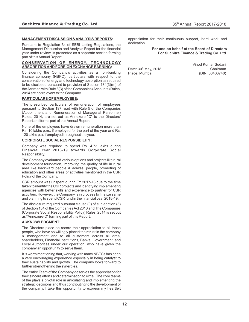#### **MANAGEMENT DISCUSSION & ANALYSIS REPORTS:**

Pursuant to Regulation 34 of SEBI Listing Regulations, the Management Discussion and Analysis Report for the financial year under review, is presented as a separate section forming part of this Annual Report.

#### **CONSERVATION OF ENERGY, TECHNOLOGY ABSORPTION AND FOREIGN EXCHANGE EARNING:**

Considering the Company's activities as a non-banking finance company (NBFC), particulars with respect to the conservation of energy and technology absorption as required to be disclosed pursuant to provision of Section 134(3)(m) of the Act read with Rule 8(3) of the Companies (Accounts) Rules, 2014 are not relevant to the Company.

#### **PARTICULARS OF EMPLOYEES:**

The prescribed particulars of remuneration of employees pursuant to Section 197 read with Rule 5 of the Companies (Appointment and Remuneration of Managerial Personnel) Rules, 2014, are set out as Annexure "C" to the Directors' Report and forms part of this Annual Report.

None of the employees have drawn remuneration more than Rs. 10 lakhs p.m., if employed for the part of the year and Rs. 120 lakhs p.a. if employed throughout the year.

#### **CORPORATE SOCIAL RESPONSIBILITY:**

Company was required to spend Rs. 4.73 lakhs during Financial Year 2018-19 towards Corporate Social Responsibility.

The Company evaluated various options and projects like rural development foundation, improving the quality of life in rural area like backward people & adiwasi people, promoting of education and other areas of activities mentioned in the CSR Policy of the Company.

CSR amount was unspent during FY 2017-18 due to the time taken to identify the CSR projects and identifying implementing agencies with better skills and experience to partner for CSR activities. However, the Company is in process to finalize same and planning to spend CSR fund in the financial year 2018-19.

The disclosure required pursuant clause (0) of sub-section (3) of Section 134 of the Companies Act 2013 and The Companies (Corporate Social Responsibility Policy) Rules, 2014 is set out as "Annexure-D" forming part of this Report.

#### **ACKNOWLEDGMENT:**

The Directors place on record their appreciation to all those people, who have so willingly placed their trust in the company & management and to all customers across all area, shareholders, Financial Institutions, Banks, Government, and Local Authorities under our operation, who have given the company an opportunity to serve them.

It is worth mentioning that, working with many NBFCs has been a very encouraging experience especially in being catalyst to their sustainability and growth. The company looks forward to further strengthening the synergies.

The entire Team of the Company deserves the appreciation for their sincere efforts and determination to excel. The core teams of the plays a pivotal role in articulating and implementing the strategic decisions and thus contributing to the development of the company. I take this opportunity to express my heartfelt appreciation for their continuous support, hard work and dedication.

#### **For and on behalf of the Board of Directors For Suchitra Finance & Trading Co. Ltd.**

Date: 30<sup>th</sup> May, 2018 Chairman<br>Place: Mumbai Chairman (DIN: 00403740)

Vinod Kumar Sodani (DIN: 00403740)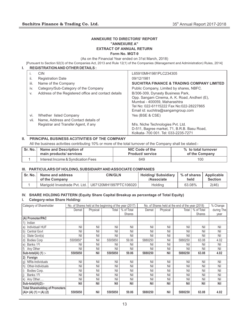#### **ANNEXURE TO DIRECTORS' REPORT "ANNEXURE A" EXTRACT OF ANNUAL RETURN Form No. MGT-9**

(As on the Financial Year ended on 31st March, 2018)

[Pursuant to Section 92(3) of the Companies Act, 2013 and Rule 12(1) of the Companies (Management and Administration) Rules, 2014]

|      | <b>REGISTRATION AND OTHER DETAILS:</b>               |                                                                                                                                                                                                     |
|------|------------------------------------------------------|-----------------------------------------------------------------------------------------------------------------------------------------------------------------------------------------------------|
|      | <b>CIN</b>                                           | L65910MH1981PLC234305                                                                                                                                                                               |
| н.   | <b>Registration Date</b>                             | 09/12/1981                                                                                                                                                                                          |
| iii. | Name of the Company                                  | <b>SUCHITRA FINANCE &amp; TRADING COMPANY LIMITED</b>                                                                                                                                               |
| iv.  | Category/Sub-Category of the Company                 | Public Company, Limited by shares, NBFC.                                                                                                                                                            |
| V.   | Address of the Registered office and contact details | B/306-309, Dynasty Business Park,<br>Opp. Sangam Cinema, A. K. Road, Andheri (E),<br>Mumbai - 400059, Maharashtra<br>Tel No: 022-61115222 Fax No:022-28227865<br>Email id: suchitra@sangamgroup.com |
| VI.  | Whether listed Company                               | Yes (BSE & CSE)                                                                                                                                                                                     |
| vii. | Name, Address and Contact details of                 |                                                                                                                                                                                                     |
|      | Registrar and Transfer Agent, if any                 | M/s. Niche Technologies Pvt. Ltd.<br>D-511, Bagree market, 71, B.R.B. Basu Road,<br>Kolkata- 700 001. Tel: 033-2235-7271                                                                            |

#### **II. PRINCIPAL BUSINESS AC3TIVITIES OF THE COMPANY**

All the business activities contributing 10% or more of the total turnover of the Company shall be stated:-

| Sr. No. I | Name and Description of            | NIC Code of the          | % to total turnover |
|-----------|------------------------------------|--------------------------|---------------------|
|           | main products/ services            | <b>Product</b> / service | of the Company      |
|           | Interest Income & Syndication Fees | 649                      | 100                 |

#### **III. PARTICULARS OF HOLDING, SUBSIDIARYAND ASSOCIATE COMPANIES**

| Sr. No. | Name and address<br>of the Company | <b>CIN/GLN</b>                                        |         | % of shares   Applicable<br>held | <b>Section</b> |
|---------|------------------------------------|-------------------------------------------------------|---------|----------------------------------|----------------|
|         |                                    | Marigold Investrade Pyt. Ltd.   U67120MH1997PTC106020 | Holding | 63.08%                           | 2(46)          |

# **IV. SHARE HOLDING PATTERN (Equity Share Capital Breakup as percentage of Total Equity)**

#### **i. Category-wise Share Holding:**

| Category of Shareholder                  |            | No. of Shares held at the beginning of the year (2017) |            |            |            |            | No. of Shares held at the end of the year (2018) |            | % Change   |
|------------------------------------------|------------|--------------------------------------------------------|------------|------------|------------|------------|--------------------------------------------------|------------|------------|
|                                          | Demat      | Physical                                               | Total      | % of Total | Demat      | Physical   | Total                                            | % of Total | during The |
|                                          |            |                                                        |            | Shares     |            |            |                                                  | Shares     | year       |
| (A) Promoter/PAC                         |            |                                                        |            |            |            |            |                                                  |            |            |
| Indian                                   |            |                                                        |            |            |            |            |                                                  |            |            |
| Individual/HUF<br>a)                     | Nil        | Nil                                                    | Nil        | Nil        | Nil        | Nil        | Nil                                              | Nil        | Nil        |
| $\vert b \rangle$<br><b>Central Govt</b> | Nil        | Nil                                                    | Nil        | Nil        | Nil        | Nil        | Nil                                              | Nil        | Nil        |
| State Govt(s)<br>C)                      | Nil        | Nil                                                    | Nil        | Nil        | Nil        | Nil        | Nil                                              | Nil        | Nil        |
| <b>Bodies Corp</b><br>$\mathsf{d}$       | 5505850*   | Nil                                                    | 5505850    | 59.06      | 5880250    | Nil        | 5880250                                          | 63.08      | 4.02       |
| Banks / Fl<br>$ e\rangle$                | Nil        | Nil                                                    | Nil        | Nil        | Nil        | Nil        | Nil                                              | Nil        | Nil        |
| f<br>Any Other                           | Nil        | Nil                                                    | Nil        | Nil        | Nil        | Nil        | Nil                                              | Nil        | Nil        |
| Sub-total(A) $(1)$ :-                    | 5505850    | Nil                                                    | 5505850    | 59.06      | 5880250    | Nil        | 5880250                                          | 63.08      | 4.02       |
| 2) Foreign                               |            |                                                        |            |            |            |            |                                                  |            |            |
| NRIs-Individuals<br>$ g\rangle$          | Nil        | Nil                                                    | Nil        | Nil        | Nil        | Nil        | Nil                                              | Nil        | Nil        |
| h)<br>Other-Individuals                  | Nil        | Nil                                                    | Nil        | Nil        | Nil        | Nil        | Nil                                              | Nil        | Nil        |
| Bodies Corp.                             | Nil        | Nil                                                    | Nil        | Nil        | Nil        | Nil        | Nil                                              | Nil        | Nil        |
| $\vert$ i)<br>Banks / Fl                 | Nil        | Nil                                                    | Nil        | Nil        | Nil        | Nil        | Nil                                              | Nil        | Nil        |
| $\mathsf{k}$<br>Any Other                | Nil        | Nil                                                    | Nil        | Nil        | Nil        | Nil        | Nil                                              | Nil        | Nil        |
| $Sub-total(A)(2)$ :-                     | <b>Nil</b> | <b>Nil</b>                                             | <b>Nil</b> | Nil        | <b>Nil</b> | <b>Nil</b> | <b>Nil</b>                                       | <b>Nil</b> | <b>Nil</b> |
| Total Shareholding of Promoters          |            |                                                        |            |            |            |            |                                                  |            |            |
| $(A) = (A) (1) + (A) (2)$                | 5505850    | <b>Nil</b>                                             | 5505850    | 59.06      | 5880250    | <b>Nil</b> | 5880250                                          | 63.08      | 4.02       |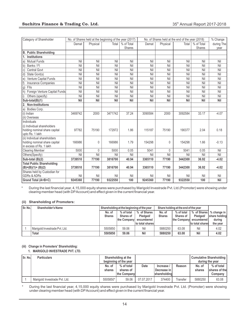| Category of Shareholder                                  |            | No. of Shares held at the beginning of the year (2017) |            |               |            |              | No. of Shares held at the end of the year (2018) |               | % Change   |
|----------------------------------------------------------|------------|--------------------------------------------------------|------------|---------------|------------|--------------|--------------------------------------------------|---------------|------------|
|                                                          | Demat      | Physical                                               | Total      | % of Total    | Demat      | Physical     | Total                                            | % of Total    | during The |
|                                                          |            |                                                        |            | <b>Shares</b> |            |              |                                                  | <b>Shares</b> | year       |
| <b>B. Public Shareholding</b>                            |            |                                                        |            |               |            |              |                                                  |               |            |
| <b>Institutions</b><br>$\cdot$ 1.                        |            |                                                        |            |               |            |              |                                                  |               |            |
| <b>Mutual Funds</b><br> a                                | Nil        | Nil                                                    | Nil        | Nil           | Nil        | Nil          | Nil                                              | Nil           | Nil        |
| Banks / Fl<br>$ b\rangle$                                | Nil        | Nil                                                    | Nil        | Nil           | Nil        | Nil          | Nil                                              | Nil           | Nil        |
| Central Govt<br>$\mathsf{C}$                             | Nil        | Nil                                                    | Nil        | Nil           | Nil        | Nil          | Nil                                              | Nil           | Nil        |
| d)<br>State Govt(s)                                      | Nil        | Nil                                                    | Nil        | Nil           | Nil        | Nil          | Nil                                              | Nil           | Nil        |
| Venture Capital Funds<br>$\vert e \rangle$               | Nil        | Nil                                                    | Nil        | Nil           | Nil        | Nil          | Nil                                              | Nil           | Nil        |
| h)<br><b>Insurance Companies</b>                         | Nil        | Nil                                                    | Nil        | Nil           | Nil        | Nil          | Nil                                              | Nil           | Nil        |
| Flls<br>$ g\rangle$                                      | Nil        | Nil                                                    | Nil        | Nil           | Nil        | Nil          | Nil                                              | Nil           | Nil        |
| Foreign Venture Capital Funds<br>$ h\rangle$             | Nil        | Nil                                                    | Nil        | Nil           | Nil        | Nil          | Nil                                              | Nil           | Nil        |
| Others (specify)<br>i)                                   | Nil        | Nil                                                    | Nil        | Nil           | Nil        | Nil          | Nil                                              | Nil           | Nil        |
| Sub-total(B)(1)                                          | <b>Nil</b> | <b>Nil</b>                                             | <b>Nil</b> | <b>Nil</b>    | <b>Nil</b> | Nil          | Nil                                              | <b>Nil</b>    | Nil        |
| 2. Non-Institutions                                      |            |                                                        |            |               |            |              |                                                  |               |            |
| Bodies Corp.<br>a)                                       |            |                                                        |            |               |            |              |                                                  |               |            |
| (i) Indian                                               | 3469742    | 2000                                                   | 3471742    | 37.24         | 3090584    | 2000         | 3092584                                          | 33.17         | $-4.07$    |
| (ii) Overseas                                            |            |                                                        |            |               |            |              |                                                  |               |            |
| Individuals                                              |            |                                                        |            |               |            |              |                                                  |               |            |
| (i) Individual shareholders                              |            |                                                        |            |               |            |              |                                                  |               |            |
| holding nominal share capital                            | 97782      | 75190                                                  | 172972     | 1.86          | 115187     | 75190        | 190377                                           | 2.04          | 0.18       |
| upto Rs. 1 lakh                                          |            |                                                        |            |               |            |              |                                                  |               |            |
| (ii) Individual shareholders                             |            |                                                        |            |               |            |              |                                                  |               |            |
| holding nominal share capital<br>in excess of Rs. 1 lakh | 166986     | 0                                                      | 166986     | 1.79          | 154298     | 0            | 154298                                           | 1.66          | $-0.13$    |
|                                                          | 5000       | 0                                                      | 5000       | 0.05          | 5041       | $\mathbf{0}$ | 5041                                             | 0.05          | Nil        |
| <b>Clearing Member</b>                                   | Nil        | Nil                                                    | Nil        | Nil           | Nil        | Nil          | Nil                                              | Nil           | Nil        |
| Others(Specify)                                          | 3739510    | 77190                                                  | 3816700    | 40.94         | 3365110    | 77190        | 3442300                                          | 36.92         | $-4.02$    |
| Sub-total (B)(2)                                         |            |                                                        |            |               |            |              |                                                  |               |            |
| <b>Total Public Shareholding</b><br>$(B)=(B)(1)+(B)(2)$  | 3739510    | 77190                                                  | 3816700    | 40.94         | 3365110    | 77190        | 3442300                                          | 36.92         | $-4.02$    |
| Shares held by Custodian for                             |            |                                                        |            |               |            |              |                                                  |               |            |
| <b>GDRs &amp; ADRs</b>                                   | Nil        | Nil                                                    | Nil        | Nil           | Nil        | Nil          | Nil                                              | Nil           | Nil        |
| Grand Total (A+B+C)                                      | 9245360    | 77190                                                  | 9322550    | 100           | 9245360    | 77190        | 9322550                                          | 100           | Nil        |

\* During the last financial year, 4,15,000 equity shares were purchased by Marigold Investrade Pvt. Ltd.(Promoter) were showing under clearing member head (with DPAccount) and effect given in the current financial year.

#### **(ii) Shareholding of Promoters:**

| l Sr. No.l | <b>Shareholder's Name</b>     | Shareholding at the beginning of the year |                  |                  | Share holding at the end of the year |            |                         |                           |
|------------|-------------------------------|-------------------------------------------|------------------|------------------|--------------------------------------|------------|-------------------------|---------------------------|
|            |                               | No. of                                    | % of total       | % of Shares      | No. of                               | % of total |                         | % of Shares   % change in |
|            |                               | <b>Shares</b>                             | <b>Shares of</b> | Pledaed/         | <b>Shares</b>                        | Shares of  | Pledged/                | share holding             |
|            |                               |                                           | the Company!     | encumbered       |                                      |            | the Company encumbered! | during                    |
|            |                               |                                           |                  | to total sharesl |                                      |            | to total shares         | the year                  |
|            | Marigold Investrade Pvt. Ltd. | 5505850                                   | 59.06            | Nil              | 5880250                              | 63.08      | Nil                     | 4.02                      |
|            | <b>Total</b>                  | 5505850                                   | 59.06            | Nil              | 5880250                              | 63.08      | Nil                     | 4.02                      |

#### **(iii) Change in Promoters' Shareholding:**

#### **1. MARIGOLD INVESTRADE PVT. LTD.**

| l Sr. No. | <b>Particulars</b>            |                  | Shareholding at the<br>beginning of the year |             |                                                  |          | <b>Cumulative Shareholding</b><br>during the year |                                        |  |
|-----------|-------------------------------|------------------|----------------------------------------------|-------------|--------------------------------------------------|----------|---------------------------------------------------|----------------------------------------|--|
|           |                               | No. of<br>shares | % of total<br>shares of<br>the Company       | <b>Date</b> | Increase /<br>Decrease in<br><b>shareholdind</b> | Reason   | No. of<br>shares                                  | % of total<br>shares of the<br>Company |  |
|           | Marigold Investrade Pvt. Ltd. | 5505850*         | 59.06                                        | 07.07.2017  | 374400                                           | Transfer | 5880250                                           | 63.08                                  |  |

During the last financial year, 4,15,000 equity shares were purchased by Marigold Investrade Pvt. Ltd. (Promoter) were showing under clearing member head (with DPAccount) and effect given in the current financial year.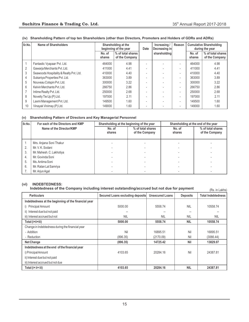| Sr.No. | Name of Shareholders                    | Shareholding at the<br>beginning of the year |                                     | Date                     | Increasing /<br>Decreasing in | Reason                   |                  | <b>Cumulative Shareholding</b><br>during the year |
|--------|-----------------------------------------|----------------------------------------------|-------------------------------------|--------------------------|-------------------------------|--------------------------|------------------|---------------------------------------------------|
|        |                                         | No. of<br>shares                             | % of total shares<br>of the Company |                          | shareholding                  |                          | No. of<br>shares | % of total shares<br>of the Company               |
|        | Fantastic Vyapaar Pvt. Ltd.             | 464000                                       | 4.98                                |                          |                               | ۰                        | 464000           | 4.98                                              |
|        | Gawarja Merchants Pvt. Ltd.             | 411000                                       | 4.41                                | $\overline{\phantom{a}}$ |                               | ٠                        | 411000           | 4.41                                              |
| 3      | Seawoods Hospitality & Realty Pvt. Ltd. | 410000                                       | 4.40                                |                          |                               | ٠                        | 410000           | 4.40                                              |
| 4      | Sukaniya Properties Pvt. Ltd.           | 363000                                       | 3.89                                |                          |                               | ۰                        | 363000           | 3.89                                              |
| 5      | Nouveau Cotspin Pvt. Ltd.               | 300000                                       | 3.22                                |                          |                               | ٠                        | 300000           | 3.22                                              |
| 6      | Kelvin Merchants Pvt. Ltd.              | 266750                                       | 2.86                                |                          |                               | ٠                        | 266750           | 2.86                                              |
|        | Intime Realty Pvt. Ltd.                 | 250000                                       | 2.68                                |                          |                               | $\overline{\phantom{a}}$ | 250000           | 2.68                                              |
| 8      | Novelty Tie Up (P) Ltd.                 | 197000                                       | 2.11                                |                          |                               | $\overline{\phantom{a}}$ | 197000           | 2.11                                              |
| 9      | Laxmi Management Pvt. Ltd.              | 149500                                       | 1.60                                | -                        |                               | $\overline{\phantom{a}}$ | 149500           | 1.60                                              |
| 10     | Vinayak Vinimay (P) Ltd.                | 149000                                       | 1.60                                |                          |                               |                          | 149000           | 1.60                                              |

#### **(iv) Shareholding Pattern of top ten Shareholders (other than Directors, Promoters and Holders of GDRs and ADRs)**

#### **(v) Shareholding Pattern of Directors and Key Managerial Personnel**

| Sr.No. | For each of the Directors and KMP | Shareholding at the beginning of the year |                                     |                  | Shareholding at the end of the year |
|--------|-----------------------------------|-------------------------------------------|-------------------------------------|------------------|-------------------------------------|
|        | Name of the Director/KMP          | No. of<br>shares                          | % of total shares<br>of the Company | No. of<br>shares | % of total shares<br>of the Company |
|        | Mrs. Anjana Soni Thakur           |                                           |                                     |                  |                                     |
| 2.     | Mr. V. K. Sodani                  |                                           |                                     |                  |                                     |
| 3      | Mr. Mahesh. C. Lakhotiya          |                                           |                                     |                  |                                     |
| 4.     | Mr. Govinda Soni                  |                                           |                                     |                  |                                     |
| 5.     | Ms. Antima Soni                   |                                           |                                     |                  |                                     |
| 6.     | Mr. Ratan Lal Samriya             |                                           |                                     |                  |                                     |
|        | Mr. Arjun Agal                    |                                           |                                     |                  |                                     |

#### **(vi) INDEBTEDNESS:**

|  |  |  | Indebtedness of the Company including interest outstanding/accrued but not due for payment |
|--|--|--|--------------------------------------------------------------------------------------------|
|  |  |  |                                                                                            |

| Indebtedness of the Company including interest outstanding/accrued but not due for payment<br>(Rs. in Lakhs) |                                  |                        |                 |                           |
|--------------------------------------------------------------------------------------------------------------|----------------------------------|------------------------|-----------------|---------------------------|
| <b>Particulars</b>                                                                                           | Secured Loans excluding deposits | <b>Unsecured Loans</b> | <b>Deposits</b> | <b>Total Indebtedness</b> |
| Indebtedness at the beginning of the financial year                                                          |                                  |                        |                 |                           |
| <b>Principal Amount</b>                                                                                      | 5000.00                          | 5558.74                | <b>NIL</b>      | 10558.74                  |
| ii) Interest due but not paid                                                                                |                                  |                        |                 |                           |
| iii) Interest accrued but not                                                                                | <b>NIL</b>                       | <b>NIL</b>             | <b>NIL</b>      | <b>NIL</b>                |
| Total (i+ii+iii)                                                                                             | 5000.00                          | 5558.74                | <b>NIL</b>      | 10558.74                  |
| Change in Indebtedness during the financial year                                                             |                                  |                        |                 |                           |
| - Addition                                                                                                   | Nil                              | 16895.51               | Nil             | 16895.51                  |
| - Reduction                                                                                                  | (896.35)                         | (2170.09)              | Nil             | (3066.44)                 |
| <b>Net Change</b>                                                                                            | (896.35)                         | 14725.42               | <b>Nil</b>      | 13829.07                  |
| Indebtedness at the end of the financial year                                                                |                                  |                        |                 |                           |
| i) Principal Amount                                                                                          | 4103.65                          | 20284.16               | Nil             | 24387.81                  |
| ii) Interest due but not paid                                                                                |                                  |                        |                 |                           |
| iii) Interest accrued but not due                                                                            |                                  |                        |                 |                           |
| Total (i+ii+iii)                                                                                             | 4103.65                          | 20284.16               | <b>NIL</b>      | 24387.81                  |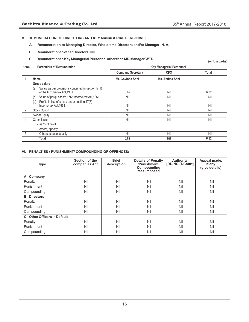#### **V. REMUNERATION OF DIRECTORS AND KEY MANAGERIAL PERSONNEL**

- **A. Remuneration to Managing Director, Whole-time Directors and/or Manager: N. A.**
- **B. Remuneration to other Directors: NIL**
- **C. Remuneration to Key Managerial Personnel other than MD/Manager/WTD**

(Amt. in Lakhs)

| Sr.No. | <b>Particulars of Remuneration</b>                                                       | <b>Key Managerial Personnel</b> |                 |       |
|--------|------------------------------------------------------------------------------------------|---------------------------------|-----------------|-------|
|        |                                                                                          | <b>Company Secretary</b>        | <b>CFO</b>      | Total |
|        | Name                                                                                     | Mr. Govinda Soni                | Ms. Antima Soni |       |
|        | <b>Gross salary</b>                                                                      |                                 |                 |       |
|        | Salary as per provisions contained in section17(1)<br>(a)<br>of the Income-tax Act, 1961 | 6.82                            | Nil             | 6.82  |
|        | Value of perquisites/s 17(2)Income-tax Act, 1961<br>(b)                                  | Nil                             | Nil             | Nil   |
|        | Profits in lieu of salary under section 17(3)<br>(c)<br>Income-tax Act, 1961             | Nil                             | Nil             | Nil   |
| 2.     | <b>Stock Option</b>                                                                      | Nil                             | Nil             | Nil   |
| 3.     | <b>Sweat Equity</b>                                                                      | Nil                             | Nil             | Nil   |
| 4.     | Commission                                                                               | Nil                             | Nil             | Nil   |
|        | - as % of profit                                                                         |                                 |                 |       |
|        | - others, specify                                                                        |                                 |                 |       |
| 5.     | Others, please specify                                                                   | Nil                             | Nil             | Nil   |
|        | Total                                                                                    | 6.82                            | <b>Nil</b>      | 6.82  |

#### **VI. PENALTIES / PUNISHMENT/ COMPOUNDING OF OFFENCES:**

| <b>Type</b>                  | Section of the<br>companies Act | <b>Brief</b><br>description | Details of Penalty<br>/Punishment/<br>Compounding<br>fees imposed | <b>Authority</b><br>[RD/NCLT/Court] | Appeal made.<br>If any<br>(give details) |
|------------------------------|---------------------------------|-----------------------------|-------------------------------------------------------------------|-------------------------------------|------------------------------------------|
| A. Company                   |                                 |                             |                                                                   |                                     |                                          |
| Penalty                      | Nil                             | Nil                         | Nil                                                               | Nil                                 | Nil                                      |
| Punishment                   | Nil                             | Nil                         | Nil                                                               | Nil                                 | Nil                                      |
| Compounding                  | Nil                             | Nil                         | Nil                                                               | Nil                                 | Nil                                      |
| <b>B.</b> Directors          |                                 |                             |                                                                   |                                     |                                          |
| Penalty                      | Nil                             | Nil                         | Nil                                                               | Nil                                 | Nil                                      |
| Punishment                   | Nil                             | Nil                         | Nil                                                               | Nil                                 | Nil                                      |
| Compounding                  | Nil                             | Nil                         | Nil                                                               | Nil                                 | Nil                                      |
| C. Other Officers In Default |                                 |                             |                                                                   |                                     |                                          |
| Penalty                      | Nil                             | Nil                         | Nil                                                               | Nil                                 | Nil                                      |
| Punishment                   | Nil                             | Nil                         | Nil                                                               | Nil                                 | Nil                                      |
| Compounding                  | Nil                             | Nil                         | Nil                                                               | Nil                                 | Nil                                      |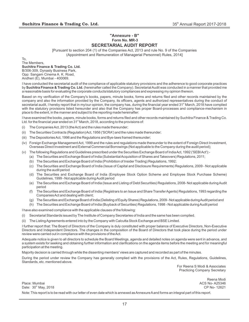# **"Annexure - B" Form No. MR-3**

# **SECRETARIAL AUDIT REPORT**

[Pursuant to section 204 (1) of the Companies Act, 2013 and rule No. 9 of the Companies (Appointment and Remuneration of Managerial Personnel) Rules, 2014]

To, The Members, **Suchitra Finance & Trading Co. Ltd.** B/306-309, Dynasty Business Park, Opp: Sangam Cinema A. K. Road, Andheri (E), Mumbai - 400069.

I have conducted the secretarial audit of the compliance of applicable statutory provisions and the adherence to good corporate practices by **Suchitra Finance & Trading Co. Ltd.** (hereinafter called the Company). Secretarial Audit was conducted in a manner that provided me a reasonable basis for evaluating the corporate conducts/statutory compliances and expressing my opinion thereon.

Based on my verification of the Company's books, papers, minute books, forms and returns filed and other records maintained by the company and also the information provided by the Company, its officers, agents and authorized representatives during the conduct of secretarial audit, I hereby report that in my/our opinion, the company has, during the financial year ended 31<sup>st</sup> March, 2018 have complied with the statutory provisions listed hereunder and also that the Company has proper Board-processes and compliance-mechanism in place to the extent, in the manner and subject to the reporting made hereinafter:

I have examined the books, papers, minute books, forms and returns filed and other records maintained by Suchitra Finance & Trading Co. Ltd. for the financial year ended on 31<sup>st</sup> March, 2018, according to the provisions of:

- (i) The Companies Act, 2013 (the Act) and the rules made thereunder;
- (ii) The Securities Contracts (Regulation) Act, 1956 ('SCRA') and the rules made thereunder;
- (iii) The Depositories Act, 1996 and the Regulations and Bye-laws framed thereunder;
- (iv) Foreign Exchange Management Act, 1999 and the rules and regulations made thereunder to the extent of Foreign Direct Investment, Overseas Direct Investment and External Commercial Borrowings (Not applicable to the Company during the audit period);
- (v) The following Regulations and Guidelines prescribed under the Securities Exchange Board of India Act, 1992 ('SEBI Act'):-
	- (a) The Securities and Exchange Board of India (Substantial Acquisition of Shares and Takeovers) Regulations, 2011;
	- (b) The Securities and Exchange Board of India (Prohibition of Insider Trading) Regulations, 1992;
	- (c) The Securities and Exchange Board of India (Issue of Capital and Disclosure Requirements) Regulations, 2009 Not applicable during the audit period
	- (d) The Securities and Exchange Board of India (Employee Stock Option Scheme and Employee Stock Purchase Scheme) Guidelines, 1999 - Not applicable during Audit period
	- (e) The Securities and Exchange Board of India (Issue and Listing of Debt Securities) Regulations, 2008- Not applicable during Audit period
	- (f) The Securities and Exchange Board of India (Registrars to an Issue and Share Transfer Agents) Regulations, 1993 regarding the Companies Act and dealing with client;
	- (g) The Securities and Exchange Board of India (Delisting of Equity Shares) Regulations, 2009 Not applicable during Audit period and
	- (h) The Securities and Exchange Board of India (Buyback of Securities) Regulations, 1998 Not applicable during Audit period

I have also examined compliance with the applicable clauses of the following:

- (i) Secretarial Standards issued by The Institute of Company Secretaries of India and the same has been complied.
- (ii) The Listing Agreements entered into by the Company with Calcutta Stock Exchange and BSE Limited.

I further report that: The Board of Directors of the Company is duly constituted with proper balance of Executive Directors, Non-Executive Directors and Independent Directors. The changes in the composition of the Board of Directors that took place during the period under review were carried out in compliance with the provisions of the Act.

Adequate notice is given to all directors to schedule the Board Meetings, agenda and detailed notes on agenda were sent in advance, and a system exists for seeking and obtaining further information and clarifications on the agenda items before the meeting and for meaningful participation at the meeting.

Majority decision is carried through while the dissenting members' views are captured and recorded as part of the minutes.

During the period under review the Company has generally complied with the provisions of the Act, Rules, Regulations, Guidelines, Standards, etc. mentioned above.

> For Reena S Modi & Associates Practicing Company Secretary

Reena Modi Place: Mumbai ACS No- A25346 the Date: 30<sup>th</sup> May, 2018 CP No- 12621 Note: This report is to be read with our letter of even date which is annexed as Annexure Aand forms an integral part of this report.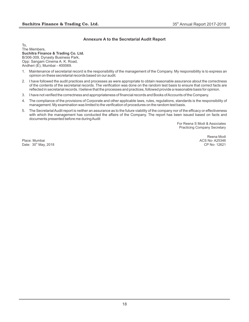#### **Annexure A to the Secretarial Audit Report**

To, The Members, **Suchitra Finance & Trading Co. Ltd.** B/306-309, Dynasty Business Park, Opp: Sangam Cinema A. K. Road, Andheri (E), Mumbai - 400069.

- 1. Maintenance of secretarial record is the responsibility of the management of the Company. My responsibility is to express an opinion on these secretarial records based on our audit.
- 2. I have followed the audit practices and processes as were appropriate to obtain reasonable assurance about the correctness of the contents of the secretarial records. The verification was done on the random test basis to ensure that correct facts are reflected in secretarial records. I believe that the processes and practices, followed provide a reasonable basis for opinion.
- 3. I have not verified the correctness and appropriateness of financial records and Books of Accounts of the Company.
- 4. The compliance of the provisions of Corporate and other applicable laws, rules, regulations, standards is the responsibility of management. My examination was limited to the verification of procedures on the random test basis.
- 5. The Secretarial Audit report is neither an assurance as to the future viability of the company nor of the efficacy or effectiveness with which the management has conducted the affairs of the Company. The report has been issued based on facts and documents presented before me during Audit

For Reena S Modi & Associates Practicing Company Secretary

Place: Mumbai ACS No- A25346<br>
Date: 30<sup>th</sup> May, 2018 **CD** No- 12621 Date:  $30<sup>th</sup>$  May, 2018

Reena Modi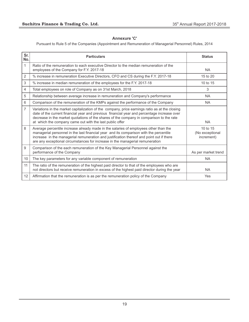## **Annexure 'C'**

Pursuant to Rule 5 of the Companies (Appointment and Remuneration of Managerial Personnel) Rules, 2014

| Sr.<br>No.      | <b>Particulars</b>                                                                                                                                                                                                                                                                                                                                          | <b>Status</b>                             |
|-----------------|-------------------------------------------------------------------------------------------------------------------------------------------------------------------------------------------------------------------------------------------------------------------------------------------------------------------------------------------------------------|-------------------------------------------|
| 1               | Ratio of the remuneration to each executive Director to the median remuneration of the<br>employees of the Company for F.Y. 2017-18                                                                                                                                                                                                                         | <b>NA</b>                                 |
| 2               | % increase in remuneration Executive Directors, CFO and CS during the F.Y. 2017-18                                                                                                                                                                                                                                                                          | 15 to 20                                  |
| 3               | % increase in median remuneration of the employees for the F.Y. 2017-18                                                                                                                                                                                                                                                                                     | 10 to 15                                  |
| 4               | Total employees on role of Company as on 31st March, 2018                                                                                                                                                                                                                                                                                                   | 3                                         |
| 5               | Relationship between average increase in remuneration and Company's performance                                                                                                                                                                                                                                                                             | <b>NA</b>                                 |
| 6               | Comparison of the remuneration of the KMPs against the performance of the Company                                                                                                                                                                                                                                                                           | <b>NA</b>                                 |
| $\overline{7}$  | Variations in the market capitalization of the company, price earnings ratio as at the closing<br>date of the current financial year and previous financial year and percentage increase over<br>decrease in the market quotations of the shares of the company in comparison to the rate<br>at which the company came out with the last public offer       | <b>NA</b>                                 |
| 8               | Average percentile increase already made in the salaries of employees other than the<br>managerial personnel in the last financial year and its comparison with the percentile<br>increase in the managerial remuneration and justification thereof and point out if there<br>are any exceptional circumstances for increase in the managerial remuneration | 10 to 15<br>(No exceptional<br>increment) |
| 9               | Comparison of the each remuneration of the Key Managerial Personnel against the<br>performance of the Company                                                                                                                                                                                                                                               | As per market trend                       |
| 10 <sup>°</sup> | The key parameters for any variable component of remuneration                                                                                                                                                                                                                                                                                               | <b>NA</b>                                 |
| 11              | The ratio of the remuneration of the highest paid director to that of the employees who are<br>not directors but receive remuneration in excess of the highest paid director during the year                                                                                                                                                                | <b>NA</b>                                 |
| 12              | Affirmation that the remuneration is as per the remuneration policy of the Company                                                                                                                                                                                                                                                                          | Yes                                       |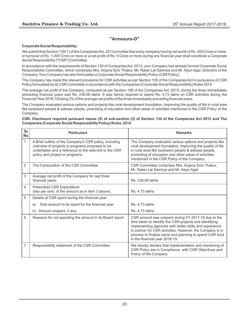# **"Annexure-D"**

#### **Corporate Social Responsibility:**

We submit that Section 135(1) of the Companies Act, 2013 provides that every company having net worth of Rs. 500 Crore or more, or turnover of Rs. 1,000 Crore or more or a net profit of Rs. 5 Crore or more during any financial year shall constitute a Corporate Social Responsibility ("CSR") Committee.

In accordance with the requirements of Section 135 of Companies Act, 2013, your Company has already formed Corporate Social Responsibility Committee, which comprises Mrs. Anjana Soni Thakur, Mr. Ratan Lal Samriya and Mr. Arjun Agal, Directors of the Company. Your Company has also formulated a Corporate Social Responsibility Policy (CSR Policy).

The Company has made the relevant provisions for CSR activities as per Section 135 of the Companies Act in pursuance of CSR Policy formulated by its CSR Committee in accordance with the Companies (Corporate Social Responsibility) Rules 2014.

The average net profit of the Company, computed as per Section 198 of the Companies Act, 2013, during the three immediately preceding financial years was Rs. 236.69 lakhs. It was hence required to spend Rs. 4.73 lakhs on CSR activities during the Financial Year 2018-19 being 2% of the average net profits of the three immediately preceding financial years.

The Company evaluated various options and projects like rural development foundation, improving the quality of life in rural area like backward people & adiwasi people, promoting of education and other areas of activities mentioned in the CSR Policy of the Company.

#### **CSR- Disclosure required pursuant clause (0) of sub-section (3) of Section 134 of the Companies Act 2013 and The Companies (Corporate Social Responsibility Policy) Rules, 2014**

| Sr.<br>No. | <b>Particulars</b>                                                                                                                                                                                    | <b>Remarks</b>                                                                                                                                                                                                                                                                                                                      |
|------------|-------------------------------------------------------------------------------------------------------------------------------------------------------------------------------------------------------|-------------------------------------------------------------------------------------------------------------------------------------------------------------------------------------------------------------------------------------------------------------------------------------------------------------------------------------|
| 1          | A Brief outline of the Company's CSR policy, including<br>overview of projects or programs proposed to be<br>undertaken and a reference to the web-link to the CSR<br>policy and project or programs. | The Company evaluated various options and projects like<br>rural development foundation, improving the quality of life<br>in rural area like backward people & adiwasi people,<br>promoting of education and other areas of activities<br>mentioned in the CSR Policy of the Company.                                               |
| 2          | The Composition of the CSR Committee.                                                                                                                                                                 | CSR Committee comprises Mrs. Anjana Soni Thakur,<br>Mr. Ratan Lal Samriya and Mr. Arjun Agal.                                                                                                                                                                                                                                       |
| 3          | Average net profit of the Company for last three<br>financial years.                                                                                                                                  | Rs. 236.69 lakhs                                                                                                                                                                                                                                                                                                                    |
| 4          | Prescribed CSR Expenditure<br>(two per cent. of the amount as in item 3 above).                                                                                                                       | <b>Rs. 4.73 lakhs</b>                                                                                                                                                                                                                                                                                                               |
| 5          | Details of CSR spent during the financial year:                                                                                                                                                       |                                                                                                                                                                                                                                                                                                                                     |
|            | Total amount to be spent for the financial year<br>a)                                                                                                                                                 | Rs. 4.73 lakhs                                                                                                                                                                                                                                                                                                                      |
|            | b) Amount unspent, if any;                                                                                                                                                                            | <b>Rs. 4.73 lakhs</b>                                                                                                                                                                                                                                                                                                               |
| 6          | Reasons for not spending the amount in its Board report                                                                                                                                               | CSR amount was unspent during FY 2017-18 due to the<br>time taken to identify the CSR projects and identifying<br>implementing agencies with better skills and experience<br>to partner for CSR activities. However, the Company is in<br>process to finalize same and planning to spend CSR fund<br>in the financial year 2018-19. |
| 7          | Responsibility statement of the CSR Committee                                                                                                                                                         | We hereby declare that implementation and monitoring of<br>CSR Policy are in Compliance with CSR Objectives and<br>Policy of the Company                                                                                                                                                                                            |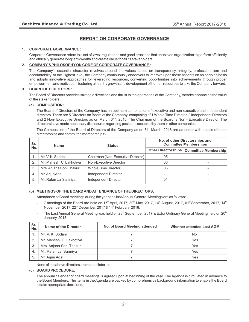# **REPORT ON CORPORATE GOVERNANCE**

#### **1. CORPORATE GOVERNANCE :**

Corporate Governance refers to a set of laws, regulations and good practices that enable an organization to perform efficiently and ethically generate long term wealth and create value for all its stakeholders.

#### **2. COMPANY'S PHILOSOPHYON CODE OF CORPORATE GOVERNANCE :**

The Company's essential character revolves around the values based on transparency, integrity, professionalism and accountability. At the Highest level, the Company continuously endeavors to improve upon these aspects on an ongoing basis and adopts innovative approaches for leveraging resources, converting opportunities into achievements through proper empowerment and motivation, fostering a healthy growth and development of human resources to take the Company forward.

#### **3. BOARD OF DIRECTORS :**

The Board of Directors provides strategic directions and thrust to the operations of the Company, thereby enhancing the value of the stakeholders.

#### **(a) COMPOSITION:**

The Board of Directors of the Company has an optimum combination of executive and non-executive and independent directors. There are 5 Directors on Board of the Company, comprising of 1 Whole Time Director, 2 Independent Directors and 2 Non- Executive Directors as on March 31<sup>st</sup>, 2018. The Chairman of the Board is Non - Executive Director. The directors have made necessary disclosures regarding positions occupied by them in other companies.

The Composition of the Board of Directors of the Company as on 31<sup>st</sup> March, 2018 are as under with details of other directorships and committee memberships:-

| Sr. | <b>Name</b>              | <b>Status</b>                     | No. of other Directorships and<br><b>Committee Memberships</b> |                                            |
|-----|--------------------------|-----------------------------------|----------------------------------------------------------------|--------------------------------------------|
| No. |                          |                                   |                                                                | Other Directorships   Committee Membership |
|     | Mr. V. K. Sodani         | Chairman (Non-Executive Director) | 05                                                             |                                            |
| 2.  | Mr. Mahesh. C. Lakhotiya | Non-Executive Director            | 06                                                             |                                            |
| -3. | Mrs. Anjana Soni Thakur  | <b>Whole Time Director</b>        | 05                                                             |                                            |
| 4.  | Mr. Arjun Agal           | Independent Director              |                                                                |                                            |
| 5.  | Mr. Ratan Lal Samriya    | Independent Director              | 01                                                             |                                            |

#### **(b) MEETINGS OF THE BOARD AND ATTENDANCE OF THE DIRECTORS:**

Attendance at Board meetings during the year and last Annual General Meetings are as follows:

- $-$  7 meetings of the Board are held on 17<sup>th</sup> April, 2017, 30<sup>th</sup> May, 2017, 14<sup>th</sup> August, 2017, 01<sup>st</sup> September, 2017, 14<sup>th</sup> November, 2017, 22<sup>nd</sup> December, 2017 & 14<sup>th</sup> February, 2018.
- The Last Annual General Meeting was held on 28 $^{\text{\tiny th}}$  September, 2017 & Extra Ordinary General Meeting held on 20 $^{\text{\tiny th}}$ January, 2018.

| Sr.<br>No. | Name of the Director     | No. of Board Meeting attended | <b>Whether attended Last AGM</b> |
|------------|--------------------------|-------------------------------|----------------------------------|
|            | Mr. V. K. Sodani         |                               | No                               |
| 2.         | Mr. Mahesh. C. Lakhotiya |                               | Yes                              |
| 3.         | Mrs. Anjana Soni Thakur  |                               | Yes                              |
| 4.         | Mr. Ratan Lal Samriya    |                               | Yes                              |
| 5          | Mr. Arjun Agal           |                               | Yes                              |

None of the above directors are related inter-se.

#### **(c) BOARD PROCEDURE:**

The annual calendar of board meetings is agreed upon at beginning of the year. The Agenda is circulated in advance to the Board Members. The items in the Agenda are backed by comprehensive background information to enable the Board to take appropriate decisions.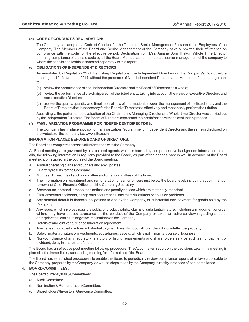#### **(d) CODE OF CONDUCT & DECLARATION:**

The Company has adopted a Code of Conduct for the Directors, Senior Management Personnel and Employees of the Company. The Members of the Board and Senior Management of the Company have submitted their affirmation on compliance with the code for the effective period. Declaration from Mrs. Anjana Soni Thakur, Whole Time Director affirming compliance of the said code by all the Board Members and members of senior management of the company to whom the code is applicable is annexed separately to this report.

#### **(e) OBLIGATIONS OF INDEPENDENT DIRECTORS:**

As mandated by Regulation 25 of the Listing Regulations, the Independent Directors on the Company's Board held a meeting on 10<sup>th</sup> November, 2017 without the presence of Non-Independent Directors and Members of the management to:

- (a) review the performance of non-independent Directors and the Board of Directors as a whole;
- (b) review the performance of the chairperson of the listed entity, taking into account the views of executive Directors and non-executive Directors;
- (c) assess the quality, quantity and timeliness of flow of information between the management of the listed entity and the Board of Directors that is necessary for the Board of Directors to effectively and reasonably perform their duties.

Accordingly, the performance evaluation of the Chairman & Managing Director and Whole-time Director was carried out by the Independent Directors. The Board of Directors expressed their satisfaction with the evaluation process.

#### **(f) FAMILIARISATION PROGRAMME FOR INDEPENDENT DIRECTORS:**

The Company has in place a policy for Familiarization Programme for Independent Director and the same is disclosed on the website of the company i.e. www.sftc.co.in.

#### **INFORMATION PLACED BEFORE BOARD OF DIRECTORS:**

The Board has complete access to all information with the Company.

All Board meetings are governed by a structured agenda which is backed by comprehensive background information. Interalia, the following information is regularly provided to the Board, as part of the agenda papers well in advance of the Board meetings, or is tabled in the course of the Board meeting:

- a. Annual operating plans and budgets and any updates.
- b. Quarterly results for the Company.
- c. Minutes of meetings of audit committee and other committees of the board.
- d. The information on recruitment and remuneration of senior officers just below the board level, including appointment or removal of Chief Financial Officer and the Company Secretary.
- e. Show cause, demand, prosecution notices and penalty notices which are materially important.
- f. Fatal or serious accidents, dangerous occurrences, any material effluent or pollution problems.
- g. Any material default in financial obligations to and by the Company, or substantial non-payment for goods sold by the Company.
- h. Any issue, which involves possible public or product liability claims of substantial nature, including any judgment or order which, may have passed structures on the conduct of the Company or taken an adverse view regarding another enterprise that can have negative implications on the Company.
- i. Details of any joint venture or collaboration agreement.
- j. Any transactions that involves substantial payment towards goodwill, brand equity, or intellectual property.
- k. Sale of material, nature of investments, subsidiaries, assets, which is not in normal course of business.
- l. Non-compliance of any regulatory, statutory or listing requirements and shareholders service such as nonpayment of dividend, delay in share transfer etc.

The Board has an effective post meeting follow up procedure. The Action taken report on the decisions taken in a meeting is placed at the immediately succeeding meeting for information of the Board.

The Board has established procedures to enable the Board to periodically review compliance reports of all laws applicable to the Company, prepared by the Company, as well as steps taken by the Company to rectify instances of non-compliance.

#### **4. BOARD COMMITTEES :**

- The Board currently has 5 Committees:
- (a) Audit Committee.
- (b) Nomination & Remuneration Committee.
- (c) Shareholders'/Investors' Grievance Committee.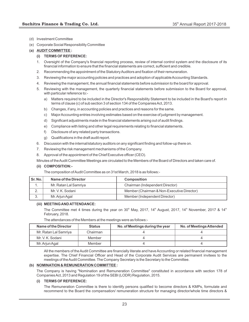- (d) Investment Committee
- (e) Corporate Social Responsibility Committee

#### **(a) AUDIT COMMITTEE :**

#### **(i) TERMS OF REFERENCE:**

- 1. Oversight of the Company's financial reporting process, review of internal control system and the disclosure of its financial information to ensure that the financial statements are correct, sufficient and credible.
- 2. Recommending the appointment of the Statutory Auditors and fixation of their remuneration.
- 3. Reviewing the major accounting policies and practices and adoption of applicable Accounting Standards.
- 4. Reviewing the management, the annual financial statements before submission to the board for approval.
- 5. Reviewing with the management, the quarterly financial statements before submission to the Board for approval, with particular reference to:
	- a) Matters required to be included in the Director's Responsibility Statement to be included in the Board's report in terms of clause (c) of sub section 3 of section 134 of the Companies Act, 2013.
	- b) Changes, if any, in accounting policies and practices and reasons for the same.
	- c) Major Accounting entries involving estimates based on the exercise of judgment by management.
	- d) Significant adjustments made in the financial statements arising out of audit findings.
	- e) Compliance with listing and other legal requirements relating to financial statements.
	- f) Disclosure of any related party transactions.
	- g) Qualifications in the draft audit report.
- 6. Discussion with the internal/statutory auditors on any significant finding and follow-up there on.
- 7. Reviewing the risk management mechanisms of the Company.
- 8. Approval of the appointment of the Chief Executive officer (CEO).

Minutes of the Audit Committee Meetings are circulated to the Members of the Board of Directors and taken care of.

#### **(ii) COMPOSITION:-**

The composition of Audit Committee as on 31st March, 2018 is as follows:-

| Sr. No.  | Name of the Director  | <b>Composition</b>                         |
|----------|-----------------------|--------------------------------------------|
| . .      | Mr. Ratan Lal Samriya | Chairman (Independent Director)            |
| <u>.</u> | Mr. V. K. Sodani      | Member (Chairman & Non-Executive Director) |
| . ა      | Mr. Arjun Agal        | Member (Independent Director)              |

#### **(iii) MEETING AND ATTENDANCE:**

The Committee met 4 times during the year on 30<sup>th</sup> May, 2017, 14<sup>th</sup> August, 2017, 14<sup>th</sup> November, 2017 & 14<sup>th</sup> February, 2018.

The attendances of the Members at the meetings were as follows:-

| Name of the Director  | <b>Status</b> | No. of Meetings during the year | No. of Meetings Attended |
|-----------------------|---------------|---------------------------------|--------------------------|
| Mr. Ratan Lal Samriya | Chairman      |                                 |                          |
| Mr. V. K. Sodani      | Member        |                                 |                          |
| Mr. Arjun Agal        | Member        |                                 |                          |

All the members of the Audit Committee are financially literate and have Accounting or related financial management expertise. The Chief Financial Officer and Head of the Corporate Audit Services are permanent invitees to the meetings of the Audit Committee. The Company Secretary is the Secretary to the Committee.

#### **(b) NOMINATION & REMUNERATION COMMITTEE :**

The Company is having "Nomination and Remuneration Committee" constituted in accordance with section 178 of Companies Act, 2013 and Regulation 19 of the SEBI (LODR) Regulation, 2015.

#### **(i) TERMS OF REFERENCE:**

The Remuneration Committee is there to identify persons qualified to become directors & KMPs, formulate and recommend to the Board the compensation/ remuneration structure for managing director/whole time directors &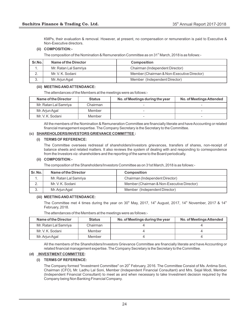KMPs, their evaluation & removal. However, at present, no compensation or remuneration is paid to Executive & Non-Executive directors.

#### **(ii) COMPOSITION:-**

The composition of the Nomination & Remuneration Committee as on 31<sup>st</sup> March, 2018 is as follows:-

| Sr.No.   | Name of the Director  | <b>Composition</b>                         |
|----------|-----------------------|--------------------------------------------|
|          | Mr. Ratan Lal Samriya | Chairman (Independent Director)            |
| <u>.</u> | Mr. V. K. Sodani      | Member (Chairman & Non-Executive Director) |
| J.       | Mr. Arjun Agal        | Member (Independent Director)              |

#### **(iii) MEETING AND ATTENDANCE:**

The attendances of the Members at the meetings were as follows:-

| Name of the Director  | <b>Status</b> | No. of Meetings during the year | No. of Meetings Attended |
|-----------------------|---------------|---------------------------------|--------------------------|
| Mr. Ratan Lal Samriya | Chairman      |                                 |                          |
| Mr. Arjun Agal        | Member        |                                 |                          |
| Mr. V. K. Sodani      | Member        |                                 |                          |

All the members of the Nomination & Remuneration Committee are financially literate and have Accounting or related financial management expertise. The Company Secretary is the Secretary to the Committee.

#### **(c) SHAREHOLDERS/INVESTORS GRIEVANCE COMMITTEE :**

#### **(i) TERMS OF REFERENCE:**

The Committee oversees redressal of shareholders/investors grievances, transfers of shares, non-receipt of balance sheets and related matters. It also reviews the system of dealing with and responding to correspondence from the Investors viz- shareholders and the reporting of the same to the Board periodically.

#### **(ii) COMPOSITION:-**

The composition of the Shareholders/Investors Committee as on 31st March, 2018 is as follows:-

| Sr. No.  | Name of the Director  | <b>Composition</b>                         |  |
|----------|-----------------------|--------------------------------------------|--|
| . .      | Mr. Ratan Lal Samriya | Chairman (Independent Director)            |  |
| <u>.</u> | Mr. V. K. Sodani      | Member (Chairman & Non-Executive Director) |  |
| J.       | Mr. Arjun Agal        | Member (Independent Director)              |  |

#### **(iii) MEETING AND ATTENDANCE:**

The Committee met 4 times during the year on 30<sup>th</sup> May, 2017, 14<sup>th</sup> August, 2017, 14<sup>th</sup> November, 2017 & 14<sup>th</sup> February, 2018.

The attendances of the Members at the meetings were as follows:-

| Name of the Director  | <b>Status</b> | No. of Meetings during the year | No. of Meetings Attended |
|-----------------------|---------------|---------------------------------|--------------------------|
| Mr. Ratan Lal Samriya | Chairman      |                                 |                          |
| Mr. V. K. Sodani      | Member        |                                 |                          |
| Mr. Arjun Agal        | Member        |                                 |                          |

All the members of the Shareholders/Investors Grievance Committee are financially literate and have Accounting or related financial management expertise. The Company Secretary is the Secretary to the Committee.

#### **(d) INVESTMENT COMMITTEE:**

#### **(i) TERMS OF REFERENCE:**

The Company formed "Investment Committee" on 20<sup>th</sup> February, 2016. The Committee Consist of Ms. Antima Soni, Chairman (CFO), Mr. Ladhu Lal Soni, Member (Independent Financial Consultant) and Mrs. Sejal Modi, Member (Independent Financial Consultant) to meet as and when necessary to take Investment decision required by the Company being Non Banking Financial Company.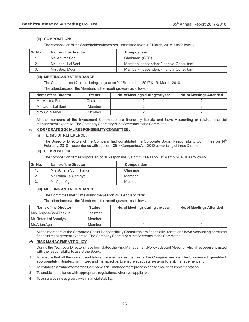#### **(ii) COMPOSITION:-**

The composition of the Shareholders/Investors Committee as on 31<sup>st</sup> March, 2018 is as follows:-

| l Sr. No. | Name of the Director | Composition                               |
|-----------|----------------------|-------------------------------------------|
|           | Ms. Antima Soni      | Chairman (CFO)                            |
| <u>.</u>  | Mr. Ladhu Lal Soni   | Member (Independent Financial Consultant) |
| ঽ<br>ა.   | Mrs. Sejal Modi      | Member (Independent Financial Consultant) |

#### **(iii) MEETING AND ATTENDANCE:**

The Committee met 2 times during the year on 01 $^{\text{st}}$  September, 2017 & 19 $^{\text{th}}$  March, 2018.

The attendances of the Members at the meetings were as follows:-

| Name of the Director | <b>Status</b> | No. of Meetings during the year | No. of Meetings Attended |
|----------------------|---------------|---------------------------------|--------------------------|
| Ms. Antima Soni      | Chairman      |                                 |                          |
| Mr. Ladhu Lal Soni   | Member        |                                 |                          |
| Mrs. Seial Modi      | Member        |                                 |                          |

All the members of the Investment Committee are financially literate and have Accounting or related financial management expertise. The Company Secretary is the Secretary to the Committee.

#### **(e) CORPORATE SOCIAL RESPONSIBILITY COMMITTEE :**

#### **(i) TERMS OF REFERENCE:**

The Board of Directors of the Company had constituted the Corporate Social Responsibility Committee on 14<sup>th</sup> February, 2018 in accordance with section 135 of Companies Act, 2013 comprising of three Directors.

#### **(ii) COMPOSITION :**

The composition of the Corporate Social Responsibility Committee as on 31 $^{\text{st}}$  March, 2018 is as follows:-

| Sr. No.  | Name of the Director    | <b>Composition</b> |
|----------|-------------------------|--------------------|
| ٠.       | Mrs. Anjana Soni Thakur | Chairman           |
| <u>.</u> | Mr. Ratan Lal Samriya   | Member             |
| ູບ.      | Mr. Arjun Agal          | Member             |

#### **(iii) MEETING AND ATTENDANCE:**

The Committee met 1 time during the year on  $24<sup>th</sup>$  February, 2018.

The attendances of the Members at the meetings were as follows:-

| Name of the Director    | <b>Status</b> | No. of Meetings during the year | No. of Meetings Attended |
|-------------------------|---------------|---------------------------------|--------------------------|
| Mrs. Anjana Soni Thakur | Chairman      |                                 |                          |
| Mr. Ratan Lal Samriya   | Member        |                                 |                          |
| Mr. Arjun Agal          | Member        |                                 |                          |

All the members of the Corporate Social Responsibility Committee are financially literate and have Accounting or related financial management expertise. The Company Secretary is the Secretary to the Committee.

#### **(f) RISK MANAGEMENT POLICY**

During the Year, your Directors have formulated the Risk Management Policy at Board Meeting, which has been entrusted with the responsibility to assist the Board:

- 1. To ensure that all the current and future material risk exposures of the Company are identified, assessed, quantified, appropriately mitigated, minimized and managed i.e. to ensure adequate systems for risk management and
- 2. To establish a framework for the Company's risk management process and to ensure its implementation
- 3. To enable compliance with appropriate regulations, wherever applicable.
- 4. To assure business growth with financial stability.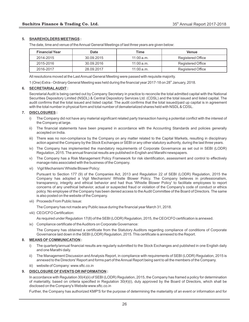#### **5. SHAREHOLDERS MEETINGS :**

The date, time and venue of the Annual General Meetings of last three years are given below:

| <b>Financial Year</b> | Date       | Time      | <b>Venue</b>      |
|-----------------------|------------|-----------|-------------------|
| 2014-2015             | 30.09.2015 | 11:00a.m. | Registered Office |
| 2015-2016             | 30.09.2016 | 11:00a.m. | Registered Office |
| 2016-2017             | 28.09.2017 | 11:00a.m. | Registered Office |

All resolutions moved at the Last Annual General Meeting were passed with requisite majority.

1 (One) Extra - Ordinary General Meeting was held during the financial year 2017-18 on 28<sup>th</sup> January, 2018.

#### **6. SECRETARIALAUDIT :**

Secretarial Audit is being carried out by Company Secretary in practice to reconcile the total admitted capital with the National Securities Depository Limited (NSDL) & Central Depository Services Ltd. (CDSL) and the total issued and listed capital. The audit confirms that the total issued and listed capital. The audit confirms that the total issued/paid up capital is in agreement with the total number in physical form and total number of dematerialized shares held with NSDL& CDSL.

#### **7. DISCLOSURES :**

- i) The Company did not have any material significant related party transaction having a potential conflict with the interest of the Company at large.
- ii) The financial statements have been prepared in accordance with the Accounting Standards and policies generally accepted on India.
- iii) There was no non-compliance by the Company on any matter related to the Capital Markets, resulting in disciplinary action against the Company by the Stock Exchanges or SEBI or any other statutory authority, during the last three years.
- iv) The Company has implemented the mandatory requirements of Corporate Governance as set out in SEBI (LODR) Regulation, 2015. The annual financial results are published in English and Marathi newspapers.
- v) The Company has a Risk Management Policy Framework for risk identification, assessment and control to effectively manage risks associated with the business of the Company.
- vi) Vigil Mechanism/ Whistle Blower Policy:

Pursuant to Section 177 (9) of the Companies Act, 2013 and Regulation 22 of SEBI (LODR) Regulation, 2015 the Company has adopted a Vigil Mechanism/ Whistle Blower Policy. The Company believes in professionalism, transparency, integrity and ethical behavior and had thus 'Whistle Blower Policy' to facilitate employees to report concerns of any unethical behavior, actual or suspected fraud or violation of the Company's code of conduct or ethics policy. No employee of the Company has been denied access to the Audit Committee of the Board of Directors. The same is also posted on the website of the Company.

vii) Proceeds From Public Issue:

The Company has not made any Public issue during the financial year March 31, 2018.

viii) CEO/CFO Certification:

As required under Regulation 17(8) of the SEBI (LODR) Regulation, 2015, the CEO/CFO certification is annexed.

ix) Compliance certificate of the Auditors on Corporate Governance:

The Company has obtained a certificate from the Statutory Auditors regarding compliance of conditions of Corporate Governance laid down in the SEBI (LODR) Regulation, 2015. This certificate is annexed to the Report.

#### **8. MEANS OF COMMUNICATION :**

- i) The quarterly/annual financial results are regularly submitted to the Stock Exchanges and published in one English daily and one Marathi daily.
- ii) The Management Discussion and Analysis Report, in compliance with requirements of SEBI (LODR) Regulation, 2015 is annexed to the Directors' Report and forms part of the Annual Report being sent to all the members of the Company.
- website of Company: www.sftc.co.in

#### **9. DISCLOSURE OF EVENTS OR INFORMATION :**

In accordance with Regulation 30(4)(ii) of SEBI (LODR) Regulation, 2015, the Company has framed a policy for determination of materiality, based on criteria specified in Regulation 30(4)(i), duly approved by the Board of Directors, which shall be disclosed on the Company's Website www.sftc.co.in

Further, the Company has authorized KMP'S for the purpose of determining the materiality of an event or information and for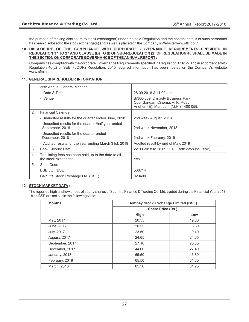the purpose of making disclosure to stock exchange(s) under the said Regulation and the contact details of such personnel has been disclosed to the stock exchange(s) and as well is placed on the Company's Website www.sftc.co.in

#### **10. DISCLOSURE OF THE COMPLIANCE WITH CORPORATE GOVERNANCE REQUIREMENTS SPECIFIED IN REGULATION 17 TO 27 AND CLAUSE (B) TO (I) OF SUB-REGULATION (2) OF REGULATION 46 SHALL BE MADE IN THE SECTION ON CORPORATE GOVERNANCE OF THE ANNUAL REPORT :**

Company has complied with the corporate Governance Requirements specified in Regulation 17 to 27 and in accordance with Regulation 46(2) of SEBI (LODR) Regulation, 2015 required information has been hosted on the Company's website www.sftc.co.in.

#### **11. GENERAL SHAREHOLDER INFORMATION :**

| 1. | 35th Annual General Meeting                                                 |                                                                                                                 |
|----|-----------------------------------------------------------------------------|-----------------------------------------------------------------------------------------------------------------|
|    | - Date & Time                                                               | 28.09.2018 & 11:00 a.m.                                                                                         |
|    | - Venue                                                                     | B/306-309, Dynasty Business Park,<br>Opp. Sangam Cinema, A. K. Road,<br>Andheri (E), Mumbai - (M.H.) - 400 059. |
| 2. | <b>Financial Calendar</b>                                                   |                                                                                                                 |
|    | - Unaudited results for the quarter ended June, 2018                        | 2nd week August, 2018                                                                                           |
|    | - Unaudited results for the quarter /half year ended<br>September, 2018     | 2nd week November, 2018                                                                                         |
|    | - Unaudited results for the quarter ended<br>December, 2018                 | 2nd week February, 2019                                                                                         |
|    | - Audited results for the year ending March 31st, 2019                      | Audited result by end of May, 2019                                                                              |
| 3. | <b>Book Closure Date</b>                                                    | 22.09.2018 to 28.09.2018 (Both days inclusive)                                                                  |
| 4. | The listing fees has been paid up to the date to all<br>the stock exchanges | Yes                                                                                                             |
| 5. | Scrip Code:                                                                 |                                                                                                                 |
|    | BSE Ltd. (BSE)                                                              | 538714                                                                                                          |
|    | Calcutta Stock Exchange Ltd. (CSE)                                          | 029400                                                                                                          |

#### **12. STOCK MARKET DATA :**

The reported high and low prices of equity shares of Suchitra Finance & Trading Co. Ltd. traded during the Financial Year 2017- 18 on BSE are set out in the following table:

| <b>Months</b>       |       | <b>Bombay Stock Exchange Limited (BSE)</b> |  |  |
|---------------------|-------|--------------------------------------------|--|--|
|                     |       | <b>Share Price (Rs.)</b>                   |  |  |
|                     | High  | Low                                        |  |  |
| May, 2017           | 20.55 | 19.60                                      |  |  |
| June, 2017          | 20.55 | 18.50                                      |  |  |
| <b>July, 2017</b>   | 23.50 | 19.40                                      |  |  |
| <b>August, 2017</b> | 24.65 | 24.65                                      |  |  |
| September, 2017     | 27.10 | 25.85                                      |  |  |
| December, 2017      | 44.60 | 27.40                                      |  |  |
| January, 2018       | 65.50 | 46.80                                      |  |  |
| February, 2018      | 65.50 | 51.60                                      |  |  |
| March, 2018         | 65.50 | 61.25                                      |  |  |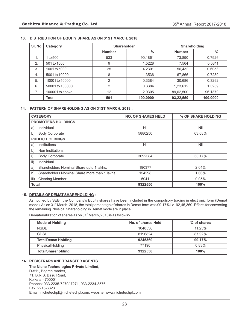| Sr. No. | Category        | <b>Shareholder</b> |               | <b>Shareholding</b> |               |
|---------|-----------------|--------------------|---------------|---------------------|---------------|
|         |                 | <b>Number</b>      | $\frac{0}{0}$ | <b>Number</b>       | $\frac{0}{0}$ |
| 1.      | to 500          | 533                | 90.1861       | 73,890              | 0.7926        |
| 2.      | 501 to 1000     | 9                  | 1.5228        | 7,564               | 0.0811        |
| 3.      | 1001 to 5000    | 25                 | 4.2301        | 56,432              | 0.6053        |
| 4.      | 5001 to 10000   | 8                  | 1.3536        | 67,866              | 0.7280        |
| 5.      | 10001 to 50000  | 2                  | 0.3384        | 30,686              | 0.3292        |
| 6.      | 50001 to 100000 | 2                  | 0.3384        | 1,23,612            | 1.3259        |
| 7.      | 100001 to above | 12                 | 2.0305        | 89,62,500           | 96.1379       |
|         | <b>Total</b>    | 591                | 100.0000      | 93,22,550           | 100.0000      |

#### **13. DISTRIBUTION OF EQUITY SHARE AS ON 31ST MARCH, 2018 :**

#### **14. PATTERN OF SHAREHOLDING AS ON 31ST MARCH, 2018 :**

| <b>CATEGORY</b>                                       | <b>NO. OF SHARES HELD</b> | % OF SHARE HOLDING |
|-------------------------------------------------------|---------------------------|--------------------|
| <b>PROMOTERS HOLDINGS</b>                             |                           |                    |
| Individual<br>a)                                      | Nil                       | Nil                |
| <b>Body Corporate</b><br>b)                           | 5880250                   | 63.08%             |
| <b>PUBLIC HOLDINGS</b>                                |                           |                    |
| Institutions<br>a)                                    | Nil                       | Nil                |
| b)<br>Non Institutions                                |                           |                    |
| $\mathsf{i}$<br><b>Body Corporate</b>                 | 3092584                   | 33.17%             |
| ii)<br>Individual                                     |                           |                    |
| Shareholders Nominal Share upto 1 lakhs.<br>a)        | 190377                    | 2.04%              |
| Shareholders Nominal Share more than 1 lakhs.<br>b)   | 154298                    | 1.66%              |
| <b>Clearing Member</b><br>$\overline{\mathsf{III}}$ ) | 5041                      | 0.05%              |
| <b>Total</b>                                          | 9322550                   | 100%               |

#### **15. DETAILS OF DEMAT SHAREHOLDING :**

As notified by SEBI, the Company's Equity shares have been included in the compulsory trading in electronic form (Demat mode). As on 31<sup>st</sup> March, 2018, the total percentage of shares in Demat form was 99.17% i.e. 92,45,360. Efforts for converting the remaining Physical Shareholding in Demat mode are in place.

Dematerialization of shares as on 31<sup>st</sup> March, 2018 is as follows:-

| <b>Mode of Holding</b>     | No. of shares Held | % of shares |
|----------------------------|--------------------|-------------|
| <b>NSDL</b>                | 1048536            | 11.25%      |
| <b>CDSL</b>                | 8196824            | 87.92%      |
| <b>Total Demat Holding</b> | 9245360            | 99.17%      |
| Physical Holding           | 77190              | 0.83%       |
| <b>Total Shareholding</b>  | 9322550            | 100%        |

#### **16. REGISTRARS AND TRANSFER AGENTS :**

**The Niche Technologies Private Limited,** D-511, Bagree market, 71, B.R.B. Basu Road, Kolkata - 700001 Phones: 033-2235-7270/ 7271, 033-2234-3576 Fax: 2215-6823 Email: nichetechpl@nichetechpl.com, website: www.nichetechpl.com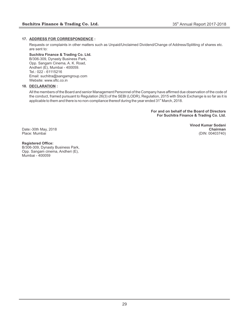#### **17. ADDRESS FOR CORRESPONDENCE :**

Requests or complaints in other matters such as Unpaid/Unclaimed Dividend/Change of Address/Splitting of shares etc. are sent to:

#### **Suchitra Finance & Trading Co. Ltd.**

B/306-309, Dynasty Business Park, Opp. Sangam Cinema, A. K. Road, Andheri (E), Mumbai - 400059. Tel.: 022 - 61115216 Email: suchitra@sangamgroup.com Website: www.sftc.co.in

#### **18. DECLARATION :**

All the members of the Board and senior Management Personnel of the Company have affirmed due observation of the code of the conduct, framed pursuant to Regulation 26(3) of the SEBI (LODR), Regulation, 2015 with Stock Exchange is so far as it is applicable to them and there is no non-compliance thereof during the year ended  $31<sup>st</sup>$  March, 2018.

> **For and on behalf of the Board of Directors For Suchitra Finance & Trading Co. Ltd.**

Date:-30th May, 2018<br>Place: Mumbai

**Vinod Kumar Sodani** (DIN: 00403740)

#### **Registered Office:**

B/306-309, Dynasty Business Park, Opp. Sangam cinema, Andheri (E), Mumbai - 400059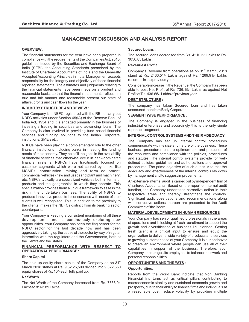# **MANAGEMENT DISCUSSION AND ANALYSIS REPORT**

#### **OVERVIEW :**

The financial statements for the year have been prepared in compliance with the requirements of the Companies Act, 2013, guidelines issued by the Securities and Exchange Board of India (SEBI), the Accounting Standards prescribed by the Institute of Chartered Accountants of India and the Generally Accepted Accounting Principles in India. Management accepts responsibility for the integrity and objectivity of these financial reported statements. The estimates and judgments relating to the financial statements have been made on a prudent and reasonable basis, so that the financial statements reflect in a true and fair manner and reasonably present our state of affairs, profits and cash flows for the year.

#### **INDUSTRYSTRUCTURE AND REVIEW :**

Your Company is a NBFC registered with the RBI to carry out NBFC activities under Section 45(IA) of the Reserve Bank of India Act, 1934 and it is engaged primarily in the business of investing / trading in securities and advancing loans. The Company is also involved in providing fund based financial services and funding solutions to the Indian Corporate, institutions, SME's etc.

NBFCs have been playing a complementary role to the other financial institutions including banks in meeting the funding needs of the economy. They help fill the gaps in the availability of financial services that otherwise occur in bank-dominated financial systems. NBFCs have traditionally focused on customer segments which were not served by banks like MSMEs, construction, mining and farm equipment, commercial vehicles (new and used) and plant and machinery; etc. NBFCs typically are specialized vehicles both in terms of products and the geographies in which they operate. This specialization provides them a unique framework to assess the risk in the undertaken business. The ability of NBFCs to produce innovative products in consonance with needs of their clients is well recognized. This, in addition to the proximity to the clients, makes the NBFCs distinct from its banking sector counterparts.

Your Company is keeping a consistent monitoring of all these developments and is continuously exploring new opportunities. Your Company has been the flag bearer for the NBFC sector for the last decade now and has been aggressively taking up the cause of the sector by way of regular interaction with the regulators and the Governments, both at the Centre and the States.

#### **FINANCIAL PERFORMANCE WITH RESPECT TO OPERATIONALPERFORMANCE :**

#### **Share Capital :**

The paid up equity share capital of the Company as on  $31<sup>st</sup>$ March 2018 stands at Rs. 9,32,25,500 divided into 9,322,550 equity shares of Rs. 10/- each fully paid up.

#### **Net Worth :**

The Net Worth of the Company increased from Rs. 7538.94 Lakhs to 8162.89 Lakhs.

#### **Secured Loans :**

The secured loans decreased from Rs. 4210.53 Lakhs to Rs. 3050.85 Lakhs.

#### **Revenue & Profit :**

Company's Revenue from operations as on 31<sup>st</sup> March, 2018 stand at Rs. 2433.51/- Lakhs against Rs. 1269.91/- Lakhs recorded in the previous year.

Considerable increase in the Revenue, the Company has been able to post Net Profit of Rs. 736.15/- Lakhs as against Net Profit of Rs. 436.65/- Lakhs of previous year.

#### **DEBT STRUCTURE :**

The company has taken Secured loan and has taken unsecured loan from Body Corporate.

#### **SEGMENT WISE PERFORMANCE :**

The Company is engaged in the business of financing industrial enterprises and accordingly this is the only single reportable segment.

#### **INTERNAL CONTROLSYSTEMS AND THEIR ADEQUACY :**

The Company has set up internal control procedures commensurate with its size and nature of the business. These business procedures ensure optimum use and protection of the resources and compliance with the policies, procedures and statutes. The internal control systems provide for welldefined policies, guidelines and authorizations and approval procedures. The prime objective of such audits is to test the adequacy and effectiveness of the internal controls lay down by management and to suggest improvements.

An extensive internal audit is carried out by independent firm of Chartered Accountants. Based on the report of internal audit function, the Company undertakes corrective action in their respective areas and thereby strengthens the controls. Significant audit observations and recommendations along with corrective actions thereon are presented to the Audit Committee of the Board.

#### **MATERIAL DEVELOPMENTS IN HUMAN RESOURCES :**

Your Company has senior qualified professionals in the areas of operations and is looking at fresh recruitment to support the growth and diversification of business i.e. planned, Getting fresh talent is a critical input to ensure and equip the organization to deliver a wide variety of products and services to growing customer base of your Company. It is our endeavor to create an environment where people can use all of their capabilities in support of the business. Therefore, your Company encourages its employees to balance their work and personal responsibilities.

#### **OPPORTUNITIES AND THREATS :**

#### **Opportunities:**

Reports from the World Bank indicate that Non Banking Financial Ins turns act as critical pillars contributing to macroeconomic stability and sustained economic growth and prosperity, due to their ability to finance firms and individuals at a reasonable cost, reduce volatility by providing multiple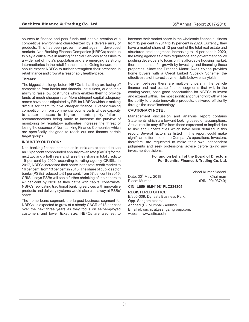sources to finance and park funds and enable creation of a competitive environment characterized by a diverse array of products. This has been proven me and again in developed markets. Non-Banking Finance Companies (NBFCs) continue to play a critical role in making financial Services accessible to a wider set of India's population and are emerging as strong intermediaries in the retail finance space. Going forward, one should expect NBFCs to further strengthen their presence in retail finance and grow at a reasonably healthy pace.

#### **Threats:**

The biggest challenge before NBFCs is that they are facing off competition from banks and financial institutions, due to their ability to raise low cost funds which enables them to provide funds at much cheaper rate. More stringent capital adequacy norms have been stipulated by RBI for NBFCs which is making difficult for them to give cheaper finance. Ever-increasing competition on from commercial counterparts whose capacity to absorb losses is higher, counter-party failures, recommendations being made to increase the purview of monitoring by regulatory authorities increase the threat of losing the essence of Non-banking Finance Companies which are specifically designed to reach out and finance certain target groups.

#### **INDUSTRYOUTLOOK :**

Non-banking finance companies in India are expected to see an 18 per cent compounded annual growth rate (CAGR) for the next two and a half years and raise their share in total credit to 19 per cent by 2020, according to rating agency CRISIL. In 2017, NBFCs increased their share in the total credit market to 16 per cent, from 13 per cent in 2015. The share of public sector banks (PSBs) reduced to 51 per cent, from 57 per cent in 2015. CRISIL says PSBs will see a further shrinking of their share to 47 per cent by 2020 as they battle with capital constraints. NBFCs replicating traditional banking services with innovative products and delivery systems would also chip away at PSBs' share.

The home loans segment, the largest business segment for NBFCs, is expected to grow at a steady CAGR of 18 per cent over the next three years as they focus on self-employed customers and lower ticket size. NBFCs are also set to

increase their market share in the wholesale finance business from 12 per cent in 2014 to 19 per cent in 2020. Currently, they have a market share of 12 per cent of the total real estate and structured credit segment, increasing to 14 per cent in 2020, the rating agency said with regulations and government policy pushing developers to focus on the affordable housing market, there is potential for growth by investing and financing these properties. Since the Pradhan Mantri Awas Yojana provides home buyers with a Credit Linked Subsidy Scheme, the effective rate of interest payment falls below rental yields.

Further, believes there are multiple drivers in the vehicle finance and real estate finance segments that will, in the coming years, pose good opportunities for NBFCs to invest and expand within. The most significant driver of growth will be the ability to create innovative products, delivered efficiently through the use of technology.

#### **CAUTIONARY NOTE :**

Management discussion and analysis report contains Statements which are forward looking based on assumptions. Actual results may differ from those expressed or implied due to risk and uncertainties which have been detailed in this report. Several factors as listed in this report could make significant difference to the Company's operations. Investors, therefore, are requested to make their own independent judgments and seek professional advice before taking any investment decisions.

> **For and on behalf of the Board of Directors For Suchitra Finance & Trading Co. Ltd.**

Date: 30<sup>th</sup> May, 2018<br>Place: Mumbai

Vinod Kumar Sodani (DIN: 00403740)

#### **CIN: L65910MH1981PLC234305**

#### **REGISTERED OFFICE:**

B/306-309, Dynasty Business Park, Opp. Sangam cinema, Andheri (E), Mumbai - 400059 Email id: suchitra@sangamgroup.com, website: www.sftc.co.in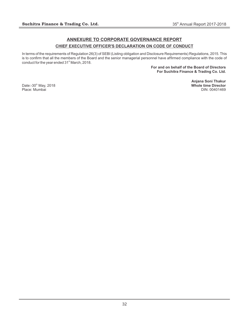# **ANNEXURE TO CORPORATE GOVERNANCE REPORT CHIEF EXECUTIVE OFFICER'S DECLARATION ON CODE OF CONDUCT**

In terms of the requirements of Regulation 26(3) of SEBI (Listing obligation and Disclosure Requirements) Regulations, 2015. This is to confirm that all the members of the Board and the senior managerial personnel have affirmed compliance with the code of conduct for the year ended 31<sup>st</sup> March, 2018.

> **For and on behalf of the Board of Directors For Suchitra Finance & Trading Co. Ltd.**

**Anjana Soni Thakur** th Date:-30 May, 2018 **Whole time Director**

Place: Mumbai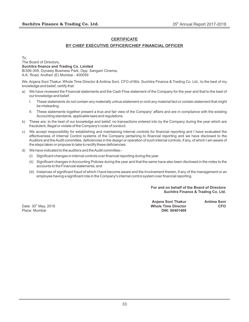## **CERTIFICATE**

## **BY CHIEF EXECUTIVE OFFICER/CHIEF FINANCIAL OFFICER**

To,

The Board of Directors, **Suchitra finance and Trading Co. Limited** B/306-309, Dynasty Business Park, Opp. Sangam Cinema, A.K. Road, Andheri (E) Mumbai - 400059

We, Anjana Soni Thakur, Whole Time Director & Antima Soni, CFO of M/s. Suchitra Finance & Trading Co. Ltd., to the best of my knowledge and belief, certify that:

- a) We have reviewed the Financial statements and the Cash Flow statement of the Company for the year and that to the best of our knowledge and belief:
	- I. These statements do not contain any materially untrue statement or omit any material fact or contain statement that might be misleading.
	- II. These statements together present a true and fair view of the Company' affairs and are in compliance with the existing Accounting standards, applicable laws and regulations.
- b) These are, to the best of our knowledge and belief, no transactions entered into by the Company during the year which are fraudulent, illegal or violate of the Company's code of conduct.
- c) We accept responsibility for establishing and maintaining internal controls for financial reporting and I have evaluated the effectiveness of Internal Control systems of the Company pertaining to financial reporting and we have disclosed to the Auditors and the Audit committee, deficiencies in the design or operation of such internal controls, if any, of which I am aware of the steps taken or propose to take to rectify these deficiencies.
- d) We have indicated to the auditors and the Audit committee:-
	- (i) Significant changes in internal controls over financial reporting during the year.
	- (ii) Significant changes in Accounting Policies during the year and that the same have also been disclosed in the notes to the accounts to the Financial statements; and
	- (iii) Instances of significant fraud of which I have become aware and the Involvement therein, if any of the management or an employee having a significant role in the Company's internal control system over financial reporting.

**For and on behalf of the Board of Directors Suchitra Finance & Trading Co. Ltd.**

**Anjana Soni Thakur Antima Soni** th Date: 30 May, 2018 **Whole Time Director CFO** Place: Mumbai **DIN: 00401469**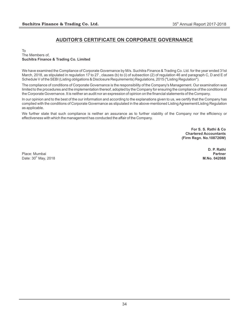# **AUDITOR'S CERTIFICATE ON CORPORATE GOVERNANCE**

To The Members of, **Suchitra Finance & Trading Co. Limited**

We have examined the Compliance of Corporate Governance by M/s. Suchitra Finance & Trading Co. Ltd. for the year ended 31st March, 2018, as stipulated in regulation 17 to 27 , clauses (b) to (i) of subsection (2) of regulation 46 and paragraph C, D and E of Schedule V of the SEBI (Listing obligations & Disclosure Requirements) Regulations, 2015 ("Listing Regulation").

The compliance of conditions of Corporate Governance is the responsibility of the Company's Management. Our examination was limited to the procedures and the implementation thereof, adopted by the Company for ensuring the compliance of the conditions of the Corporate Governance. It is neither an audit nor an expression of opinion on the financial statements of the Company.

In our opinion and to the best of the our information and according to the explanations given to us, we certify that the Company has complied with the conditions of Corporate Governance as stipulated in the above-mentioned Listing Agreement/Listing Regulation as applicable.

We further state that such compliance is neither an assurance as to further viability of the Company nor the efficiency or effectiveness with which the management has conducted the affair of the Company.

> **For S. S. Rathi & Co Chartered Accountants (Firm Regn. No.108726W)**

Place: Mumbai **Partner** th Date: 30 May, 2018 **M.No. 042068**

**D. P. Rathi**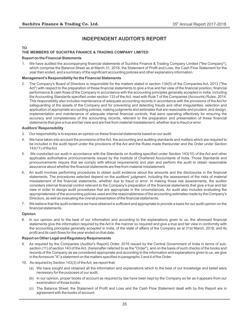# **INDEPENDENT AUDITOR'S REPORT**

#### **TO**

#### **THE MEMBERS OF SUCHITRA FINANCE & TRADING COMPANY LIMITED**

#### **Report on the Financial Statements**

1. We have audited the accompanying financial statements of Suchitra Finance & Trading Company Limited ("the Company"), which comprise the Balance Sheet as at March 31, 2018, the Statement of Profit and Loss, the Cash Flow Statement for the year then ended, and a summary of the significant accounting policies and other explanatory information.

#### **Management's Responsibility for the Financial Statements**

2. The Company's Board of Directors is responsible for the matters stated in section 134(5) of the Companies Act, 2013 ("the Act") with respect to the preparation of these financial statements to give a true and fair view of the financial position, financial performance & cash flows of the Company in accordance with the accounting principles generally accepted in India, including the Accounting Standards specified under section 133 of the Act, read with Rule 7 of the Companies (Accounts) Rules, 2014. This responsibility also includes maintenance of adequate accounting records in accordance with the provisions of the Act for safeguarding of the assets of the Company and for preventing and detecting frauds and other irregularities; selection and application of appropriate accounting policies; making judgments and estimates that are reasonable and prudent; and design, implementation and maintenance of adequate internal financial controls, that were operating effectively for ensuring the accuracy and completeness of the accounting records, relevant to the preparation and presentation of these financial statements that give a true and fair view and are free from material misstatement, whether due to fraud or error.

#### **Auditors' Responsibility**

- 3. Our responsibility is to express an opinion on these financial statements based on our audit.
- 4. We have taken into account the provisions of the Act, the accounting and auditing standards and matters which are required to be included in the audit report under the provisions of the Act and the Rules made thereunder and the Order under Section 143(11) of the Act.
- 5. We conducted our audit in accordance with the Standards on Auditing specified under Section 143(10) of the Act and other applicable authoritative pronouncements issued by the Institute of Chartered Accountants of India. Those Standards and pronouncements require that we comply with ethical requirements and plan and perform the audit to obtain reasonable assurance about whether the financial statements are free from material misstatement.
- 6. An audit involves performing procedures to obtain audit evidence about the amounts and the disclosures in the financial statements. The procedures selected depend on the auditors' judgment, including the assessment of the risks of material misstatement of the financial statements, whether due to fraud or error. In making those risk assessments, the auditor considers internal financial control relevant to the Company's preparation of the financial statements that give a true and fair view in order to design audit procedures that are appropriate in the circumstances. An audit also includes evaluating the appropriateness of the accounting policies used and the reasonableness of the accounting estimates made by the Company's Directors, as well as evaluating the overall presentation of the financial statements.
- 7. We believe that the audit evidence we have obtained is sufficient and appropriate to provide a basis for our audit opinion on the financial statements.

#### **Opinion**

8. In our opinion and to the best of our information and according to the explanations given to us, the aforesaid financial statements give the information required by the Act in the manner so required and give a true and fair view in conformity with the accounting principles generally accepted in India, of the state of affairs of the Company as at 31st March, 2018, and its profit and its cash flows for the year ended on that date.

#### **Report on Other Legal and Regulatory Requirements**

- 9. As required by the Companies (Auditor's Report) Order, 2016 issued by the Central Government of India in terms of subsection (11) of section 143 of the Act, (hereinafter referred to as the "Order"), and on the basis of such checks of the books and records of the Company as we considered appropriate and according to the information and explanations given to us, we give in the Annexure "A" a statement on the matters specified in paragraphs 3 and 4 of the Order.
- 10. As required by Section 143(3) of the Act, we report that:
	- (a) We have sought and obtained all the information and explanations which to the best of our knowledge and belief were necessary for the purposes of our audit.
	- (b) In our opinion, proper books of account as required by law have been kept by the Company so far as it appears from our examination of those books.
	- (c) The Balance Sheet, the Statement of Profit and Loss and the Cash Flow Statement dealt with by this Report are in agreement with the books of account.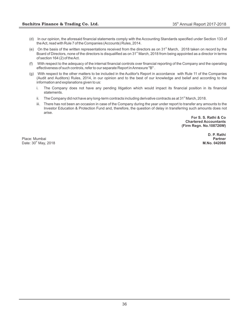- (d) In our opinion, the aforesaid financial statements comply with the Accounting Standards specified under Section 133 of the Act, read with Rule 7 of the Companies (Accounts) Rules, 2014.
- (e) On the basis of the written representations received from the directors as on  $31<sup>st</sup>$  March, 2018 taken on record by the Board of Directors, none of the directors is disqualified as on 31<sup>st</sup> March, 2018 from being appointed as a director in terms of section 164 (2) of the Act.
- (f) With respect to the adequacy of the internal financial controls over financial reporting of the Company and the operating effectiveness of such controls, refer to our separate Report in Annexure "B" .
- (g) With respect to the other matters to be included in the Auditor's Report in accordance with Rule 11 of the Companies (Audit and Auditors) Rules, 2014, in our opinion and to the best of our knowledge and belief and according to the information and explanations given to us:
	- i. The Company does not have any pending litigation which would impact its financial position in its financial statements.
	- ii. The Company did not have any long-term contracts including derivative contracts as at 31 $^{\circ}$  March, 2018.
	- iii. There has not been an occasion in case of the Company during the year under report to transfer any amounts to the Investor Education & Protection Fund and, therefore, the question of delay in transferring such amounts does not arise.

**For S. S. Rathi & Co Chartered Accountants (Firm Regn. No.108726W)**

Place: Mumbai **Partner** th Date: 30 May, 2018 **M.No. 042068**

**D. P. Rathi**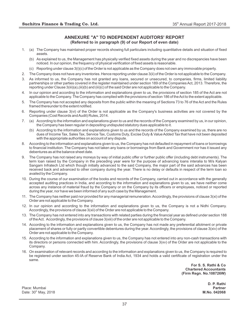#### **ANNEXURE "A" TO INDEPENDENT AUDITORS' REPORT (Referred to in paragraph (9) of our Report of even date)**

- 1. (a) The Company has maintained proper records showing full particulars including quantitative details and situation of fixed assets.
	- (b) As explained to us, the Management has physically verified fixed assets during the year and no discrepancies have been noticed. In our opinion, the frequency of physical verification of fixed assets is reasonable.
	- (c) Reporting under clause 3(i)(c) of the Order is not applicable as the Company does not own any immovable property.
- 2. The Company does not have any inventories. Hence reporting under clause 3(ii) of the Order is not applicable to the Company.
- 3. As informed to us, the Company has not granted any loans, secured or unsecured, to companies, firms, limited liability partnerships or other parties covered in the register maintained under section 189 of the Companies Act, 2013. Therefore, the reporting under Clause 3(iii)(a),(iii)(b) and (iii)(c) of the said Order are not applicable to the Company.
- 4. In our opinion and according to the information and explanations given to us, the provisions of section 185 of the Act are not applicable to the Company. The Company has complied with the provisions of section 186 of the Act to the extent applicable.
- 5. The Company has not accepted any deposits from the public within the meaning of Sections 73 to 76 of the Act and the Rules framed thereunder to the extent notified.
- 6. Reporting under clause 3(vi) of the Order is not applicable as the Company's business activities are not covered by the Companies (Cost Records and Audit) Rules, 2014.
- 7. (a) According to the information and explanations given to us and the records of the Company examined by us, in our opinion, the Company has been regular in depositing undisputed statutory dues applicable to it.
	- (b) According to the information and explanations given to us and the records of the Company examined by us, there are no dues of Income Tax, Sales Tax, Service Tax, Customs Duty, Excise Duty & Value Added Tax that have not been deposited with the appropriate authorities on account of any dispute.
- 8. According to the information and explanations given to us, the Company has not defaulted in repayment of loans or borrowings to financial institution. The Company has not taken any loans or borrowings from Bank and Government nor has it issued any debentures as at the balance sheet date.
- 9. The Company has not raised any moneys by way of initial public offer or further public offer (including debt instruments). The term loan raised by the Company in the preceding year were for the purpose of advancing loans interalia to M/s Kalyan Sangam Infratech Ltd which though initially advanced to the said Company, the major part of the said advances has been received back and advanced to other company during the year. There is no delay or defaults in respect of the term loan so availed by the Company.
- 10. During the course of our examination of the books and records of the Company, carried out in accordance with the generally accepted auditing practices in India, and according to the information and explanations given to us, we have neither come across any instance of material fraud by the Company or on the Company by its officers or employees, noticed or reported during the year, nor have we been informed of any such case by the Management.
- 11. The Company has neither paid nor provided for any managerial remuneration. Accordingly, the provisions of clause 3(xi) of the Order are not applicable to the Company.
- 12. In our opinion and according to the information and explanations given to us, the Company is not a Nidhi Company. Accordingly, the provisions of clause 3(xii) of the Order are not applicable to the Company.
- 13. The Company has not entered into any transactions with related parties during the financial year as defined under section 188 of the Act. Accordingly, the provisions of clause 3(xiii) of the order are not applicable to the Company.
- 14. According to the information and explanations given to us, the Company has not made any preferential allotment or private placement of shares or fully or partly convertible debentures during the year. Accordingly, the provisions of clause 3(xiv) of the Order are not applicable to the Company.
- 15. According to the information and explanations given to us, the Company has not entered into any non-cash transactions with its directors or persons connected with him. Accordingly, the provisions of clause  $3(xv)$  of the Order are not applicable to the Company.
- 16. On examination of relevant records and according to the information and explanations given to us, the Company is required to be registered under section 45-IA of Reserve Bank of India Act, 1934 and holds a valid certificate of registration under the same.

**For S. S. Rathi & Co Chartered Accountants (Firm Regn. No.108726W)**

**D. P. Rathi**

Place: Mumbai **Partner** th Date: 30 May, 2018 **M.No. 042068**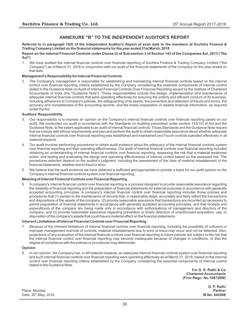## **ANNEXURE "B" TO THE INDEPENDENT AUDITOR'S REPORT**

**Referred to in paragraph 10(f) of the Independent Auditor's Report of even date to the members of Suchitra Finance & Trading Company Limited on the financial statements for the year ended 31st March, 2018**

#### **Report on the Internal Financial Controls under Clause (i) of Sub-section 3 of Section 143 of the Companies Act, 2013 ("the Act")**

1. We have audited the internal financial controls over financial reporting of Suchitra Finance & Trading Company Limited ("the Company") as of March 31, 2018 in conjunction with our audit of the financial statements of the Company for the year ended on that date.

#### **Management's Responsibility for Internal Financial Controls**

2. The Company's management is responsible for establishing and maintaining internal financial controls based on the internal control over financial reporting criteria established by the Company considering the essential components of internal control stated in the Guidance Note on Audit of Internal Financial Controls Over Financial Reporting issued by the Institute of Chartered Accountants of India (the "Guidance Note"). These responsibilities include the design, implementation and maintenance of adequate internal financial controls that were operating effectively for ensuring the orderly and efficient conduct of its business, including adherence to Company's policies, the safeguarding of its assets, the prevention and detection of frauds and errors, the accuracy and completeness of the accounting records, and the timely preparation of reliable financial information, as required under the Act.

#### **Auditors' Responsibility**

- 3. Our responsibility is to express an opinion on the Company's internal financial controls over financial reporting based on our audit. We conducted our audit in accordance with the Standards on Auditing prescribed under section 143(10) of Act and the Guidance Note, to the extent applicable to an audit of internal financial controls. Those Standards and the Guidance Note require that we comply with ethical requirements and plan and perform the audit to obtain reasonable assurance about whether adequate internal financial controls over financial reporting was established and maintained and if such controls operated effectively in all material respects.
- 4. Our audit involves performing procedures to obtain audit evidence about the adequacy of the internal financial controls system over financial reporting and their operating effectiveness. Our audit of internal financial controls over financial reporting included obtaining an understanding of internal financial controls over financial reporting, assessing the risk that a material weakness exists, and testing and evaluating the design and operating effectiveness of internal control based on the assessed risk. The procedures selected depend on the auditor's judgment, including the assessment of the risks of material misstatement of the financial statements, whether due to fraud or error.
- 5. We believe that the audit evidence we have obtained is sufficient and appropriate to provide a basis for our audit opinion on the Company's internal financial controls system over financial reporting.

#### **Meaning of Internal Financial Controls over Financial Reporting**

6. A company's internal financial control over financial reporting is a process designed to provide reasonable assurance regarding the reliability of financial reporting and the preparation of financial statements for external purposes in accordance with generally accepted accounting principles. A company's internal financial control over financial reporting includes those policies and procedures that (1) pertain to the maintenance of records that, in reasonable detail, accurately and fairly reflect the transactions and dispositions of the assets of the company; (2) provide reasonable assurance that transactions are recorded as necessary to permit preparation of financial statements in accordance with generally accepted accounting principles, and that receipts and expenditures of the company are being made only in accordance with authorisations of management and directors of the company; and (3) provide reasonable assurance regarding prevention or timely detection of unauthorised acquisition, use, or disposition of the company's assets that could have a material effect on the financial statements.

#### **Inherent Limitations of Internal Financial Controls over Financial Reporting**

7. Because of the inherent limitations of internal financial controls over financial reporting, including the possibility of collusion or improper management override of controls, material misstatements due to error or fraud may occur and not be detected. Also, projections of any evaluation of the internal financial controls over financial reporting to future periods are subject to the risk that the internal financial control over financial reporting may become inadequate because of changes in conditions, or that the degree of compliance with the policies or procedures may deteriorate.

#### **Opinion**

8. In our opinion, the Company has, in all material respects, an adequate internal financial controls system over financial reporting and such internal financial controls over financial reporting were operating effectively as at March 31, 2018, based on the internal control over financial reporting criteria established by the Company considering the essential components of internal control stated in the Guidance Note.

> **For S. S. Rathi & Co Chartered Accountants (Firm Regn. No.108726W)**

Place: Mumbai **Partner** th Date: 30 May, 2018 **M.No. 042068**

**D. P. Rathi**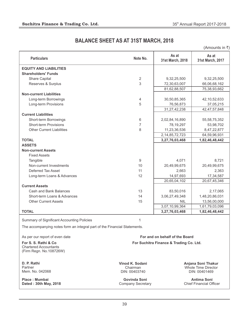# **BALANCE SHEET AS AT 31ST MARCH, 2018**

(Amounts in  $\bar{z}$ )

| <b>Particulars</b>                                                        | Note No.                                 | As at<br>31st March, 2018               | As at<br>31st March, 2017                     |
|---------------------------------------------------------------------------|------------------------------------------|-----------------------------------------|-----------------------------------------------|
| <b>EQUITY AND LIABILITIES</b>                                             |                                          |                                         |                                               |
| <b>Shareholders' Funds</b>                                                |                                          |                                         |                                               |
| Share Capital                                                             | $\overline{2}$                           | 9,32,25,500                             | 9,32,25,500                                   |
| Reserves & Surplus                                                        | 3                                        | 72,30,63,007                            | 66,06,68,162                                  |
|                                                                           |                                          | 81,62,88,507                            | 75,38,93,662                                  |
| <b>Non-current Liabilities</b>                                            |                                          |                                         |                                               |
| Long-term Borrowings                                                      | 4                                        | 30,50,85,365                            | 42, 10, 52, 633                               |
| Long-term Provisions                                                      | 5                                        | 76,56,873                               | 37,05,215                                     |
|                                                                           |                                          | 31,27,42,238                            | 42, 47, 57, 848                               |
| <b>Current Liabilities</b>                                                |                                          |                                         |                                               |
| Short-term Borrowings                                                     | 6                                        | 2,02,84,16,890                          | 55, 58, 75, 352                               |
| <b>Short-term Provisions</b>                                              | $\overline{7}$                           | 78,19,297                               | 53,98,702                                     |
| <b>Other Current Liabilities</b>                                          | 8                                        | 11,23,36,536                            | 8,47,22,877                                   |
|                                                                           |                                          | 2, 14, 85, 72, 723                      | 64,59,96,931                                  |
| <b>TOTAL</b>                                                              |                                          | 3,27,76,03,468                          | 1,82,46,48,442                                |
| <b>ASSETS</b>                                                             |                                          |                                         |                                               |
| <b>Non-current Assets</b>                                                 |                                          |                                         |                                               |
| <b>Fixed Assets</b>                                                       |                                          |                                         |                                               |
| Tangible                                                                  | 9                                        | 4,071                                   | 8,721                                         |
| Non-current Investments                                                   | 10                                       | 20,49,99,675                            | 20,49,99,675                                  |
| Deferred Tax Asset                                                        | 11                                       | 2,663                                   | 2,363                                         |
| Long-term Loans & Advances                                                | 12                                       | 14,97,693                               | 17,34,587                                     |
|                                                                           |                                          | 20,65,04,102                            | 20,67,45,346                                  |
| <b>Current Assets</b>                                                     |                                          |                                         |                                               |
| Cash and Bank Balances                                                    | 13                                       | 83,50,016                               | 2,17,065                                      |
| Short-term Loans & Advances                                               | 14                                       | 3,06,27,49,348                          | 1,48,20,86,031                                |
| <b>Other Current Assets</b>                                               | 15                                       | <b>NIL</b>                              | 13,56,00,000                                  |
|                                                                           |                                          | 3,07,10,99,364                          | 1,61,79,03,096                                |
| <b>TOTAL</b>                                                              |                                          | 3,27,76,03,468                          | 1,82,46,48,442                                |
| Summary of Significant Accounting Policies                                | 1                                        |                                         |                                               |
| The accompanying notes form an integral part of the Financial Statements. |                                          |                                         |                                               |
| As per our report of even date                                            |                                          | For and on behalf of the Board          |                                               |
| For S. S. Rathi & Co.                                                     |                                          | For Suchitra Finance & Trading Co. Ltd. |                                               |
| <b>Chartered Accountants</b><br>(Firm Regn. No.108726W)                   |                                          |                                         |                                               |
| D. P. Rathi                                                               | Vinod K. Sodani                          |                                         | Anjana Soni Thakur                            |
| Partner                                                                   | Chairman                                 |                                         | Whole Time Director                           |
| Mem. No. 042068                                                           | DIN: 00403740                            |                                         | DIN: 00401469                                 |
| <b>Place: Mumbai</b><br>Dated: 30th May, 2018                             | Govinda Soni<br><b>Company Secretary</b> |                                         | Antima Soni<br><b>Chief Financial Officer</b> |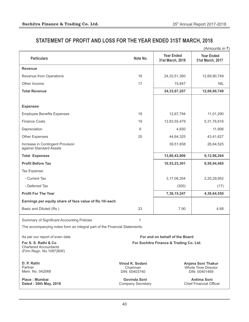# **STATEMENT OF PROFIT AND LOSS FOR THE YEAR ENDED 31ST MARCH, 2018**

|                                                                                  |                                              |                                                                   | (Amounts in ₹)                                       |  |
|----------------------------------------------------------------------------------|----------------------------------------------|-------------------------------------------------------------------|------------------------------------------------------|--|
| <b>Particulars</b>                                                               | Note No.                                     | <b>Year Ended</b><br>31st March, 2018                             | <b>Year Ended</b><br>31st March, 2017                |  |
| <b>Revenue</b>                                                                   |                                              |                                                                   |                                                      |  |
| Revenue from Operations                                                          | 16                                           | 24, 33, 51, 360                                                   | 12,69,90,749                                         |  |
| Other Income                                                                     | 17                                           | 15,847                                                            | <b>NIL</b>                                           |  |
| <b>Total Revenue</b>                                                             |                                              | 24, 33, 67, 207                                                   | 12,69,90,749                                         |  |
|                                                                                  |                                              |                                                                   |                                                      |  |
| <b>Expenses</b>                                                                  |                                              |                                                                   |                                                      |  |
| <b>Employee Benefits Expenses</b>                                                | 18                                           | 12,67,794                                                         | 11,01,290                                            |  |
| <b>Finance Costs</b>                                                             | 19                                           | 12,83,55,479                                                      | 5,31,76,916                                          |  |
| Depreciation                                                                     | 9                                            | 4,650                                                             | 11,906                                               |  |
| <b>Other Expenses</b>                                                            | 20                                           | 44,64,325                                                         | 43,41,627                                            |  |
| Increase in Contingent Provision<br>against Standard Assets                      |                                              | 39,51,658                                                         | 26,64,525                                            |  |
| <b>Total Expenses</b>                                                            |                                              | 13,80,43,906                                                      | 6,12,96,264                                          |  |
| <b>Profit Before Tax</b>                                                         |                                              | 10,53,23,301                                                      | 6,56,94,485                                          |  |
| Tax Expense:                                                                     |                                              |                                                                   |                                                      |  |
| - Current Tax                                                                    |                                              | 3, 17, 08, 354                                                    | 2,20,29,952                                          |  |
| - Deferred Tax                                                                   |                                              | (300)                                                             | (17)                                                 |  |
| <b>Profit For The Year</b>                                                       |                                              | 7,36,15,247                                                       | 4,36,64,550                                          |  |
| Earnings per equity share of face value of Rs.10/-each                           |                                              |                                                                   |                                                      |  |
| Basic and Diluted (Rs.)                                                          | 23                                           | 7.90                                                              | 4.68                                                 |  |
| Summary of Significant Accounting Policies                                       | 1                                            |                                                                   |                                                      |  |
| The accompanying notes form an integral part of the Financial Statements.        |                                              |                                                                   |                                                      |  |
| As per our report of even date                                                   |                                              | For and on behalf of the Board                                    |                                                      |  |
| For S. S. Rathi & Co.<br><b>Chartered Accountants</b><br>(Firm Regn. No.108726W) |                                              | For Suchitra Finance & Trading Co. Ltd.                           |                                                      |  |
| D. P. Rathi<br>Partner<br>Mem. No. 042068                                        | Vinod K. Sodani<br>Chairman<br>DIN: 00403740 | Anjana Soni Thakur<br><b>Whole Time Director</b><br>DIN: 00401469 |                                                      |  |
| Place: Mumbai<br>Dated: 30th May, 2018                                           | Govinda Soni<br><b>Company Secretary</b>     |                                                                   | <b>Antima Soni</b><br><b>Chief Financial Officer</b> |  |

40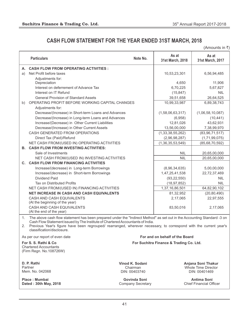# **CASH FLOW STATEMENT FOR THE YEAR ENDED 31ST MARCH, 2018**

(Amounts in  $\bar{z}$ )

|                | <b>Particulars</b>                                                                                                                              | Note No.        | As at<br>31st March, 2018               | As at<br>31st March, 2017 |
|----------------|-------------------------------------------------------------------------------------------------------------------------------------------------|-----------------|-----------------------------------------|---------------------------|
|                | A. CASH FLOW FROM OPERATING ACTIVITIES :                                                                                                        |                 |                                         |                           |
| a)             | Net Profit before taxes                                                                                                                         |                 | 10,53,23,301                            | 6,56,94,485               |
|                | Adjustments for:                                                                                                                                |                 |                                         |                           |
|                | Depreciation                                                                                                                                    |                 | 4,650                                   | 11,906                    |
|                | Interest on deferrement of Advance Tax                                                                                                          |                 | 6,70,225                                | 5,67,827                  |
|                | Interest on IT Refund                                                                                                                           |                 | (15, 847)                               | <b>NIL</b>                |
|                | <b>General Provision of Standard Assets</b>                                                                                                     |                 | 39,51,658                               | 26,64,525                 |
| b)             | OPERATING PROFIT BEFORE WORKING CAPITAL CHANGES<br>Adjustments for:                                                                             |                 | 10,99,33,987                            | 6,89,38,743               |
|                | Decrease/(Increase) in Short-term Loans and Advances                                                                                            |                 | (1,58,06,63,317)                        | (1,06,58,10,087)          |
|                | Decrease/(Increase) in Long-term Loans and Advances                                                                                             |                 | (6,958)                                 | (10, 441)                 |
|                | Increase/(Decrease) in Other Current Liabilities                                                                                                |                 | 12,81,026                               | 43,62,931                 |
|                | Decrease/(Increase) in Other Current Assets                                                                                                     |                 | 13,56,00,000                            | 7,38,99,970               |
|                | CASH GENERATED FROM OPERATIONS                                                                                                                  |                 | (1,33,38,55,262)                        | (83, 96, 71, 517)         |
|                | Direct Tax (Paid)/Refund                                                                                                                        |                 | (2,96,98,287)                           | (1,71,99,075)             |
|                | NET CASH FROM/(USED IN) OPERATING ACTIVITIES                                                                                                    |                 | (1, 36, 35, 53, 549)                    | (85, 68, 70, 592)         |
| <b>B.</b>      | <b>CASH FLOW FROM INVESTING ACTIVITIES:</b>                                                                                                     |                 |                                         |                           |
|                | Sale of Investments                                                                                                                             |                 | <b>NIL</b>                              | 20,65,00,000              |
|                | NET CASH FROM/(USED IN) INVESTING ACTIVITIES                                                                                                    |                 | <b>NIL</b>                              | 20,65,00,000              |
| $\mathbf{C}$ . | <b>CASH FLOW FROM FINANCING ACTIVITIES</b>                                                                                                      |                 |                                         |                           |
|                | Increase/(decrease) in Long-term Borrowings                                                                                                     |                 | (8,96,34,635)                           | 5,00,00,000               |
|                | Increase/(decrease) in Short-term Borrowings                                                                                                    |                 | 1,47,25,41,538                          | 22,72,37,469              |
|                | Dividend Paid                                                                                                                                   |                 | (93, 22, 550)                           | <b>NIL</b>                |
|                | <b>Tax on Distributed Profits</b>                                                                                                               |                 | (18, 97, 852)                           | <b>NIL</b>                |
|                | NET CASH FROM/(USED IN) FINANCING ACTIVITIES                                                                                                    |                 | 1,37,16,86,501                          | 64,82,90,102              |
|                | <b>NET INCREASE IN CASH AND CASH EQUIVALENTS</b>                                                                                                |                 | 81,32,952                               | (20, 80, 490)             |
|                | CASH AND CASH EQUIVALENTS                                                                                                                       |                 | 2,17,065                                | 22,97,555                 |
|                | (At the beginning of the year)                                                                                                                  |                 |                                         |                           |
|                | CASH AND CASH EQUIVALENTS<br>(At the end of the year)                                                                                           |                 | 83,50,016                               | 2,17,065                  |
| 1.             | The above cash flow statement has been prepared under the "Indirect Method" as set out in the Accounting Standard -3 on                         |                 |                                         |                           |
|                | Cash Flow Statement issued by The Institute of Chartered Accountants of India.                                                                  |                 |                                         |                           |
| 2.             | Previous Year's figure have been regrouped/ rearranged, wherever necessary, to correspond with the current year's<br>classification/disclosure. |                 |                                         |                           |
|                | As per our report of even date                                                                                                                  |                 | For and on behalf of the Board          |                           |
|                | For S. S. Rathi & Co.<br><b>Chartered Accountants</b><br>(Firm Regn. No.108726W)                                                                |                 | For Suchitra Finance & Trading Co. Ltd. |                           |
|                | D. P. Rathi                                                                                                                                     | Vinod K. Sodani |                                         | Anjana Soni Thakur        |
|                | Partner                                                                                                                                         | Chairman        |                                         | Whole Time Director       |
|                | Mem. No. 042068                                                                                                                                 | DIN: 00403740   |                                         | DIN: 00401469             |

**Place : Mumbai Dated : 30th May, 2018**

**Govinda Soni** Company Secretary

**Antima Soni** Chief Financial Officer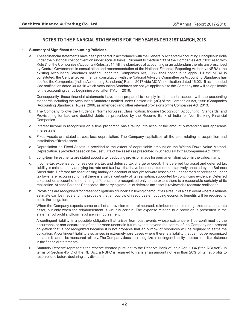#### **1 Summary of Significant Accounting Policies :-**

a. These financial statements have been prepared in accrodance with the Generally Accepted Accounting Principles in India under the historical cost convention under accrual basis. Pursuant to Section 133 of the Companies Act, 2013 read with Rule 7 of the Companies (Accounts) Rules, 2014, till the standards of accounting or an addendum thereto are prescribed by Central Government in consultation and recommendation of the National Financial Reporting Authority (NFRA), the existing Accounting Standards notified under the Companies Act, 1956 shall continue to apply. Till the NFRA is constituted, the Central Government in consultation with the National Advisory Committee on Accounting Standards has notified the Companies (Indian Accounting Standards) Rules, 2017 vide MCA's notification dated 16.02.15 as amended vide notification dated 30.03.16 which Accounting Standards are not yet applicable to the Company and will be applicable for the accounting period beginning on or after  $1<sup>st</sup>$  April, 2019.

Consequently, these financial statements have been prepared to comply in all material aspects with the accounting standards including the Accounting Standards notified under Section 211 (3C) of the Companies Act, 1956 (Companies (Accounting Standards), Rules, 2006, as amended) and other relevant provisions of the Companies Act, 2013.

- b. The Company follows the Prudential Norms for Asset Classification, Income Recognition, Accounting Standards, and Provisioning for bad and doubtful debts as prescribed by the Reserve Bank of India for Non Banking Financial Companies.
- c. Interest Income is recognised on a time proportion basis taking into account the amount outstanding and applicable interest rate.
- d. Fixed Assets are stated at cost less depreciation. The Company capitalises all the cost relating to acquisition and installation of fixed assets.
- e. Depreciation on Fixed Assets is provided to the extent of depreciable amount on the Written Down Value Method. Depreciation is provided based on the useful life of the assets as prescribed in Schedule II to the Companies Act, 2013.
- f. Long-term Investments are stated at cost after deducting provision made for permanent diminution in the value, if any.
- g. Income-tax expense comprises current tax and deferred tax charge or credit. The deferred tax asset and deferred tax liability is calculated by applying tax rate and tax laws that have been enacted or substantively enacted by the Balance Sheet date. Deferred tax asset arising mainly on account of brought forward losses and unabsorbed depreciation under tax laws, are recognised, only if there is a virtual certainty of its realisation, supported by convincing evidence. Deferred tax asset on account of other timing differences are recognised only to the extent there is a reasonable certainty of its realisation. At each Balance Sheet date, the carrying amount of deferred tax asset is reviewed to reassure realisation.
- h. Provisions are recognised for present obligations of uncertain timing or amount as a result of a past event where a reliable estimate can be made and it is probable that an outflow of resources embodying economic benefits will be required to settle the obligation.

When the Company expects some or all of a provision to be reimbursed, reimbursement is recognized as a separate asset, but only when the reimbursement is virtually certain. The expense relating to a provision is presented in the statement of profit and loss net of any reimbursement.

A contingent liability is a possible obligation that arises from past events whose existence will be confirmed by the occurrence or non-occurrence of one or more uncertain future events beyond the control of the Company or a present obligation that is not recognized because it is not probable that an outflow of resources will be required to settle the obligation. A contingent liability also arises in extremely rare cases where there is a liability that cannot be recognized because it cannot be measured reliably. The Company does not recognize a contingent liability but discloses its existence in the financial statements.

i. Statutory Reserve represents the reserve created pursuant to the Reserve Bank of India Act, 1934 ("the RBI Act"). In terms of Section 45-IC of the RBI Act, a NBFC is required to transfer an amount not less than 20% of its net profits to reserve fund before declaring any dividend.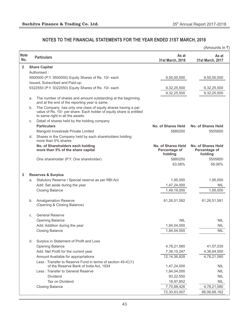|                    |    |                                                                                                                                                                          |                                                | (Amounts in ₹)                                 |
|--------------------|----|--------------------------------------------------------------------------------------------------------------------------------------------------------------------------|------------------------------------------------|------------------------------------------------|
| <b>Note</b><br>No. |    | <b>Particulars</b>                                                                                                                                                       | As at<br>31st March, 2018                      | As at<br>31st March, 2017                      |
| $\overline{2}$     |    | <b>Share Capital</b>                                                                                                                                                     |                                                |                                                |
|                    |    | Authorised:                                                                                                                                                              |                                                |                                                |
|                    |    | 9500000 (P.Y. 9500000) Equity Shares of Rs. 10/- each                                                                                                                    | 9,50,00,000                                    | 9,50,00,000                                    |
|                    |    | Issued, Subscribed and Paid-up:                                                                                                                                          |                                                |                                                |
|                    |    | 9322550 (P.Y. 9322550) Equity Shares of Rs. 10/- each                                                                                                                    | 9,32,25,500                                    | 9,32,25,500                                    |
|                    |    |                                                                                                                                                                          | 9,32,25,500                                    | 9,32,25,500                                    |
|                    | a. | The number of shares and amount outstanding at the beginning<br>and at the end of the reporting year is same.                                                            |                                                |                                                |
|                    | b. | The Company has only one class of equity shares having a par<br>value of Rs. 10/- per share. Each holder of equity share is entitled<br>to same right in all the assets. |                                                |                                                |
|                    | C. | Detail of shares held by the holding company                                                                                                                             |                                                |                                                |
|                    |    | <b>Particulars</b>                                                                                                                                                       | No. of Shares Held                             | <b>No. of Shares Held</b>                      |
|                    |    | Marigold Investrade Private Limited                                                                                                                                      | 5880250                                        | 5505850                                        |
|                    | d. | Shares in the Company held by each shareholders holding<br>more than 5% shares:                                                                                          |                                                |                                                |
|                    |    | No. of Shareholders each holding<br>more than 5% of the share capital                                                                                                    | No. of Shares Held<br>Percentage of<br>holding | No. of Shares Held<br>Percentage of<br>holding |
|                    |    | One shareholder (P.Y. One shareholder)                                                                                                                                   | 5880250                                        | 5505850                                        |
|                    |    |                                                                                                                                                                          | 63.08%                                         | 59.06%                                         |
| 3                  |    | <b>Reserves &amp; Surplus</b>                                                                                                                                            |                                                |                                                |
|                    | а. | Statutory Reserve / Special reserve as per RBI Act                                                                                                                       | 1,95,000                                       | 1,95,000                                       |
|                    |    | Add: Set aside during the year                                                                                                                                           | 1,47,24,000                                    | <b>NIL</b>                                     |
|                    |    | <b>Closing Balance</b>                                                                                                                                                   | 1,49,19,000                                    | 1,95,000                                       |
|                    |    |                                                                                                                                                                          |                                                |                                                |
|                    | b. | <b>Amalgamation Reserve</b><br>(Opening & Closing Balance)                                                                                                               | 61,26,51,582                                   | 61,26,51,581                                   |
|                    | C. | <b>General Reserve</b>                                                                                                                                                   |                                                |                                                |
|                    |    | <b>Opening Balance</b>                                                                                                                                                   | <b>NIL</b>                                     | <b>NIL</b>                                     |
|                    |    | Add: Addition during the year                                                                                                                                            | 1,84,04,000                                    | <b>NIL</b>                                     |
|                    |    | <b>Closing Balance</b>                                                                                                                                                   | 1,84,04,000                                    | <b>NIL</b>                                     |
|                    | d. | Surplus in Statement of Profit and Loss                                                                                                                                  |                                                |                                                |
|                    |    | Opening Balance                                                                                                                                                          | 4,78,21,580                                    | 41,57,030                                      |
|                    |    | Add: Net Profit for the current year                                                                                                                                     | 7,36,15,247                                    | 4,36,64,550                                    |
|                    |    | Amount Available for appropriations                                                                                                                                      | 12, 14, 36, 828                                | 4,78,21,580                                    |
|                    |    | Less: Transfer to Reserve Fund in terms of section 45-IC(1)                                                                                                              |                                                |                                                |
|                    |    | of the Reserve Bank of India Act, 1934                                                                                                                                   | 1,47,24,000                                    | <b>NIL</b>                                     |
|                    |    | Less: Transfer to General Reserve                                                                                                                                        | 1,84,04,000                                    | <b>NIL</b>                                     |
|                    |    | <b>Dividend</b>                                                                                                                                                          | 93,22,550                                      | <b>NIL</b>                                     |
|                    |    | Tax on Dividend                                                                                                                                                          | 18,97,852                                      | <b>NIL</b>                                     |
|                    |    | <b>Closing Balance</b>                                                                                                                                                   | 7,70,88,426                                    | 4,78,21,580                                    |
|                    |    |                                                                                                                                                                          | 72,30,63,007                                   | 66,06,68,162                                   |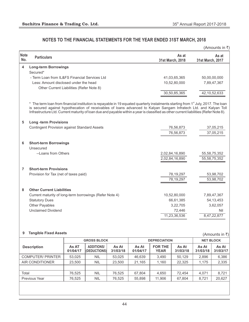|                    |                                                                                                                                                                                                                                                                                                                                                                                                                        |                           | (Amounts in ₹)            |
|--------------------|------------------------------------------------------------------------------------------------------------------------------------------------------------------------------------------------------------------------------------------------------------------------------------------------------------------------------------------------------------------------------------------------------------------------|---------------------------|---------------------------|
| <b>Note</b><br>No. | <b>Particulars</b>                                                                                                                                                                                                                                                                                                                                                                                                     | As at<br>31st March, 2018 | As at<br>31st March, 2017 |
| 4                  | <b>Long-term Borrowings</b>                                                                                                                                                                                                                                                                                                                                                                                            |                           |                           |
|                    | Secured*                                                                                                                                                                                                                                                                                                                                                                                                               |                           |                           |
|                    | - Term Loan from IL&FS Financial Services Ltd                                                                                                                                                                                                                                                                                                                                                                          | 41,03,65,365              | 50,00,00,000              |
|                    | Less: Amount disclosed under the head                                                                                                                                                                                                                                                                                                                                                                                  | 10,52,80,000              | 7,89,47,367               |
|                    | Other Current Liabilities (Refer Note 8)                                                                                                                                                                                                                                                                                                                                                                               |                           |                           |
|                    |                                                                                                                                                                                                                                                                                                                                                                                                                        | 30,50,85,365              | 42, 10, 52, 633           |
|                    | $^\star$<br>The term loan from financial institution is repayable in 19 equated quarterly instalments starting from 1 <sup>st</sup> July, 2017. The loan<br>is secured against hypothecation of receivables of loans advanced to Kalyan Sangam Infratech Ltd. and Kalyan Toll<br>Infrastructure Ltd. Current maturity of loan due and payable within a year is classified as other current liabilities (Refer Note 8). |                           |                           |
| 5                  | <b>Long-term Provisions</b>                                                                                                                                                                                                                                                                                                                                                                                            |                           |                           |
|                    | <b>Contingent Provision against Standard Assets</b>                                                                                                                                                                                                                                                                                                                                                                    | 76,56,873                 | 37,05,215                 |
|                    |                                                                                                                                                                                                                                                                                                                                                                                                                        | 76,56,873                 | 37,05,215                 |
| 6                  | <b>Short-term Borrowings</b>                                                                                                                                                                                                                                                                                                                                                                                           |                           |                           |
|                    | Unsecured                                                                                                                                                                                                                                                                                                                                                                                                              |                           |                           |
|                    | --Loans from Others                                                                                                                                                                                                                                                                                                                                                                                                    | 2,02,84,16,890            | 55, 58, 75, 352           |
|                    |                                                                                                                                                                                                                                                                                                                                                                                                                        | 2,02,84,16,890            | 55,58,75,352              |
| $\overline{7}$     | <b>Short-term Provisions</b>                                                                                                                                                                                                                                                                                                                                                                                           |                           |                           |
|                    | Provision for Tax (net of taxes paid)                                                                                                                                                                                                                                                                                                                                                                                  | 78,19,297                 | 53,98,702                 |
|                    |                                                                                                                                                                                                                                                                                                                                                                                                                        | 78,19,297                 | 53,98,702                 |
| 8                  | <b>Other Current Liabilities</b>                                                                                                                                                                                                                                                                                                                                                                                       |                           |                           |
|                    | Current maturity of long-term borrowings (Refer Note 4)                                                                                                                                                                                                                                                                                                                                                                | 10,52,80,000              | 7,89,47,367               |
|                    | <b>Statutory Dues</b>                                                                                                                                                                                                                                                                                                                                                                                                  | 66,61,385                 | 54, 13, 453               |
|                    | Other Payables                                                                                                                                                                                                                                                                                                                                                                                                         | 3,22,705                  | 3,62,057                  |
|                    | <b>Unclaimed Dividend</b>                                                                                                                                                                                                                                                                                                                                                                                              | 72,446                    | Nil                       |
|                    |                                                                                                                                                                                                                                                                                                                                                                                                                        | 11,23,36,536              | 8,47,22,877               |
|                    |                                                                                                                                                                                                                                                                                                                                                                                                                        |                           |                           |
| 9                  | <b>Tangible Fixed Assets</b>                                                                                                                                                                                                                                                                                                                                                                                           |                           | (Amounts in ₹)            |

## **9 Tangible Fixed Assets**

|                          |                   | <b>GROSS BLOCK</b>                        |                   |                   | <b>DEPRECIATION</b>           |                   |                   | <b>NET BLOCK</b>  |  |
|--------------------------|-------------------|-------------------------------------------|-------------------|-------------------|-------------------------------|-------------------|-------------------|-------------------|--|
| <b>Description</b>       | As AT<br>01/04/17 | <b>ADDITIONS/</b><br><b>((DEDUCTIONS)</b> | As At<br>31/03/18 | As At<br>01/04/17 | <b>FOR THE</b><br><b>YEAR</b> | As At<br>31/03/18 | As At<br>31/03/18 | As At<br>31/03/17 |  |
| <b>COMPUTER/ PRINTER</b> | 53.025            | <b>NIL</b>                                | 53.025            | 46.639            | 3.490                         | 50.129            | 2.896             | 6,386             |  |
| AIR CONDITIONER          | 23.500            | NIL.                                      | 23,500            | 21.165            | 1,160                         | 22.325            | 1.175             | 2,335             |  |
|                          |                   |                                           |                   |                   |                               |                   |                   |                   |  |
| Total                    | 76.525            | <b>NIL</b>                                | 76.525            | 67.804            | 4.650                         | 72.454            | 4.071             | 8.721             |  |
| Previous Year            | 76.525            | <b>NIL</b>                                | 76.525            | 55,898            | 11,906                        | 67,804            | 8.721             | 20,627            |  |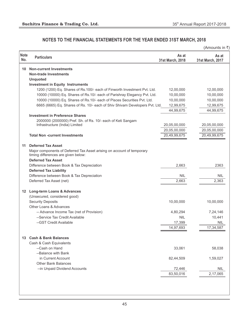|                    |                                                                                                               |                           | (Amounts in ₹)            |
|--------------------|---------------------------------------------------------------------------------------------------------------|---------------------------|---------------------------|
| <b>Note</b><br>No. | <b>Particulars</b>                                                                                            | As at<br>31st March, 2018 | As at<br>31st March, 2017 |
| 10                 | <b>Non-current Investments</b>                                                                                |                           |                           |
|                    | <b>Non-trade Investments</b>                                                                                  |                           |                           |
|                    | <b>Unquoted</b>                                                                                               |                           |                           |
|                    | <b>Investment in Equity Instruments</b>                                                                       |                           |                           |
|                    | 1200 (1200) Eq. Shares of Rs.100/- each of Finworth Investment Pvt. Ltd.                                      | 12,00,000                 | 12,00,000                 |
|                    | 10000 (10000) Eq. Shares of Rs.10/- each of Parishray Elegancy Pvt. Ltd.                                      | 10,00,000                 | 10,00,000                 |
|                    | 10000 (10000) Eq. Shares of Rs.10/- each of Pisces Securities Pvt. Ltd.                                       | 10,00,000                 | 10,00,000                 |
|                    | 6665 (6665) Eq. Shares of Rs. 10/- each of Shiv Shivam Developers Pvt. Ltd.                                   | 12,99,675                 | 12,99,675                 |
|                    |                                                                                                               | 44,99,675                 | 44,99,675                 |
|                    | <b>Investment in Preference Shares</b>                                                                        |                           |                           |
|                    | 2000000 (2000000) Pref. Sh. of Rs. 10/- each of Keti Sangam                                                   |                           |                           |
|                    | Infrastructure (India) Limited                                                                                | 20,05,00,000              | 20,05,00,000              |
|                    |                                                                                                               | 20,05,00,000              | 20,05,00,000              |
|                    | <b>Total Non -current Investments</b>                                                                         | 20,49,99,675              | 20,49,99,675              |
| 11                 | <b>Deferred Tax Asset</b>                                                                                     |                           |                           |
|                    | Major components of Deferred Tax Asset arising on account of temporary<br>timing differences are given below: |                           |                           |
|                    | <b>Deferred Tax Asset</b>                                                                                     |                           |                           |
|                    | Difference between Book & Tax Depreciation                                                                    | 2,663                     | 2363                      |
|                    | <b>Deferred Tax Liability</b>                                                                                 |                           |                           |
|                    | Difference between Book & Tax Depreciation                                                                    | <b>NIL</b>                | <b>NIL</b>                |
|                    | Deferred Tax Asset (net)                                                                                      | 2,663                     | 2,363                     |
|                    | 12 Long-term Loans & Advances                                                                                 |                           |                           |
|                    | (Unsecured, considered good)                                                                                  |                           |                           |
|                    | <b>Security Deposits</b>                                                                                      | 10,00,000                 | 10,00,000                 |
|                    | Other Loans & Advances                                                                                        |                           |                           |
|                    | -- Advance Income Tax (net of Provision)                                                                      | 4,80,294                  | 7,24,146                  |
|                    | --Service Tax Credit Available                                                                                | <b>NIL</b>                | 10,441                    |
|                    | --GST Credit Available                                                                                        | 17,399                    | <b>NIL</b>                |
|                    |                                                                                                               | 14,97,693                 | 17,34,587                 |
|                    | 13 Cash & Bank Balances                                                                                       |                           |                           |
|                    |                                                                                                               |                           |                           |
|                    | Cash & Cash Equivalents<br>--Cash on Hand                                                                     | 33,061                    | 58,038                    |
|                    | --Balance with Bank                                                                                           |                           |                           |
|                    | in Current Account                                                                                            | 82,44,509                 | 1,59,027                  |
|                    | <b>Other Bank Balances</b>                                                                                    |                           |                           |
|                    | -- in Unpaid Dividend Accounts                                                                                | 72,446                    | <b>NIL</b>                |
|                    |                                                                                                               | 83,50,016                 | 2,17,065                  |
|                    |                                                                                                               |                           |                           |
|                    |                                                                                                               |                           |                           |
|                    |                                                                                                               |                           |                           |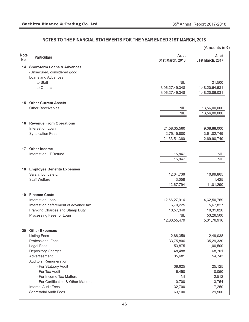|                    |                                        |                           | (Amounts in ₹)            |
|--------------------|----------------------------------------|---------------------------|---------------------------|
| <b>Note</b><br>No. | <b>Particulars</b>                     | As at<br>31st March, 2018 | As at<br>31st March, 2017 |
| 14                 | <b>Short-term Loans &amp; Advances</b> |                           |                           |
|                    | (Unsecured, considered good)           |                           |                           |
|                    | Loans and Advances                     |                           |                           |
|                    | to Staff                               | <b>NIL</b>                | 21,500                    |
|                    | to Others                              | 3,06,27,49,348            | 1,48,20,64,531            |
|                    |                                        | 3,06,27,49,348            | 1,48,20,86,031            |
| 15                 | <b>Other Current Assets</b>            |                           |                           |
|                    | <b>Other Receivables</b>               | NIL                       | 13,56,00,000              |
|                    |                                        | <b>NIL</b>                | 13,56,00,000              |
|                    | <b>16 Revenue From Operations</b>      |                           |                           |
|                    | Interest on Loan                       | 21,58,35,560              | 9,08,88,000               |
|                    | <b>Syndication Fees</b>                | 2,75,15,800               | 3,61,02,749               |
|                    |                                        | 24, 33, 51, 360           | 12,69,90,749              |
| 17                 | <b>Other Income</b>                    |                           |                           |
|                    | Interest on I.T.Refund                 | 15,847                    | <b>NIL</b>                |
|                    |                                        | 15,847                    | <b>NIL</b>                |
| 18                 | <b>Employee Benefits Expenses</b>      |                           |                           |
|                    | Salary, bonus etc.                     | 12,64,736                 | 10,99,865                 |
|                    | <b>Staff Welfare</b>                   | 3,058                     | 1,425                     |
|                    |                                        | 12,67,794                 | 11,01,290                 |
| 19                 | <b>Finance Costs</b>                   |                           |                           |
|                    | Interest on Loan                       | 12,66,27,914              | 4,62,50,769               |
|                    | Interest on deferement of advance tax  | 6,70,225                  | 5,67,827                  |
|                    | Franking Charges and Stamp Duty        | 10,57,340                 | 10,31,820                 |
|                    | Processing Fees for Loan               | <b>NIL</b>                | 53,26,500                 |
|                    |                                        | 12,83,55,479              | 5,31,76,916               |
| 20                 | <b>Other Expenses</b>                  |                           |                           |
|                    | <b>Listing Fees</b>                    | 2,88,359                  | 2,49,038                  |
|                    | <b>Professional Fees</b>               | 33,75,806                 | 35,29,330                 |
|                    | <b>Legal Fees</b>                      | 53,875                    | 1,00,500                  |
|                    | Depository Charges                     | 48,488                    | 68,701                    |
|                    | Advertisement                          | 35,681                    | 54,743                    |
|                    | <b>Auditors' Remuneration</b>          |                           |                           |
|                    | - For Statuory Audit                   | 38,625                    | 25,125                    |
|                    | - For Tax Audit                        | 16,450                    | 10,050                    |
|                    | - For Income Tax Matters               | Nil                       | 2,512                     |
|                    | - For Certification & Other Matters    | 10,700                    | 13,754                    |
|                    | <b>Internal Audit Fees</b>             | 32,700                    | 17,250                    |
|                    | <b>Secretarial Audit Fees</b>          | 63,100                    | 29,500                    |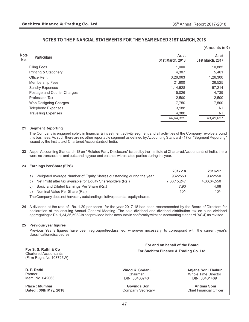|                    |                                  |                           | (Amounts in ₹)            |
|--------------------|----------------------------------|---------------------------|---------------------------|
| <b>Note</b><br>No. | <b>Particulars</b>               | As at<br>31st March, 2018 | As at<br>31st March, 2017 |
|                    | <b>Filing Fees</b>               | 1,000                     | 10,885                    |
|                    | <b>Printing &amp; Stationery</b> | 4,307                     | 5,461                     |
|                    | Office Rent                      | 3,26,063                  | 1,26,300                  |
|                    | <b>Membership Fees</b>           | 21,800                    | 26,525                    |
|                    | <b>Sundry Expenses</b>           | 1,14,528                  | 57,214                    |
|                    | Postage and Courier Charges      | 15,026                    | 4,739                     |
|                    | <b>Profession Tax</b>            | 2,500                     | 2,500                     |
|                    | Web Designing Charges            | 7,750                     | 7,500                     |
|                    | <b>Telephone Expenses</b>        | 3,188                     | Nil                       |
|                    | <b>Travelling Expenses</b>       | 4,380                     | Nil                       |
|                    |                                  | 44,64,325                 | 43,41,627                 |
| 21                 | <b>Segment Reporting</b>         |                           |                           |

The Company is engaged solely in financial & investment activity segment and all activities of the Company revolve around this business. As such there are no other reportable segment as defined by Accounting Standard - 17 on "Segment Reporting" issued by the Institute of Chartered Accountants of India.

**22** As per Accounting Standard - 18 on " Related Party Disclosure" issued by the Institute of Chartered Accountants of India, there were no transactions and outstanding year end balance with related parties during the year.

#### **23 Earnings Per Share (EPS)**

|    |                                                                      | 2017-18     | 2016-17     |
|----|----------------------------------------------------------------------|-------------|-------------|
| a) | Weighted Average Number of Equity Shares outstanding during the year | 9322550     | 9322550     |
|    | b) Net Profit after tax available for Equity Shareholders (Rs.)      | 7.36.15.247 | 4.36.64.550 |
| C) | Basic and Diluted Earnings Per Share (Rs.)                           | 7.90        | 4.68        |
| d) | Nominal Value Per Share (Rs.)                                        | $10/-$      | $10/-$      |
|    |                                                                      |             |             |

The Company does not have any outstanding dilutive potential equity shares.

**24** A dividend at the rate of Rs. 1.20 per share for the year 2017-18 has been recommended by the Board of Directors for declaration at the ensuing Annual General Meeting. The said dividend and dividend distribution tax on such dividend aggregating to Rs. 1,34,86,593/- is not provided in the accounts in conformity with the Accounting standard (AS 4) as revised.

#### **25 Previous year figures**

Previous Year's figures have been regrouped/reclassified, wherever necessary, to correspond with the current year's classification/disclosures.

**For S. S. Rathi & Co** Chartered Accountants (Firm Regn. No.108726W)

**D. P. Rathi** Partner Mem. No. 042068

**Place : Mumbai Dated : 30th May, 2018** **Vinod K. Sodani** Chairman DIN: 00403740

**Govinda Soni** Company Secretary **Anjana Soni Thakur** Whole Time Director DIN: 00401469

**For and on behalf of the Board For Suchitra Finance & Trading Co. Ltd.**

> **Antima Soni** Chief Financial Officer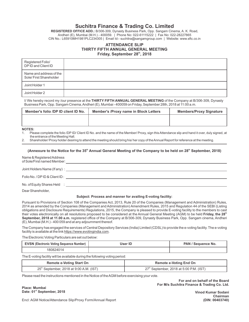# **Suchitra Finance & Trading Co. Limited**

**REGISTERED OFFICE ADD.:** B/306-309, Dynasty Business Park, Opp. Sangam Cinema, A. K. Road, Andheri (E), Mumbai (M.H.) - 400059. | Phone No: 022-61115222 | Fax No: 022-28227865 CIN No.: L65910MH1981PLC234305 | Email Id:- suchitra@sangamgroup.com | Website: www.sftc.co.in

#### **ATTENDANCE SLIP THIRTY FIFTH ANNUAL GENERAL MEETING th Friday, September 28 , 2018**

| Registered Folio/<br>DP ID and Client ID          |  |
|---------------------------------------------------|--|
| Name and address of the<br>Sole/First Shareholder |  |
| Joint Holder 1                                    |  |
| Joint Holder 2                                    |  |

I/ We hereby record my /our presence at the **THIRTY FIFTH ANNUAL GENERAL MEETING** of the Company at B/306-309, Dynasty Business Park, Opp. Sangam Cinema, Andheri (E), Mumbai - 400059 on Friday, September 28th, 2018 at 11:00 a.m.

| <b>Member's /Proxy name in Block Letters</b> | <b>Members/Proxy Signature</b> |
|----------------------------------------------|--------------------------------|
|                                              |                                |
|                                              |                                |

#### **NOTES:**

1. Please complete the folio /DP ID/ Client ID No. and the name of the Member/ Proxy, sign this Attendance slip and hand it over, duly signed, at the entrance of the Meeting Hall.

2. Shareholder/ Proxy holder desiring to attend the meeting should bring his/ her copy of the Annual Report for reference at the meeting.

#### **(Annexure to the Notice for the 35<sup>th</sup> Annual General Meeting of the Company to be held on 28<sup>th</sup> September, 2018)**

Name & Registered Address of Sole/First named Member: Joint Holders Name (If any) : Folio No. / DPID & Client ID : No. of Equity Shares Held :

Dear Shareholder,

#### **Subject: Process and manner for availing E-voting facility:**

Pursuant to Provisions of Section 108 of the Companies Act, 2013, Rule 20 of the Companies (Management and Administration) Rules, 2014 as amended by the Companies (Management and Administration) Amendment Rules, 2015 and Regulation 44 of the SEBI (Listing obligations and Disclosure Requirements) Regulations, 2015, the Company is pleased to provide E-voting facility to the members to cast **th** their votes electronically on all resolutions proposed to be considered at the Annual General Meeting (AGM) to be held **Friday, the 28 September, 2018 at 11.00 a.m.** registered office of the Company at B/306-309, Dynasty Business Park, Opp. Sangam cinema, Andheri (E), Mumbai (M.H.) - 400 059 and at any adjournment thereof.

The Company has engaged the services of Central Depository Services (India) Limited (CDSL) to provide the e-voting facility. The e-voting facility is available at the link https://www.evotingindia.com.

The Electronic Voting Particulars are set out below:

| <b>EVSN (Electronic Voting Sequence Number)</b> | User ID | PAN / Sequence No. |
|-------------------------------------------------|---------|--------------------|
| RO824014                                        |         |                    |

The E-voting facility will be available during the following voting period:

| <b>Remote e-Voting Start On</b>           | <b>Remote e-Voting End On</b>             |  |
|-------------------------------------------|-------------------------------------------|--|
| $25th$ September, 2018 at 9:00 A.M. (IST) | $27th$ September, 2018 at 5:00 P.M. (IST) |  |

Please read the instructions mentioned in the Notice of the AGM before exercising your vote.

**Place: Mumbai** Date: 01<sup>st</sup> September, 2018

**For and on behalf of the Board For M/s Suchitra Finance & Trading Co. Ltd.**

**Vinod Kumar Sodani Chairman (DIN: 00403740)**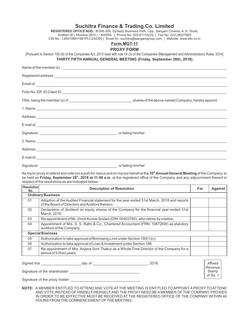| REGISTERED OFFICE ADD.: B/306-309, Dynasty Business Park, Opp. Sangam Cinema, A. K. Road,                                                                                                                                            |
|--------------------------------------------------------------------------------------------------------------------------------------------------------------------------------------------------------------------------------------|
| Andheri (E), Mumbai (M.H.) - 400059.   Phone No: 022-61115222   Fax No: 022-28227865<br>CIN No.: L65910MH1981PLC234305   Email Id:- suchitra@sangamgroup.com   Website: www.sftc.co.in                                               |
| Form MGT-11                                                                                                                                                                                                                          |
| <b>PROXY FORM</b>                                                                                                                                                                                                                    |
| [Pursuant to Section 105 (6) of the Companies Act, 2013 read with rule 19 (3) of the Companies (Management and Administration) Rules, 2014]<br>THIRTY FIFTH ANNUAL GENERAL MEETING (Friday, September 28th, 2018)                    |
|                                                                                                                                                                                                                                      |
|                                                                                                                                                                                                                                      |
|                                                                                                                                                                                                                                      |
|                                                                                                                                                                                                                                      |
|                                                                                                                                                                                                                                      |
|                                                                                                                                                                                                                                      |
|                                                                                                                                                                                                                                      |
|                                                                                                                                                                                                                                      |
|                                                                                                                                                                                                                                      |
|                                                                                                                                                                                                                                      |
|                                                                                                                                                                                                                                      |
| E mail id: <u>contract and contract and contract and contract and contract and contract and contract and contract and contract and contract and contract and contract and contract and contract and contract and contract and co</u> |
|                                                                                                                                                                                                                                      |

**th** As my/or proxy to attend and vote (on a poll) for me/us and on my/our behalf at the **35 Annual General Meeting** of the Company, to **th** be held on **Friday, September 28 , 2018 at 11:00 a.m.** at the registered office of the Company and any adjournment thereof in respect of the resolutions as are indicated below:-

| <b>Description of Resolution</b>                                                                                                               | For                                   | <b>Against</b> |  |  |  |
|------------------------------------------------------------------------------------------------------------------------------------------------|---------------------------------------|----------------|--|--|--|
| <b>Ordinary Business</b>                                                                                                                       |                                       |                |  |  |  |
| Adoption of the Audited Financial statement for the year ended 31st March, 2018 and reports<br>of the Board of Directors and Auditors thereon. |                                       |                |  |  |  |
| Declaration of dividend on equity shares of the Company for the financial year ended 31st<br>March, 2018.                                      |                                       |                |  |  |  |
| Re-appointment of Mr. Vinod Kumar Sodani (DIN: 00403740), who retires by rotation.                                                             |                                       |                |  |  |  |
| Appointment of M/s. S. S. Rathi & Co., Chartered Accountant (FRN: 108726W) as statutory<br>auditors of the Company.                            |                                       |                |  |  |  |
|                                                                                                                                                |                                       |                |  |  |  |
| Authorization to take approval of Borrowing Limit under Section 180(1)(c).                                                                     |                                       |                |  |  |  |
| Authorization to take approval of Loan & Investment under Section 186.                                                                         |                                       |                |  |  |  |
| Re-appointment of Mrs. Anjana Soni Thakur as a Whole Time Director of the Company for a<br>period of 5 (five) years.                           |                                       |                |  |  |  |
|                                                                                                                                                | Resolution<br><b>Special Business</b> |                |  |  |  |

Signed this \_\_\_\_\_\_\_\_\_\_\_\_\_\_\_\_\_\_\_\_day of \_\_\_\_\_\_\_\_\_\_\_\_\_\_\_\_\_\_\_\_\_\_\_\_\_\_\_, 2018.

Signature of the shareholder: \_\_\_\_\_\_\_\_\_\_\_\_\_\_\_\_\_\_\_\_\_\_\_\_\_\_\_\_\_\_\_\_\_\_

Signature of the proxy holder

**NOTE:** A MEMBER ENTITLED TO ATTEND AND VOTE AT THE MEETING IS ENTITLED TO APPOINTA PROXY TO ATTEND AND VOTE INSTEAD OF HIMSELF/HERSELF AND THE PROXY NEED BE A MEMBER OF THE COMPANY. PROXIES IN ORDER TO BE EFFECTIVE MUST BE RECEIVED AT THE REGISTERED OFFICE OF THE COMPANY WITHIN 48 HOURS FROM THE COMMENCEMENTOF THE MEETING.

Affixed Revenue Stamp of Rs. 1

# **Suchitra Finance & Trading Co. Limited**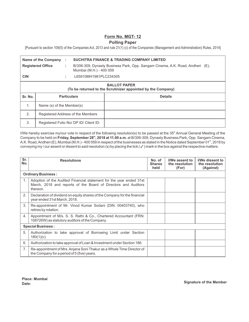## **Form No. MGT- 12**

## **Polling Paper**

[Pursuant to section 109(5) of the Companies Act, 2013 and rule 21(1) (c) of the Companies (Management and Administration) Rules, 2014]

|                                                                                     | <b>Name of the Company</b>             | ÷  | <b>SUCHITRA FINANCE &amp; TRADING COMPANY LIMITED</b>                                                    |                |  |
|-------------------------------------------------------------------------------------|----------------------------------------|----|----------------------------------------------------------------------------------------------------------|----------------|--|
|                                                                                     | <b>Registered Office</b>               | ÷. | B/306-309, Dynasty Business Park, Opp. Sangam Cinema, A.K. Road, Andheri (E),<br>Mumbai (M.H.) - 400 059 |                |  |
| <b>CIN</b>                                                                          |                                        | ÷  | L65910MH1981PLC234305                                                                                    |                |  |
| <b>BALLOT PAPER</b><br>(To be returned to the Scrutinizer appointed by the Company) |                                        |    |                                                                                                          |                |  |
| Sr. No.                                                                             | <b>Particulars</b>                     |    |                                                                                                          | <b>Details</b> |  |
| 1.                                                                                  | Name (s) of the Member(s)              |    |                                                                                                          |                |  |
| 2.                                                                                  | Registered Address of the Members      |    |                                                                                                          |                |  |
| 3.                                                                                  | Registered Folio No/ DP ID/ Client ID: |    |                                                                                                          |                |  |

I/We hereby exercise my/our vote in respect of the following resolution(s) to be passed at the 35<sup>th</sup> Annual General Meeting of the **th** Company to be held on **Friday, September 28 , 2018 at 11.00 a.m.** at B/306-309, Dynasty Business Park, Opp. Sangam Cinema, A.K. Road, Andheri (E), Mumbai (M.H.) - 400 059 in respect of the businesses as stated in the Notice dated September 01<sup>st</sup>, 2018 by conveying my / our assent or dissent to said resolution (s) by placing the tick ( $\checkmark$ ) mark in the box against the respective matters.

| Sr.<br>No.               | <b>Resolutions</b>                                                                                                                                | No. of<br><b>Shares</b><br>held | I/We assent to<br>the resolution<br>(For) | I/We dissent to<br>the resolution<br>(Against) |  |
|--------------------------|---------------------------------------------------------------------------------------------------------------------------------------------------|---------------------------------|-------------------------------------------|------------------------------------------------|--|
|                          | <b>Ordinary Business:</b>                                                                                                                         |                                 |                                           |                                                |  |
| 1 <sub>1</sub>           | Adoption of the Audited Financial statement for the year ended 31st<br>March, 2018 and reports of the Board of Directors and Auditors<br>thereon. |                                 |                                           |                                                |  |
| 2.                       | Declaration of dividend on equity shares of the Company for the financial<br>year ended 31st March, 2018.                                         |                                 |                                           |                                                |  |
| 3.                       | Re-appointment of Mr. Vinod Kumar Sodani (DIN: 00403740), who<br>retires by rotation.                                                             |                                 |                                           |                                                |  |
| 4.                       | Appointment of M/s. S. S. Rathi & Co., Chartered Accountant (FRN:<br>108726W) as statutory auditors of the Company.                               |                                 |                                           |                                                |  |
| <b>Special Business:</b> |                                                                                                                                                   |                                 |                                           |                                                |  |
| 5.                       | Authorization to take approval of Borrowing Limit under Section<br>$180(1)(c)$ .                                                                  |                                 |                                           |                                                |  |
| 6.                       | Authorization to take approval of Loan & Investment under Section 186.                                                                            |                                 |                                           |                                                |  |
| 7.                       | Re-appointment of Mrs. Anjana Soni Thakur as a Whole Time Director of<br>the Company for a period of 5 (five) years.                              |                                 |                                           |                                                |  |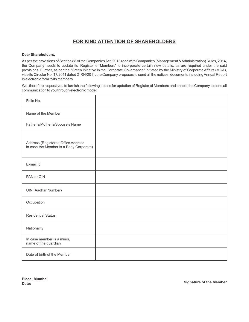# **FOR KIND ATTENTION OF SHAREHOLDERS**

#### **Dear Shareholders,**

As per the provisions of Section 88 of the Companies Act, 2013 read with Companies (Management & Administration) Rules, 2014, the Company needs to update its 'Register of Members' to incorporate certain new details, as are required under the said provisions. Further, as per the "Green Initiative in the Corporate Governance" initiated by the Ministry of Corporate Affairs (MCA), vide its Circular No. 17/2011 dated 21/04/2011, the Company proposes to send all the notices, documents including Annual Report in electronic form to its members.

We, therefore request you to furnish the following details for updation of Register of Members and enable the Company to send all communication to you through electronic mode:

| Folio No.                                                                     |  |
|-------------------------------------------------------------------------------|--|
| Name of the Member                                                            |  |
| Father's/Mother's/Spouse's Name                                               |  |
| Address (Registered Office Address<br>in case the Member is a Body Corporate) |  |
| E-mail Id                                                                     |  |
| PAN or CIN                                                                    |  |
| <b>UIN (Aadhar Number)</b>                                                    |  |
| Occupation                                                                    |  |
| <b>Residential Status</b>                                                     |  |
| Nationality                                                                   |  |
| In case member is a minor,<br>name of the guardian                            |  |
| Date of birth of the Member                                                   |  |

**Place: Mumbai**